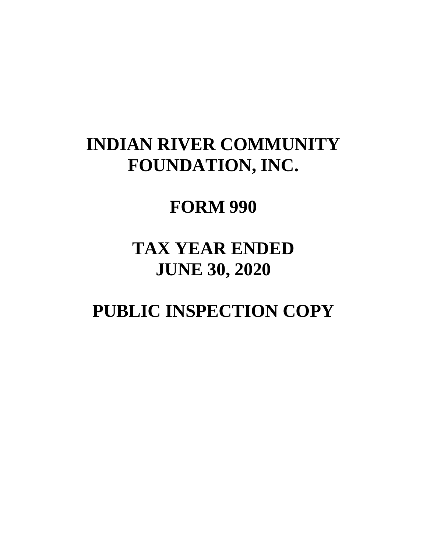# **INDIAN RIVER COMMUNITY FOUNDATION, INC.**

# **FORM 990**

# **TAX YEAR ENDED JUNE 30, 2020**

# **PUBLIC INSPECTION COPY**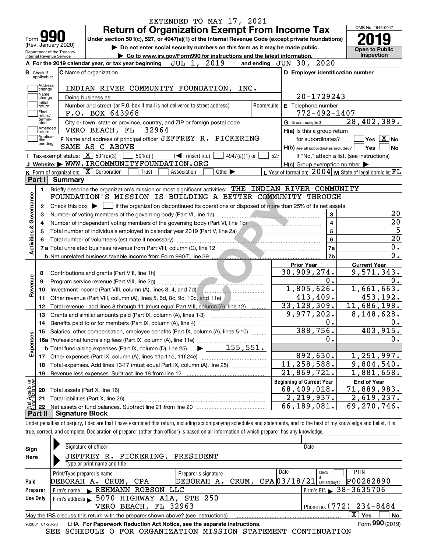|                                            |                                                   |                                                                                                                                                | <b>Return of Organization Exempt From Income Tax</b>                        |             |                                   |                             |                 |                         |                                         |                         | OMB No. 1545-0047                                                 |                                               |
|--------------------------------------------|---------------------------------------------------|------------------------------------------------------------------------------------------------------------------------------------------------|-----------------------------------------------------------------------------|-------------|-----------------------------------|-----------------------------|-----------------|-------------------------|-----------------------------------------|-------------------------|-------------------------------------------------------------------|-----------------------------------------------|
| Form <b>M</b>                              |                                                   | Under section 501(c), 527, or 4947(a)(1) of the Internal Revenue Code (except private foundations)                                             |                                                                             |             |                                   |                             |                 |                         |                                         |                         |                                                                   |                                               |
|                                            | (Rev. January 2020)<br>Department of the Treasury |                                                                                                                                                | Do not enter social security numbers on this form as it may be made public. |             |                                   |                             |                 |                         |                                         |                         |                                                                   | <b>Open to Public</b>                         |
| Internal Revenue Service                   |                                                   |                                                                                                                                                | Go to www.irs.gov/Form990 for instructions and the latest information.      |             |                                   |                             |                 |                         |                                         |                         |                                                                   | <b>Inspection</b>                             |
|                                            |                                                   | A For the 2019 calendar year, or tax year beginning                                                                                            |                                                                             | JUL 1,      |                                   | 2019                        |                 | and ending JUN 30, 2020 |                                         |                         |                                                                   |                                               |
| <b>B</b> Check if<br>applicable:           |                                                   | <b>C</b> Name of organization                                                                                                                  |                                                                             |             |                                   |                             |                 |                         |                                         |                         | D Employer identification number                                  |                                               |
| Address                                    |                                                   | INDIAN RIVER COMMUNITY FOUNDATION,                                                                                                             |                                                                             |             |                                   |                             | INC.            |                         |                                         |                         |                                                                   |                                               |
| change<br>Name                             |                                                   |                                                                                                                                                |                                                                             |             |                                   |                             |                 |                         | 20-1729243                              |                         |                                                                   |                                               |
| change<br>Initial                          |                                                   | Doing business as<br>Number and street (or P.O. box if mail is not delivered to street address)                                                |                                                                             |             |                                   |                             |                 | Room/suite              | E Telephone number                      |                         |                                                                   |                                               |
| return<br> Final                           |                                                   | P.O. BOX 643968                                                                                                                                |                                                                             |             |                                   |                             |                 |                         | $772 - 492 - 1407$                      |                         |                                                                   |                                               |
| return/<br>termin-<br>ated                 |                                                   | City or town, state or province, country, and ZIP or foreign postal code                                                                       |                                                                             |             |                                   |                             |                 |                         | G Gross receipts \$                     |                         | 28,402,389.                                                       |                                               |
| Amended<br>∣return                         |                                                   | VERO BEACH, FL                                                                                                                                 | 32964                                                                       |             |                                   |                             |                 |                         | H(a) Is this a group return             |                         |                                                                   |                                               |
| Applica-<br>tion                           |                                                   | F Name and address of principal officer: JEFFREY R. PICKERING                                                                                  |                                                                             |             |                                   |                             |                 |                         | for subordinates?                       |                         |                                                                   | $\sqrt{}$ Yes $\sqrt{}$ $\overline{\rm X}$ No |
| pending                                    |                                                   | SAME AS C ABOVE                                                                                                                                |                                                                             |             |                                   |                             |                 |                         |                                         |                         | H(b) Are all subordinates included?   Yes                         | l No                                          |
|                                            | Tax-exempt status: $\boxed{\mathbf{X}}$ 501(c)(3) |                                                                                                                                                | $501(c)$ (                                                                  |             | $\sqrt{\frac{1}{1}}$ (insert no.) |                             | $4947(a)(1)$ or | 527                     |                                         |                         | If "No," attach a list. (see instructions)                        |                                               |
|                                            |                                                   | J Website: WWW.IRCOMMUNITYFOUNDATION.ORG                                                                                                       |                                                                             |             |                                   |                             |                 |                         |                                         |                         | $H(c)$ Group exemption number $\blacktriangleright$               |                                               |
|                                            |                                                   | K Form of organization: $\boxed{\mathbf{X}}$ Corporation                                                                                       | Trust                                                                       | Association |                                   | Other $\blacktriangleright$ |                 |                         |                                         |                         | L Year of formation: $2004 \vert$ M State of legal domicile: $FL$ |                                               |
| Part I                                     | Summary                                           |                                                                                                                                                |                                                                             |             |                                   |                             |                 |                         |                                         |                         |                                                                   |                                               |
| 1.                                         |                                                   | Briefly describe the organization's mission or most significant activities: THE INDIAN RIVER COMMUNITY                                         |                                                                             |             |                                   |                             |                 |                         |                                         |                         |                                                                   |                                               |
| Governance                                 |                                                   | FOUNDATION'S MISSION IS BUILDING A BETTER COMMUNITY THROUGH                                                                                    |                                                                             |             |                                   |                             |                 |                         |                                         |                         |                                                                   |                                               |
| 2                                          |                                                   | Check this box $\triangleright$ $\blacksquare$ if the organization discontinued its operations or disposed of more than 25% of its net assets. |                                                                             |             |                                   |                             |                 |                         |                                         |                         |                                                                   |                                               |
| З                                          |                                                   | Number of voting members of the governing body (Part VI, line 1a)                                                                              |                                                                             |             |                                   |                             |                 |                         |                                         |                         |                                                                   |                                               |
|                                            |                                                   |                                                                                                                                                |                                                                             |             |                                   |                             |                 |                         |                                         | 3                       |                                                                   |                                               |
| 4                                          |                                                   | Number of independent voting members of the governing body (Part VI, line 1b)                                                                  |                                                                             |             |                                   |                             |                 |                         |                                         | $\overline{\mathbf{4}}$ |                                                                   |                                               |
| 5                                          |                                                   | Total number of individuals employed in calendar year 2019 (Part V, line 2a) [[[[[[[[[[[[[[[[[[[[[[[]]]]]]]]]                                  |                                                                             |             |                                   |                             |                 |                         |                                         | $5\phantom{a}$          |                                                                   |                                               |
|                                            |                                                   |                                                                                                                                                |                                                                             |             |                                   |                             |                 |                         |                                         | 6                       |                                                                   |                                               |
|                                            |                                                   | 7 a Total unrelated business revenue from Part VIII, column (C), line 12                                                                       |                                                                             |             |                                   |                             |                 |                         |                                         | 7a                      |                                                                   |                                               |
| <b>Activities &amp;</b>                    |                                                   |                                                                                                                                                |                                                                             |             |                                   |                             |                 |                         |                                         | 7b                      |                                                                   |                                               |
|                                            |                                                   |                                                                                                                                                |                                                                             |             |                                   |                             |                 |                         | <b>Prior Year</b>                       |                         | <b>Current Year</b>                                               |                                               |
| 8                                          |                                                   | Contributions and grants (Part VIII, line 1h)                                                                                                  |                                                                             |             |                                   |                             |                 |                         | 30,909,274.                             |                         | 9,571,343.                                                        |                                               |
| 9                                          |                                                   | Program service revenue (Part VIII, line 2g)                                                                                                   |                                                                             |             |                                   |                             |                 |                         |                                         | 0.                      |                                                                   |                                               |
| 10                                         |                                                   |                                                                                                                                                |                                                                             |             |                                   |                             |                 |                         | 1,805,626.                              |                         | 1,661,663.                                                        |                                               |
| Revenue<br>11                              |                                                   | Other revenue (Part VIII, column (A), lines 5, 6d, 8c, 9c, 10c, and 11e)                                                                       |                                                                             |             |                                   |                             |                 |                         | 413,409.                                |                         |                                                                   |                                               |
| 12                                         |                                                   | Total revenue - add lines 8 through 11 (must equal Part VIII, column (A), line 12)                                                             |                                                                             |             |                                   |                             |                 |                         | 33, 128, 309.                           |                         | 11,686,198.                                                       |                                               |
| 13                                         |                                                   | Grants and similar amounts paid (Part IX, column (A), lines 1-3)                                                                               |                                                                             |             |                                   |                             |                 |                         | 9,977,202.                              |                         | 8,148,628.                                                        |                                               |
| 14                                         |                                                   |                                                                                                                                                |                                                                             |             |                                   |                             |                 |                         |                                         | 0.                      |                                                                   |                                               |
|                                            |                                                   | 15 Salaries, other compensation, employee benefits (Part IX, column (A), lines 5-10)                                                           |                                                                             |             |                                   |                             |                 |                         | 388,756.                                |                         |                                                                   |                                               |
|                                            |                                                   |                                                                                                                                                |                                                                             |             |                                   |                             |                 |                         |                                         | 0.                      |                                                                   |                                               |
|                                            |                                                   | <b>b</b> Total fundraising expenses (Part IX, column (D), line 25)                                                                             |                                                                             |             |                                   | 155,551.                    |                 |                         |                                         |                         |                                                                   |                                               |
| Expenses<br>17                             |                                                   |                                                                                                                                                |                                                                             |             |                                   |                             |                 |                         | 892,630.                                |                         | 1,251,997.                                                        |                                               |
| 18                                         |                                                   | Total expenses. Add lines 13-17 (must equal Part IX, column (A), line 25)                                                                      |                                                                             |             |                                   |                             |                 |                         | 11, 258, 588.                           |                         | 9,804,540.                                                        |                                               |
| 19                                         |                                                   | Revenue less expenses. Subtract line 18 from line 12                                                                                           |                                                                             |             |                                   |                             |                 |                         | 21,869,721.                             |                         | 1,881,658.                                                        |                                               |
|                                            |                                                   |                                                                                                                                                |                                                                             |             |                                   |                             |                 |                         | <b>Beginning of Current Year</b>        |                         | <b>End of Year</b>                                                |                                               |
| 20                                         | Total assets (Part X, line 16)                    |                                                                                                                                                |                                                                             |             |                                   |                             |                 |                         | 68,409,018.                             |                         | 71,889,983.                                                       | 453,192.<br>403, 915.                         |
| t Assets or<br>d Balances<br>21<br>鲳<br>22 |                                                   | Total liabilities (Part X, line 26)                                                                                                            |                                                                             |             |                                   |                             |                 |                         | $\overline{2,219,937}$ .<br>66,189,081. |                         | 2,619,237.<br>69, 270, 746.                                       |                                               |

| Sign            | Signature of officer                                                              |                              |      | Date                                     |
|-----------------|-----------------------------------------------------------------------------------|------------------------------|------|------------------------------------------|
| Here            | JEFFREY R. PICKERING,<br>Type or print name and title                             | PRESIDENT                    |      |                                          |
|                 | Print/Type preparer's name                                                        | Preparer's signature         | Date | <b>PTIN</b><br>Check                     |
| Paid            | DEBORAH A. CRUM, CPA                                                              | DEBORAH A. CRUM, CPA03/18/21 |      | P00282890<br>self-emploved               |
| Preparer        | Firm's name REHMANN ROBSON LLC                                                    |                              |      | Firm's EIN $\triangleright$ 38 - 3635706 |
| Use Only        | Firm's address > 5070 HIGHWAY A1A, STE 250                                        |                              |      |                                          |
|                 | VERO BEACH, FL 32963                                                              |                              |      | Phone no. $(772)$ $234 - 8484$           |
|                 | May the IRS discuss this return with the preparer shown above? (see instructions) |                              |      | ΧI<br>No<br>Yes                          |
| 932001 01-20-20 | LHA For Paperwork Reduction Act Notice, see the separate instructions.            |                              |      | Form 990 (2019)                          |

SEE SCHEDULE O FOR ORGANIZATION MISSION STATEMENT CONTINUATION

true, correct, and complete. Declaration of preparer (other than officer) is based on all information of which preparer has any knowledge.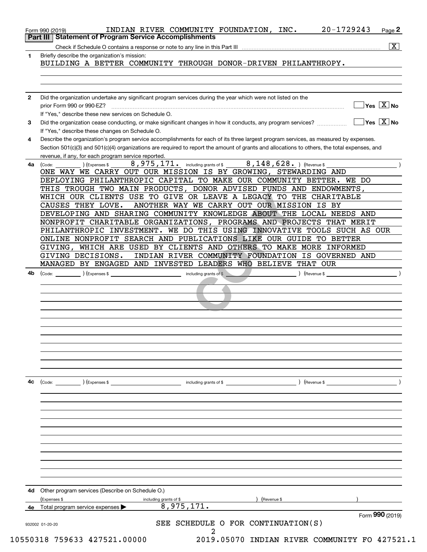|                 | $\overline{\mathbf{x}}$                                                                                                                                                                                                                                                                                                                                                                                                                                                                                                                                                                                                                                                                                                                                                                                                                                                                                                                                             |
|-----------------|---------------------------------------------------------------------------------------------------------------------------------------------------------------------------------------------------------------------------------------------------------------------------------------------------------------------------------------------------------------------------------------------------------------------------------------------------------------------------------------------------------------------------------------------------------------------------------------------------------------------------------------------------------------------------------------------------------------------------------------------------------------------------------------------------------------------------------------------------------------------------------------------------------------------------------------------------------------------|
| 1               | Briefly describe the organization's mission:<br>BUILDING A BETTER COMMUNITY THROUGH DONOR-DRIVEN PHILANTHROPY.                                                                                                                                                                                                                                                                                                                                                                                                                                                                                                                                                                                                                                                                                                                                                                                                                                                      |
|                 |                                                                                                                                                                                                                                                                                                                                                                                                                                                                                                                                                                                                                                                                                                                                                                                                                                                                                                                                                                     |
| $\mathbf{2}$    | Did the organization undertake any significant program services during the year which were not listed on the<br>$\sqrt{}$ Yes $\sqrt{}$ X $\sqrt{}$ No<br>prior Form 990 or 990-EZ?<br>If "Yes," describe these new services on Schedule O.                                                                                                                                                                                                                                                                                                                                                                                                                                                                                                                                                                                                                                                                                                                         |
| 3               | $\overline{\mathsf{Yes} \mathrel{\hspace{0.5pt}\mathsf{X}}}$ No<br>Did the organization cease conducting, or make significant changes in how it conducts, any program services?<br>If "Yes," describe these changes on Schedule O.                                                                                                                                                                                                                                                                                                                                                                                                                                                                                                                                                                                                                                                                                                                                  |
| 4               | Describe the organization's program service accomplishments for each of its three largest program services, as measured by expenses.<br>Section 501(c)(3) and 501(c)(4) organizations are required to report the amount of grants and allocations to others, the total expenses, and<br>revenue, if any, for each program service reported.                                                                                                                                                                                                                                                                                                                                                                                                                                                                                                                                                                                                                         |
| 4a              | 8,975,171. including grants of \$ ________ 8,148,628. ) (Revenue \$<br>(Code:<br>Expenses \$<br>ONE WAY WE CARRY OUT OUR MISSION IS BY GROWING, STEWARDING AND<br>DEPLOYING PHILANTHROPIC CAPITAL TO MAKE OUR COMMUNITY BETTER. WE DO<br>THIS TROUGH TWO MAIN PRODUCTS, DONOR ADVISED FUNDS AND ENDOWMENTS,<br>WHICH OUR CLIENTS USE TO GIVE OR LEAVE A LEGACY TO THE CHARITABLE<br>ANOTHER WAY WE CARRY OUT OUR MISSION IS BY<br>CAUSES THEY LOVE.<br>DEVELOPING AND SHARING COMMUNITY KNOWLEDGE ABOUT THE LOCAL NEEDS AND<br>NONPROFIT CHARITABLE ORGANIZATIONS, PROGRAMS AND PROJECTS THAT MERIT<br>PHILANTHROPIC INVESTMENT. WE DO THIS USING INNOVATIVE TOOLS SUCH AS OUR<br>ONLINE NONPROFIT SEARCH AND PUBLICATIONS LIKE OUR GUIDE TO BETTER<br>GIVING, WHICH ARE USED BY CLIENTS AND OTHERS TO MAKE MORE INFORMED<br>GIVING DECISIONS.<br>INDIAN RIVER COMMUNITY FOUNDATION IS GOVERNED AND<br>MANAGED BY ENGAGED AND INVESTED LEADERS WHO BELIEVE THAT OUR |
| 4b              | $(\text{Expenses }$ \$<br>including grants of \$<br>$($ Revenue \$<br>(Code:                                                                                                                                                                                                                                                                                                                                                                                                                                                                                                                                                                                                                                                                                                                                                                                                                                                                                        |
| 4c              | $\left(\text{Code:} \right)$ $\left(\text{Expenses $}\right)$<br>including grants of \$<br>$\int$ (Revenue \$                                                                                                                                                                                                                                                                                                                                                                                                                                                                                                                                                                                                                                                                                                                                                                                                                                                       |
|                 | Other program services (Describe on Schedule O.)<br>(Expenses \$<br>including grants of \$<br>Revenue \$                                                                                                                                                                                                                                                                                                                                                                                                                                                                                                                                                                                                                                                                                                                                                                                                                                                            |
|                 | 8,975,171.<br>Total program service expenses                                                                                                                                                                                                                                                                                                                                                                                                                                                                                                                                                                                                                                                                                                                                                                                                                                                                                                                        |
| 932002 01-20-20 | Form 990 (2019)<br>SEE SCHEDULE O FOR CONTINUATION(S)                                                                                                                                                                                                                                                                                                                                                                                                                                                                                                                                                                                                                                                                                                                                                                                                                                                                                                               |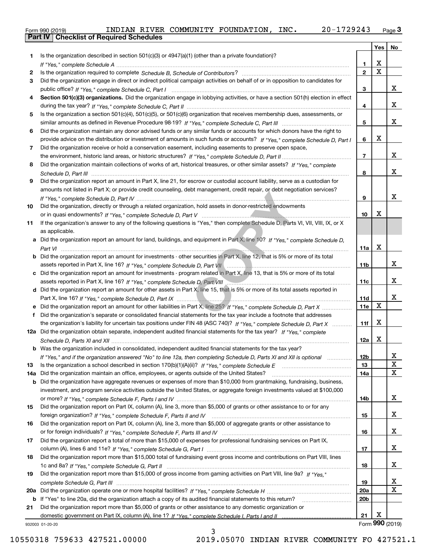|  | Form 990 (2019) |  |
|--|-----------------|--|

|     |                                                                                                                                                                                                                                                   |                 | Yes                     | No                      |
|-----|---------------------------------------------------------------------------------------------------------------------------------------------------------------------------------------------------------------------------------------------------|-----------------|-------------------------|-------------------------|
| 1   | Is the organization described in section $501(c)(3)$ or $4947(a)(1)$ (other than a private foundation)?                                                                                                                                           |                 |                         |                         |
|     |                                                                                                                                                                                                                                                   | 1.              | X                       |                         |
| 2   |                                                                                                                                                                                                                                                   | $\overline{2}$  | $\overline{\mathbf{x}}$ |                         |
| 3   | Did the organization engage in direct or indirect political campaign activities on behalf of or in opposition to candidates for                                                                                                                   |                 |                         |                         |
|     |                                                                                                                                                                                                                                                   | 3               |                         | x                       |
| 4   | Section 501(c)(3) organizations. Did the organization engage in lobbying activities, or have a section 501(h) election in effect                                                                                                                  |                 |                         |                         |
|     |                                                                                                                                                                                                                                                   | 4               |                         | x                       |
| 5   | Is the organization a section 501(c)(4), 501(c)(5), or 501(c)(6) organization that receives membership dues, assessments, or                                                                                                                      |                 |                         |                         |
|     |                                                                                                                                                                                                                                                   | 5               |                         | x                       |
| 6   | Did the organization maintain any donor advised funds or any similar funds or accounts for which donors have the right to                                                                                                                         |                 |                         |                         |
|     | provide advice on the distribution or investment of amounts in such funds or accounts? If "Yes," complete Schedule D, Part I                                                                                                                      | 6               | X                       |                         |
| 7   | Did the organization receive or hold a conservation easement, including easements to preserve open space,                                                                                                                                         |                 |                         |                         |
|     |                                                                                                                                                                                                                                                   | $\overline{7}$  |                         | X                       |
| 8   | Did the organization maintain collections of works of art, historical treasures, or other similar assets? If "Yes," complete                                                                                                                      |                 |                         |                         |
|     |                                                                                                                                                                                                                                                   | 8               |                         | x                       |
| 9   | Did the organization report an amount in Part X, line 21, for escrow or custodial account liability, serve as a custodian for                                                                                                                     |                 |                         |                         |
|     | amounts not listed in Part X; or provide credit counseling, debt management, credit repair, or debt negotiation services?                                                                                                                         |                 |                         |                         |
|     |                                                                                                                                                                                                                                                   | 9               |                         | x                       |
| 10  | Did the organization, directly or through a related organization, hold assets in donor-restricted endowments                                                                                                                                      |                 |                         |                         |
|     |                                                                                                                                                                                                                                                   | 10              | X                       |                         |
| 11  | If the organization's answer to any of the following questions is "Yes," then complete Schedule D, Parts VI, VIII, VIII, IX, or X                                                                                                                 |                 |                         |                         |
|     | as applicable.                                                                                                                                                                                                                                    |                 |                         |                         |
|     | a Did the organization report an amount for land, buildings, and equipment in Part X, line 10? If "Yes," complete Schedule D,                                                                                                                     |                 | X                       |                         |
|     |                                                                                                                                                                                                                                                   | 11a             |                         |                         |
| b   | Did the organization report an amount for investments - other securities in Part X, line 12, that is 5% or more of its total                                                                                                                      |                 |                         | х                       |
|     |                                                                                                                                                                                                                                                   | 11b             |                         |                         |
| c   | Did the organization report an amount for investments - program related in Part X, line 13, that is 5% or more of its total                                                                                                                       | 11c             |                         | х                       |
|     | assets reported in Part X, line 16? If "Yes," complete Schedule D, Part VIII [[[[[[[[[[[[[[[[[[[[[[[[[[[[]]]]]<br>d Did the organization report an amount for other assets in Part X, line 15, that is 5% or more of its total assets reported in |                 |                         |                         |
|     |                                                                                                                                                                                                                                                   | 11d             |                         | х                       |
|     |                                                                                                                                                                                                                                                   | 11e             | $\mathbf X$             |                         |
| f   | Did the organization's separate or consolidated financial statements for the tax year include a footnote that addresses                                                                                                                           |                 |                         |                         |
|     | the organization's liability for uncertain tax positions under FIN 48 (ASC 740)? If "Yes," complete Schedule D, Part X                                                                                                                            | 11f             | X                       |                         |
|     | 12a Did the organization obtain separate, independent audited financial statements for the tax year? If "Yes," complete                                                                                                                           |                 |                         |                         |
|     |                                                                                                                                                                                                                                                   | 12a             | X                       |                         |
|     | <b>b</b> Was the organization included in consolidated, independent audited financial statements for the tax year?                                                                                                                                |                 |                         |                         |
|     | If "Yes," and if the organization answered "No" to line 12a, then completing Schedule D, Parts XI and XII is optional                                                                                                                             | 12D             |                         | ᅀ                       |
| 13  |                                                                                                                                                                                                                                                   | 13              |                         | $\mathbf X$             |
| 14a | Did the organization maintain an office, employees, or agents outside of the United States?                                                                                                                                                       | 14a             |                         | $\mathbf X$             |
| b   | Did the organization have aggregate revenues or expenses of more than \$10,000 from grantmaking, fundraising, business,                                                                                                                           |                 |                         |                         |
|     | investment, and program service activities outside the United States, or aggregate foreign investments valued at \$100,000                                                                                                                        |                 |                         |                         |
|     |                                                                                                                                                                                                                                                   | 14b             |                         | x                       |
| 15  | Did the organization report on Part IX, column (A), line 3, more than \$5,000 of grants or other assistance to or for any                                                                                                                         |                 |                         |                         |
|     |                                                                                                                                                                                                                                                   | 15              |                         | x                       |
| 16  | Did the organization report on Part IX, column (A), line 3, more than \$5,000 of aggregate grants or other assistance to                                                                                                                          |                 |                         |                         |
|     |                                                                                                                                                                                                                                                   | 16              |                         | X                       |
| 17  | Did the organization report a total of more than \$15,000 of expenses for professional fundraising services on Part IX,                                                                                                                           |                 |                         |                         |
|     |                                                                                                                                                                                                                                                   | 17              |                         | X                       |
| 18  | Did the organization report more than \$15,000 total of fundraising event gross income and contributions on Part VIII, lines                                                                                                                      |                 |                         |                         |
|     |                                                                                                                                                                                                                                                   | 18              |                         | x                       |
| 19  | Did the organization report more than \$15,000 of gross income from gaming activities on Part VIII, line 9a? If "Yes."                                                                                                                            |                 |                         |                         |
|     |                                                                                                                                                                                                                                                   | 19              |                         | $\overline{\mathbf{x}}$ |
| 20a |                                                                                                                                                                                                                                                   | 20a             |                         | $\overline{\mathbf{x}}$ |
| b   | If "Yes" to line 20a, did the organization attach a copy of its audited financial statements to this return?                                                                                                                                      | 20 <sub>b</sub> |                         |                         |
| 21  | Did the organization report more than \$5,000 of grants or other assistance to any domestic organization or                                                                                                                                       |                 |                         |                         |
|     |                                                                                                                                                                                                                                                   | 21              | X                       |                         |
|     | 932003 01-20-20                                                                                                                                                                                                                                   |                 |                         | Form 990 (2019)         |

3

932003 01-20-20

10550318 759633 427521.00000 2019.05070 INDIAN RIVER COMMUNITY FO 427521.1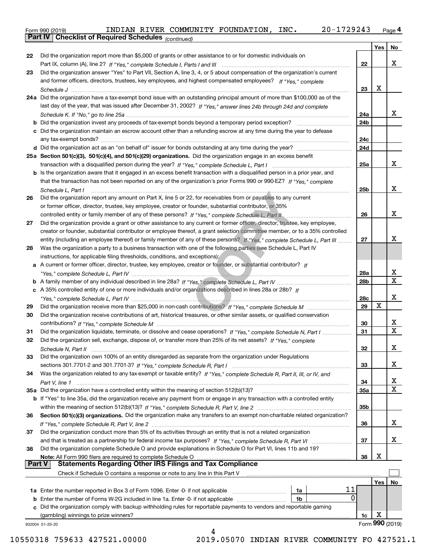| Form 990 (2019) |                                                              |  | INDIAN RIVER COMMUNITY FOUNDATION, INC. | 20-1729243 | Page $4$ |
|-----------------|--------------------------------------------------------------|--|-----------------------------------------|------------|----------|
|                 | <b>Part IV   Checklist of Required Schedules</b> (continued) |  |                                         |            |          |

*(continued)*

|               | 932004 01-20-20<br>4                                                                                                         |                 |     |                  |
|---------------|------------------------------------------------------------------------------------------------------------------------------|-----------------|-----|------------------|
|               |                                                                                                                              |                 |     | Form 990 (2019)  |
|               | (gambling) winnings to prize winners?                                                                                        | 1c              | х   |                  |
|               | c Did the organization comply with backup withholding rules for reportable payments to vendors and reportable gaming         |                 |     |                  |
|               | 0<br><b>b</b> Enter the number of Forms W-2G included in line 1a. Enter -0- if not applicable<br>1b                          |                 |     |                  |
|               | 11<br>1a Enter the number reported in Box 3 of Form 1096. Enter -0- if not applicable<br>1a                                  |                 |     |                  |
|               |                                                                                                                              |                 | Yes | No               |
|               | Check if Schedule O contains a response or note to any line in this Part V                                                   |                 |     |                  |
| <b>Part V</b> | <b>Statements Regarding Other IRS Filings and Tax Compliance</b>                                                             |                 |     |                  |
|               | Note: All Form 990 filers are required to complete Schedule O                                                                | 38              | х   |                  |
| 38            | Did the organization complete Schedule O and provide explanations in Schedule O for Part VI, lines 11b and 19?               |                 |     |                  |
|               |                                                                                                                              | 37              |     | х                |
| 37            | Did the organization conduct more than 5% of its activities through an entity that is not a related organization             |                 |     |                  |
|               |                                                                                                                              | 36              |     | x                |
| 36            | Section 501(c)(3) organizations. Did the organization make any transfers to an exempt non-charitable related organization?   |                 |     |                  |
|               |                                                                                                                              | 35b             |     |                  |
|               | b If "Yes" to line 35a, did the organization receive any payment from or engage in any transaction with a controlled entity  |                 |     |                  |
|               | 35a Did the organization have a controlled entity within the meaning of section 512(b)(13)?                                  | 35a             |     | X                |
|               |                                                                                                                              | 34              |     | X                |
| 34            | Was the organization related to any tax-exempt or taxable entity? If "Yes," complete Schedule R, Part II, III, or IV, and    |                 |     |                  |
|               |                                                                                                                              | 33              |     | x                |
| 33            | Did the organization own 100% of an entity disregarded as separate from the organization under Regulations                   |                 |     |                  |
|               |                                                                                                                              | 32              |     | х                |
| 32            | Did the organization sell, exchange, dispose of, or transfer more than 25% of its net assets? If "Yes," complete             |                 |     |                  |
| 31            | Did the organization liquidate, terminate, or dissolve and cease operations? If "Yes," complete Schedule N, Part I           | 31              |     | $\mathbf X$      |
|               |                                                                                                                              | 30              |     | x                |
| 30            | Did the organization receive contributions of art, historical treasures, or other similar assets, or qualified conservation  |                 |     |                  |
| 29            |                                                                                                                              | 29              | х   |                  |
|               |                                                                                                                              | <b>28c</b>      |     | х                |
|               | c A 35% controlled entity of one or more individuals and/or organizations described in lines 28a or 28b? If                  |                 |     |                  |
|               |                                                                                                                              | 28b             |     |                  |
|               |                                                                                                                              | 28a             |     | x<br>$\mathbf x$ |
|               | a A current or former officer, director, trustee, key employee, creator or founder, or substantial contributor? If           |                 |     |                  |
|               | instructions, for applicable filing thresholds, conditions, and exceptions):                                                 |                 |     |                  |
| 28            | Was the organization a party to a business transaction with one of the following parties (see Schedule L, Part IV            |                 |     |                  |
|               |                                                                                                                              |                 |     |                  |
|               | entity (including an employee thereof) or family member of any of these persons? If "Yes." complete Schedule L. Part III     | 27              |     | x                |
|               | creator or founder, substantial contributor or employee thereof, a grant selection committee member, or to a 35% controlled  |                 |     |                  |
| 27            | Did the organization provide a grant or other assistance to any current or former officer, director, trustee, key employee,  |                 |     |                  |
|               | controlled entity or family member of any of these persons? If "Yes," complete Schedule L, Part II                           | 26              |     | х                |
|               | or former officer, director, trustee, key employee, creator or founder, substantial contributor, or 35%                      |                 |     |                  |
| 26            | Did the organization report any amount on Part X, line 5 or 22, for receivables from or payables to any current              |                 |     |                  |
|               | Schedule L. Part I                                                                                                           | 25b             |     | х                |
|               | that the transaction has not been reported on any of the organization's prior Forms 990 or 990-EZ? If "Yes," complete        |                 |     |                  |
|               | b Is the organization aware that it engaged in an excess benefit transaction with a disqualified person in a prior year, and |                 |     |                  |
|               |                                                                                                                              | 25a             |     | x                |
|               | 25a Section 501(c)(3), 501(c)(4), and 501(c)(29) organizations. Did the organization engage in an excess benefit             |                 |     |                  |
|               |                                                                                                                              | 24d             |     |                  |
|               | any tax-exempt bonds?                                                                                                        | 24c             |     |                  |
|               | c Did the organization maintain an escrow account other than a refunding escrow at any time during the year to defease       |                 |     |                  |
|               | b Did the organization invest any proceeds of tax-exempt bonds beyond a temporary period exception?                          | 24 <sub>b</sub> |     |                  |
|               |                                                                                                                              | 24a             |     | x                |
|               | last day of the year, that was issued after December 31, 2002? If "Yes," answer lines 24b through 24d and complete           |                 |     |                  |
|               | 24a Did the organization have a tax-exempt bond issue with an outstanding principal amount of more than \$100,000 as of the  |                 |     |                  |
|               |                                                                                                                              | 23              | х   |                  |
|               | and former officers, directors, trustees, key employees, and highest compensated employees? If "Yes." complete               |                 |     |                  |
| 23            | Did the organization answer "Yes" to Part VII, Section A, line 3, 4, or 5 about compensation of the organization's current   |                 |     |                  |
|               |                                                                                                                              | 22              |     | х                |
| 22            | Did the organization report more than \$5,000 of grants or other assistance to or for domestic individuals on                |                 |     |                  |
|               |                                                                                                                              |                 | Yes | No               |

10550318 759633 427521.00000 2019.05070 INDIAN RIVER COMMUNITY FO 427521.1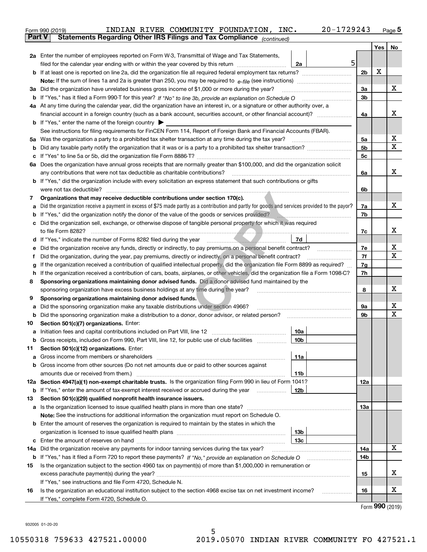|               | 20-1729243<br>INDIAN RIVER COMMUNITY FOUNDATION, INC.<br>Form 990 (2019)                                                                                                                                                                         |                |         | $Page$ <sup>5</sup> |  |  |
|---------------|--------------------------------------------------------------------------------------------------------------------------------------------------------------------------------------------------------------------------------------------------|----------------|---------|---------------------|--|--|
| <b>Part V</b> | Statements Regarding Other IRS Filings and Tax Compliance (continued)                                                                                                                                                                            |                |         |                     |  |  |
|               |                                                                                                                                                                                                                                                  |                | Yes $ $ | No                  |  |  |
|               | 2a Enter the number of employees reported on Form W-3, Transmittal of Wage and Tax Statements,                                                                                                                                                   |                |         |                     |  |  |
|               | 5<br>filed for the calendar year ending with or within the year covered by this return <i>manumumumum</i><br>2a                                                                                                                                  |                |         |                     |  |  |
|               |                                                                                                                                                                                                                                                  | 2 <sub>b</sub> | х       |                     |  |  |
|               |                                                                                                                                                                                                                                                  |                |         |                     |  |  |
|               | 3a Did the organization have unrelated business gross income of \$1,000 or more during the year?                                                                                                                                                 | 3a             |         | x                   |  |  |
|               |                                                                                                                                                                                                                                                  | 3b             |         |                     |  |  |
|               | 4a At any time during the calendar year, did the organization have an interest in, or a signature or other authority over, a                                                                                                                     |                |         | x                   |  |  |
|               |                                                                                                                                                                                                                                                  | 4a             |         |                     |  |  |
|               | <b>b</b> If "Yes," enter the name of the foreign country $\blacktriangleright$                                                                                                                                                                   |                |         |                     |  |  |
|               | See instructions for filing requirements for FinCEN Form 114, Report of Foreign Bank and Financial Accounts (FBAR).                                                                                                                              |                |         | х                   |  |  |
|               |                                                                                                                                                                                                                                                  | 5a             |         | $\mathbf X$         |  |  |
| b             |                                                                                                                                                                                                                                                  | 5b             |         |                     |  |  |
|               | 6a Does the organization have annual gross receipts that are normally greater than \$100,000, and did the organization solicit                                                                                                                   | 5c             |         |                     |  |  |
|               |                                                                                                                                                                                                                                                  |                |         | x                   |  |  |
|               | any contributions that were not tax deductible as charitable contributions?<br><b>b</b> If "Yes," did the organization include with every solicitation an express statement that such contributions or gifts                                     | 6a             |         |                     |  |  |
|               |                                                                                                                                                                                                                                                  |                |         |                     |  |  |
|               |                                                                                                                                                                                                                                                  | 6b             |         |                     |  |  |
| 7             | Organizations that may receive deductible contributions under section 170(c).<br>Did the organization receive a payment in excess of \$75 made partly as a contribution and partly for goods and services provided to the payor?                 | 7a             |         | x                   |  |  |
| а             | If "Yes," did the organization notify the donor of the value of the goods or services provided?                                                                                                                                                  | 7b             |         |                     |  |  |
| b             | the contract of the contract of the<br>c Did the organization sell, exchange, or otherwise dispose of tangible personal property for which it was required                                                                                       |                |         |                     |  |  |
|               |                                                                                                                                                                                                                                                  | 7c             |         | x                   |  |  |
|               | 7d                                                                                                                                                                                                                                               |                |         |                     |  |  |
|               | Did the organization receive any funds, directly or indirectly, to pay premiums on a personal benefit contract?                                                                                                                                  | 7e             |         | Х                   |  |  |
| е<br>f        |                                                                                                                                                                                                                                                  | 7f             |         | X                   |  |  |
| g             | Did the organization, during the year, pay premiums, directly or indirectly, on a personal benefit contract?<br>If the organization received a contribution of qualified intellectual property, did the organization file Form 8899 as required? |                |         |                     |  |  |
| h.            | If the organization received a contribution of cars, boats, airplanes, or other vehicles, did the organization file a Form 1098-C?                                                                                                               | 7g<br>7h       |         |                     |  |  |
| 8             | Sponsoring organizations maintaining donor advised funds. Did a donor advised fund maintained by the                                                                                                                                             |                |         |                     |  |  |
|               | sponsoring organization have excess business holdings at any time during the year?                                                                                                                                                               | 8              |         | Х                   |  |  |
| 9             | Sponsoring organizations maintaining donor advised funds.                                                                                                                                                                                        |                |         |                     |  |  |
| а             | Did the sponsoring organization make any taxable distributions under section 4966?                                                                                                                                                               | 9а             |         | х                   |  |  |
| b             | Did the sponsoring organization make a distribution to a donor, donor advisor, or related person?                                                                                                                                                | 9b             |         | х                   |  |  |
| 10            | Section 501(c)(7) organizations. Enter:                                                                                                                                                                                                          |                |         |                     |  |  |
|               | 10a                                                                                                                                                                                                                                              |                |         |                     |  |  |
|               | 10b <br>Gross receipts, included on Form 990, Part VIII, line 12, for public use of club facilities                                                                                                                                              |                |         |                     |  |  |
| 11            | Section 501(c)(12) organizations. Enter:                                                                                                                                                                                                         |                |         |                     |  |  |
| а             | Gross income from members or shareholders<br>11a                                                                                                                                                                                                 |                |         |                     |  |  |
|               | b Gross income from other sources (Do not net amounts due or paid to other sources against                                                                                                                                                       |                |         |                     |  |  |
|               | amounts due or received from them.)<br>11b                                                                                                                                                                                                       |                |         |                     |  |  |
|               | 12a Section 4947(a)(1) non-exempt charitable trusts. Is the organization filing Form 990 in lieu of Form 1041?                                                                                                                                   | 12a            |         |                     |  |  |
|               | 12b<br><b>b</b> If "Yes," enter the amount of tax-exempt interest received or accrued during the year <i>manument</i>                                                                                                                            |                |         |                     |  |  |
| 13            | Section 501(c)(29) qualified nonprofit health insurance issuers.                                                                                                                                                                                 |                |         |                     |  |  |
|               | a Is the organization licensed to issue qualified health plans in more than one state?                                                                                                                                                           | 13а            |         |                     |  |  |
|               | Note: See the instructions for additional information the organization must report on Schedule O.                                                                                                                                                |                |         |                     |  |  |
|               | <b>b</b> Enter the amount of reserves the organization is required to maintain by the states in which the                                                                                                                                        |                |         |                     |  |  |
|               | 13b                                                                                                                                                                                                                                              |                |         |                     |  |  |
|               | 13с                                                                                                                                                                                                                                              |                |         |                     |  |  |
|               | 14a Did the organization receive any payments for indoor tanning services during the tax year?                                                                                                                                                   | 14a            |         | x                   |  |  |
|               | <b>b</b> If "Yes," has it filed a Form 720 to report these payments? If "No," provide an explanation on Schedule O                                                                                                                               | 14b            |         |                     |  |  |
| 15            | Is the organization subject to the section 4960 tax on payment(s) of more than \$1,000,000 in remuneration or                                                                                                                                    |                |         |                     |  |  |
|               | excess parachute payment(s) during the year?                                                                                                                                                                                                     | 15             |         | x                   |  |  |
|               | If "Yes," see instructions and file Form 4720, Schedule N.                                                                                                                                                                                       |                |         |                     |  |  |
| 16            | Is the organization an educational institution subject to the section 4968 excise tax on net investment income?                                                                                                                                  | 16             |         | х                   |  |  |
|               | If "Yes," complete Form 4720, Schedule O.                                                                                                                                                                                                        |                |         |                     |  |  |

Form (2019) **990**

932005 01-20-20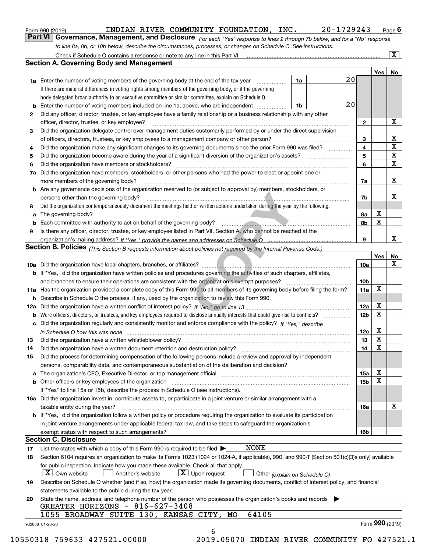| Form 990 (2019) |  |  |
|-----------------|--|--|
|                 |  |  |

#### INDIAN RIVER COMMUNITY FOUNDATION, INC. 20-1729243

*For each "Yes" response to lines 2 through 7b below, and for a "No" response to line 8a, 8b, or 10b below, describe the circumstances, processes, or changes on Schedule O. See instructions.* Form 990 (2019) **Conneil Conneil Conneil Page 6**<br>**Part VI** | Governance, Management, and Disclosure *For each "Yes" response to lines 2 through 7b below, and for a "No" response* 

|              |                                                                                                                                                                            |    |    |                 | Yes   No        |             |
|--------------|----------------------------------------------------------------------------------------------------------------------------------------------------------------------------|----|----|-----------------|-----------------|-------------|
|              | <b>1a</b> Enter the number of voting members of the governing body at the end of the tax year <i>manumum</i>                                                               | 1a | 20 |                 |                 |             |
|              | If there are material differences in voting rights among members of the governing body, or if the governing                                                                |    |    |                 |                 |             |
|              | body delegated broad authority to an executive committee or similar committee, explain on Schedule O.                                                                      |    |    |                 |                 |             |
|              |                                                                                                                                                                            | 1b | 20 |                 |                 |             |
| $\mathbf{2}$ | Did any officer, director, trustee, or key employee have a family relationship or a business relationship with any other                                                   |    |    |                 |                 |             |
|              | officer, director, trustee, or key employee?                                                                                                                               |    |    | $\mathbf{2}$    |                 | X           |
| 3            | Did the organization delegate control over management duties customarily performed by or under the direct supervision                                                      |    |    |                 |                 |             |
|              |                                                                                                                                                                            |    |    | 3               |                 | X           |
| 4            | Did the organization make any significant changes to its governing documents since the prior Form 990 was filed?                                                           |    |    | 4               |                 | $\mathbf X$ |
| 5            |                                                                                                                                                                            |    |    | 5               |                 | $\mathbf X$ |
| 6            | Did the organization have members or stockholders?                                                                                                                         |    |    | 6               |                 | X           |
|              | 7a Did the organization have members, stockholders, or other persons who had the power to elect or appoint one or                                                          |    |    |                 |                 |             |
|              |                                                                                                                                                                            |    |    | 7a              |                 | X           |
|              | <b>b</b> Are any governance decisions of the organization reserved to (or subject to approval by) members, stockholders, or                                                |    |    |                 |                 |             |
|              | persons other than the governing body?                                                                                                                                     |    |    | 7b              |                 | Х           |
| 8            | Did the organization contemporaneously document the meetings held or written actions undertaken during the year by the following:                                          |    |    |                 |                 |             |
| a            |                                                                                                                                                                            |    |    | 8а              | X               |             |
|              |                                                                                                                                                                            |    |    | 8b              | $\mathbf X$     |             |
| 9            | Is there any officer, director, trustee, or key employee listed in Part VII, Section A, who cannot be reached at the                                                       |    |    |                 |                 |             |
|              |                                                                                                                                                                            |    |    | 9               |                 | X           |
|              | Section B. Policies (This Section B requests information about policies not required by the Internal Revenue Code.)                                                        |    |    |                 |                 |             |
|              |                                                                                                                                                                            |    |    |                 | Yes             | <b>No</b>   |
|              |                                                                                                                                                                            |    |    | <b>10a</b>      |                 | X           |
|              | b If "Yes," did the organization have written policies and procedures governing the activities of such chapters, affiliates,                                               |    |    |                 |                 |             |
|              |                                                                                                                                                                            |    |    | 10 <sub>b</sub> |                 |             |
|              | 11a Has the organization provided a complete copy of this Form 990 to all members of its governing body before filing the form?                                            |    |    | 11a             | X               |             |
|              | <b>b</b> Describe in Schedule O the process, if any, used by the organization to review this Form 990.                                                                     |    |    |                 |                 |             |
|              |                                                                                                                                                                            |    |    | 12a             | X               |             |
| b            |                                                                                                                                                                            |    |    | 12 <sub>b</sub> | X               |             |
|              | c Did the organization regularly and consistently monitor and enforce compliance with the policy? If "Yes," describe                                                       |    |    |                 |                 |             |
|              | in Schedule O how this was done www.communication.com/www.communications.com/www.communications.com/                                                                       |    |    | 12c             | X               |             |
| 13           |                                                                                                                                                                            |    |    | 13              | $\mathbf X$     |             |
| 14           | Did the organization have a written document retention and destruction policy? manufactured and the organization have a written document retention and destruction policy? |    |    | 14              | $\mathbf X$     |             |
| 15           | Did the process for determining compensation of the following persons include a review and approval by independent                                                         |    |    |                 |                 |             |
|              | persons, comparability data, and contemporaneous substantiation of the deliberation and decision?                                                                          |    |    |                 |                 |             |
|              |                                                                                                                                                                            |    |    | 15a             | X               |             |
|              | <b>b</b> Other officers or key employees of the organization                                                                                                               |    |    | 15b             | X               |             |
|              | If "Yes" to line 15a or 15b, describe the process in Schedule O (see instructions).                                                                                        |    |    |                 |                 |             |
|              | 16a Did the organization invest in, contribute assets to, or participate in a joint venture or similar arrangement with a                                                  |    |    |                 |                 |             |
|              | taxable entity during the year?                                                                                                                                            |    |    | 16a             |                 | х           |
|              | <b>b</b> If "Yes," did the organization follow a written policy or procedure requiring the organization to evaluate its participation                                      |    |    |                 |                 |             |
|              | in joint venture arrangements under applicable federal tax law, and take steps to safeguard the organization's                                                             |    |    |                 |                 |             |
|              | exempt status with respect to such arrangements?                                                                                                                           |    |    | <b>16b</b>      |                 |             |
|              | <b>Section C. Disclosure</b>                                                                                                                                               |    |    |                 |                 |             |
| 17           | <b>NONE</b><br>List the states with which a copy of this Form 990 is required to be filed $\blacktriangleright$                                                            |    |    |                 |                 |             |
| 18           | Section 6104 requires an organization to make its Forms 1023 (1024 or 1024-A, if applicable), 990, and 990-T (Section 501(c)(3)s only) available                           |    |    |                 |                 |             |
|              | for public inspection. Indicate how you made these available. Check all that apply.                                                                                        |    |    |                 |                 |             |
|              | $X$ Upon request<br>$ X $ Own website<br>Another's website<br>Other (explain on Schedule O)                                                                                |    |    |                 |                 |             |
| 19           | Describe on Schedule O whether (and if so, how) the organization made its governing documents, conflict of interest policy, and financial                                  |    |    |                 |                 |             |
|              | statements available to the public during the tax year.                                                                                                                    |    |    |                 |                 |             |
| 20           | State the name, address, and telephone number of the person who possesses the organization's books and records                                                             |    |    |                 |                 |             |
|              | GREATER HORIZONS - 816-627-3408                                                                                                                                            |    |    |                 |                 |             |
|              | 1055 BROADWAY SUITE 130, KANSAS CITY, MO<br>64105                                                                                                                          |    |    |                 |                 |             |
|              |                                                                                                                                                                            |    |    |                 | Form 990 (2019) |             |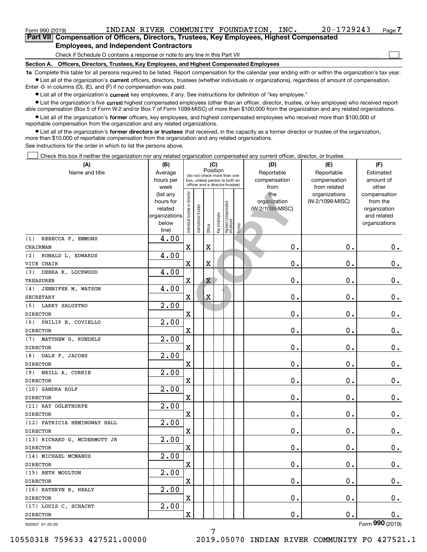| Form 990 (2019)                                                                             |                                               | INDIAN RIVER COMMUNITY FOUNDATION.                                           | INC. | $20 - 1729243$ | Page |
|---------------------------------------------------------------------------------------------|-----------------------------------------------|------------------------------------------------------------------------------|------|----------------|------|
| Part VIII Compensation of Officers, Directors, Trustees, Key Employees, Highest Compensated |                                               |                                                                              |      |                |      |
|                                                                                             | <b>Employees, and Independent Contractors</b> |                                                                              |      |                |      |
|                                                                                             |                                               | Check if Schedule O contains a response or note to any line in this Part VII |      |                |      |

**Section A. Officers, Directors, Trustees, Key Employees, and Highest Compensated Employees**

**1a**  Complete this table for all persons required to be listed. Report compensation for the calendar year ending with or within the organization's tax year. **•** List all of the organization's current officers, directors, trustees (whether individuals or organizations), regardless of amount of compensation.

Enter -0- in columns (D), (E), and (F) if no compensation was paid.

 $\bullet$  List all of the organization's  $\,$ current key employees, if any. See instructions for definition of "key employee."

**•** List the organization's five current highest compensated employees (other than an officer, director, trustee, or key employee) who received reportable compensation (Box 5 of Form W-2 and/or Box 7 of Form 1099-MISC) of more than \$100,000 from the organization and any related organizations.

**•** List all of the organization's former officers, key employees, and highest compensated employees who received more than \$100,000 of reportable compensation from the organization and any related organizations.

**former directors or trustees**  ¥ List all of the organization's that received, in the capacity as a former director or trustee of the organization, more than \$10,000 of reportable compensation from the organization and any related organizations.

See instructions for the order in which to list the persons above.

Check this box if neither the organization nor any related organization compensated any current officer, director, or trustee.  $\mathcal{L}^{\text{max}}$ 

| (A)                          | (B)               |                                |                                         | (C)                     |              |                                                                  |        | (D)             | (E)                           | (F)                   |
|------------------------------|-------------------|--------------------------------|-----------------------------------------|-------------------------|--------------|------------------------------------------------------------------|--------|-----------------|-------------------------------|-----------------------|
| Name and title               | Average           |                                | Position<br>(do not check more than one |                         |              |                                                                  |        | Reportable      | Reportable                    | Estimated             |
|                              | hours per         |                                |                                         |                         |              | box, unless person is both an<br>officer and a director/trustee) |        | compensation    | compensation                  | amount of             |
|                              | week<br>(list any |                                |                                         |                         |              |                                                                  |        | from<br>the     | from related<br>organizations | other<br>compensation |
|                              | hours for         | Individual trustee or director |                                         |                         |              |                                                                  |        | organization    | (W-2/1099-MISC)               | from the              |
|                              | related           |                                |                                         |                         |              |                                                                  |        | (W-2/1099-MISC) |                               | organization          |
|                              | organizations     |                                |                                         |                         |              |                                                                  |        |                 |                               | and related           |
|                              | below             |                                | nstitutional trustee                    |                         | Key employee |                                                                  |        |                 |                               | organizations         |
|                              | line)             |                                |                                         | Officer                 |              | Highest compensated<br> employee                                 | Former |                 |                               |                       |
| REBECCA F. EMMONS<br>(1)     | 4.00              |                                |                                         |                         |              |                                                                  |        |                 |                               |                       |
| CHAIRMAN                     |                   | $\mathbf X$                    |                                         | X                       |              |                                                                  |        | 0.              | 0.                            | $\mathbf 0$ .         |
| RONALD L. EDWARDS<br>(2)     | 4.00              |                                |                                         |                         |              |                                                                  |        |                 |                               |                       |
| VICE CHAIR                   |                   | $\mathbf x$                    |                                         | $\overline{\textbf{X}}$ |              |                                                                  |        | $\mathbf 0$ .   | 0.                            | $\mathbf 0$ .         |
| DEBRA K. LOCKWOOD<br>(3)     | 4.00              |                                |                                         |                         |              |                                                                  |        |                 |                               |                       |
| <b>TREASURER</b>             |                   | $\mathbf X$                    |                                         | Χ                       |              |                                                                  |        | 0.              | 0.                            | 0.                    |
| JENNIFER M. WATSON<br>(4)    | 4.00              |                                |                                         |                         |              |                                                                  |        |                 |                               |                       |
| <b>SECRETARY</b>             |                   | $\mathbf X$                    |                                         | $\mathbf X$             |              |                                                                  |        | 0.              | 0.                            | $0_{.}$               |
| <b>LARRY SALUSTRO</b><br>(5) | 2.00              |                                |                                         |                         |              |                                                                  |        |                 |                               |                       |
| <b>DIRECTOR</b>              |                   | $\overline{\textbf{X}}$        |                                         |                         |              |                                                                  |        | 0.              | 0.                            | $\mathbf 0$ .         |
| PHILIP E. COVIELLO<br>(6)    | 2.00              |                                |                                         |                         |              |                                                                  |        |                 |                               |                       |
| <b>DIRECTOR</b>              |                   | $\mathbf X$                    |                                         |                         |              |                                                                  |        | 0.              | 0.                            | $0$ .                 |
| MATTHEW G. RUNDELS<br>(7)    | 2.00              |                                |                                         |                         |              |                                                                  |        |                 |                               |                       |
| <b>DIRECTOR</b>              |                   | $\mathbf X$                    |                                         |                         |              |                                                                  |        | 0.              | 0.                            | 0.                    |
| DALE F. JACOBS<br>(8)        | 2.00              |                                |                                         |                         |              |                                                                  |        |                 |                               |                       |
| <b>DIRECTOR</b>              |                   | $\mathbf X$                    |                                         |                         |              |                                                                  |        | 0.              | 0.                            | $\mathbf 0$ .         |
| (9)<br>NEILL A. CURRIE       | 2.00              |                                |                                         |                         |              |                                                                  |        |                 |                               |                       |
| <b>DIRECTOR</b>              |                   | $\mathbf X$                    |                                         |                         |              |                                                                  |        | $\mathbf 0$ .   | 0.                            | $0$ .                 |
| (10) SANDRA ROLF             | 2.00              |                                |                                         |                         |              |                                                                  |        |                 |                               |                       |
| <b>DIRECTOR</b>              |                   | $\mathbf X$                    |                                         |                         |              |                                                                  |        | 0.              | 0.                            | $\mathbf 0$ .         |
| (11) RAY OGLETHORPE          | $\overline{2.00}$ |                                |                                         |                         |              |                                                                  |        |                 |                               |                       |
| <b>DIRECTOR</b>              |                   | $\mathbf X$                    |                                         |                         |              |                                                                  |        | 0.              | 0.                            | $\mathbf 0$ .         |
| (12) PATRICIA HEMINGWAY HALL | 2.00              |                                |                                         |                         |              |                                                                  |        |                 |                               |                       |
| <b>DIRECTOR</b>              |                   | $\mathbf X$                    |                                         |                         |              |                                                                  |        | 0.              | 0.                            | $0$ .                 |
| (13) RICHARD G. MCDERMOTT JR | 2.00              |                                |                                         |                         |              |                                                                  |        |                 |                               |                       |
| <b>DIRECTOR</b>              |                   | $\mathbf x$                    |                                         |                         |              |                                                                  |        | 0.              | 0.                            | $\mathbf 0$ .         |
| (14) MICHAEL MCMANUS         | 2.00              |                                |                                         |                         |              |                                                                  |        |                 |                               |                       |
| <b>DIRECTOR</b>              |                   | $\overline{\mathbf{X}}$        |                                         |                         |              |                                                                  |        | 0.              | 0.                            | $\mathbf 0$ .         |
| (15) BETH MOULTON            | 2.00              |                                |                                         |                         |              |                                                                  |        |                 |                               |                       |
| <b>DIRECTOR</b>              |                   | $\mathbf x$                    |                                         |                         |              |                                                                  |        | 0.              | 0.                            | 0.                    |
| (16) KATHRYN B. HEALY        | 2.00              |                                |                                         |                         |              |                                                                  |        |                 |                               |                       |
| <b>DIRECTOR</b>              |                   | $\mathbf x$                    |                                         |                         |              |                                                                  |        | 0.              | 0.                            | $\mathbf 0$ .         |
| (17) LOUIS C. SCHACHT        | 2.00              |                                |                                         |                         |              |                                                                  |        |                 |                               |                       |
| <b>DIRECTOR</b>              |                   | $\mathbf x$                    |                                         |                         |              |                                                                  |        | $\mathbf 0$ .   | $\mathbf 0$ .                 | 0.                    |
| 932007 01-20-20              |                   |                                |                                         |                         |              |                                                                  |        |                 |                               | Form 990 (2019)       |

Form (2019) **990**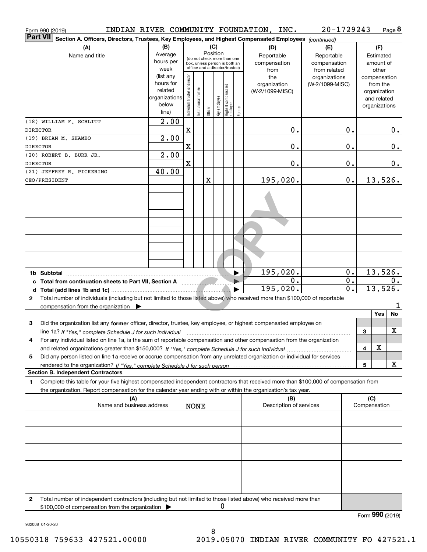| Form 990 (2019)                                                                                                                                                                                                                                             |                                                                      |                                |                                                                                                 |                 |              |                                  |        | INDIAN RIVER COMMUNITY FOUNDATION, INC.   | 20-1729243                                        |                  |                               |                                         | Page 8 |
|-------------------------------------------------------------------------------------------------------------------------------------------------------------------------------------------------------------------------------------------------------------|----------------------------------------------------------------------|--------------------------------|-------------------------------------------------------------------------------------------------|-----------------|--------------|----------------------------------|--------|-------------------------------------------|---------------------------------------------------|------------------|-------------------------------|-----------------------------------------|--------|
| <b>Part VII</b><br>Section A. Officers, Directors, Trustees, Key Employees, and Highest Compensated Employees (continued)                                                                                                                                   |                                                                      |                                |                                                                                                 |                 |              |                                  |        |                                           |                                                   |                  |                               |                                         |        |
| (A)<br>Name and title                                                                                                                                                                                                                                       | (B)<br>Average<br>hours per<br>week                                  |                                | (do not check more than one<br>box, unless person is both an<br>officer and a director/trustee) | (C)<br>Position |              |                                  |        | (D)<br>Reportable<br>compensation<br>from | (E)<br>Reportable<br>compensation<br>from related |                  |                               | (F)<br>Estimated<br>amount of<br>other  |        |
|                                                                                                                                                                                                                                                             | (list any<br>hours for<br>related<br>organizations<br>below<br>line) | Individual trustee or director | nstitutional trustee                                                                            | Officer         | Key employee | Highest compensated<br> employee | Former | the<br>organization<br>(W-2/1099-MISC)    | organizations<br>(W-2/1099-MISC)                  |                  | compensation<br>organizations | from the<br>organization<br>and related |        |
| (18) WILLIAM F. SCHLITT<br><b>DIRECTOR</b>                                                                                                                                                                                                                  | $\overline{2.00}$                                                    | X                              |                                                                                                 |                 |              |                                  |        | 0.                                        |                                                   | 0.               |                               |                                         | 0.     |
| (19) BRIAN M. SHAMBO<br><b>DIRECTOR</b>                                                                                                                                                                                                                     | 2.00                                                                 | X                              |                                                                                                 |                 |              |                                  |        | Ο.                                        |                                                   | 0.               |                               |                                         | 0.     |
| (20) ROBERT B. BURR JR.<br><b>DIRECTOR</b>                                                                                                                                                                                                                  | 2.00                                                                 | X                              |                                                                                                 |                 |              |                                  |        | Ο.                                        |                                                   | 0.               |                               |                                         | 0.     |
| (21) JEFFREY R. PICKERING<br>CEO/PRESIDENT                                                                                                                                                                                                                  | 40.00                                                                |                                |                                                                                                 | X               |              |                                  |        | 195,020.                                  |                                                   | 0.               |                               | 13,526.                                 |        |
|                                                                                                                                                                                                                                                             |                                                                      |                                |                                                                                                 |                 |              |                                  |        |                                           |                                                   |                  |                               |                                         |        |
|                                                                                                                                                                                                                                                             |                                                                      |                                |                                                                                                 |                 |              |                                  |        |                                           |                                                   |                  |                               |                                         |        |
|                                                                                                                                                                                                                                                             |                                                                      |                                |                                                                                                 |                 |              |                                  |        |                                           |                                                   |                  |                               |                                         |        |
|                                                                                                                                                                                                                                                             |                                                                      |                                |                                                                                                 |                 |              |                                  |        |                                           |                                                   |                  |                               |                                         |        |
|                                                                                                                                                                                                                                                             |                                                                      |                                |                                                                                                 |                 |              |                                  |        |                                           |                                                   |                  |                               |                                         |        |
| 1b Subtotal                                                                                                                                                                                                                                                 |                                                                      |                                |                                                                                                 |                 |              |                                  | ▶      | 195,020.<br>$\mathbf 0$ .                 |                                                   | 0.<br>0.         |                               | 13,526.                                 | 0.     |
| Total number of individuals (including but not limited to those listed above) who received more than \$100,000 of reportable<br>$\mathbf{2}$                                                                                                                |                                                                      |                                |                                                                                                 |                 |              |                                  |        | 195,020.                                  |                                                   | $\overline{0}$ . |                               | 13,526.                                 |        |
| compensation from the organization $\blacktriangleright$                                                                                                                                                                                                    |                                                                      |                                |                                                                                                 |                 |              |                                  |        |                                           |                                                   |                  |                               | Yes                                     | No     |
| Did the organization list any former officer, director, trustee, key employee, or highest compensated employee on<br>3<br>line 1a? If "Yes," complete Schedule J for such individual                                                                        |                                                                      |                                |                                                                                                 |                 |              |                                  |        |                                           |                                                   |                  | З                             |                                         | x      |
| For any individual listed on line 1a, is the sum of reportable compensation and other compensation from the organization<br>4                                                                                                                               |                                                                      |                                |                                                                                                 |                 |              |                                  |        |                                           |                                                   |                  | 4                             | х                                       |        |
| Did any person listed on line 1a receive or accrue compensation from any unrelated organization or individual for services<br>5                                                                                                                             |                                                                      |                                |                                                                                                 |                 |              |                                  |        |                                           |                                                   |                  | 5                             |                                         | x      |
| <b>Section B. Independent Contractors</b>                                                                                                                                                                                                                   |                                                                      |                                |                                                                                                 |                 |              |                                  |        |                                           |                                                   |                  |                               |                                         |        |
| Complete this table for your five highest compensated independent contractors that received more than \$100,000 of compensation from<br>1<br>the organization. Report compensation for the calendar year ending with or within the organization's tax year. |                                                                      |                                |                                                                                                 |                 |              |                                  |        |                                           |                                                   |                  |                               |                                         |        |
| (A)<br>Name and business address                                                                                                                                                                                                                            |                                                                      |                                | <b>NONE</b>                                                                                     |                 |              |                                  |        | (B)<br>Description of services            |                                                   |                  | (C)<br>Compensation           |                                         |        |
|                                                                                                                                                                                                                                                             |                                                                      |                                |                                                                                                 |                 |              |                                  |        |                                           |                                                   |                  |                               |                                         |        |
|                                                                                                                                                                                                                                                             |                                                                      |                                |                                                                                                 |                 |              |                                  |        |                                           |                                                   |                  |                               |                                         |        |
|                                                                                                                                                                                                                                                             |                                                                      |                                |                                                                                                 |                 |              |                                  |        |                                           |                                                   |                  |                               |                                         |        |
|                                                                                                                                                                                                                                                             |                                                                      |                                |                                                                                                 |                 |              |                                  |        |                                           |                                                   |                  |                               |                                         |        |
| Total number of independent contractors (including but not limited to those listed above) who received more than<br>2                                                                                                                                       |                                                                      |                                |                                                                                                 |                 |              |                                  |        |                                           |                                                   |                  |                               |                                         |        |
| \$100,000 of compensation from the organization                                                                                                                                                                                                             |                                                                      |                                |                                                                                                 |                 | 0            |                                  |        |                                           |                                                   |                  | Form 990 (2019)               |                                         |        |

932008 01-20-20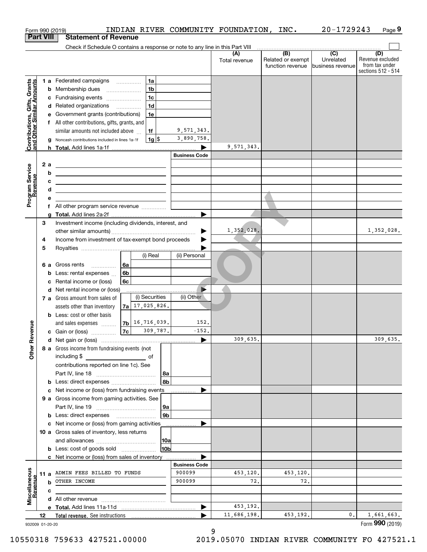| <b>Part VIII</b><br><b>Statement of Revenue</b><br>Check if Schedule O contains a response or note to any line in this Part VIII<br>(B)<br>$\overline{C}$<br>(D)<br>(A)<br>Revenue excluded<br>Related or exempt<br>Unrelated<br>Total revenue<br>from tax under<br>function revenue<br>business revenue<br>1a<br>1 a Federated campaigns<br>Contributions, Gifts, Grants<br><u>land Other Similar Amounts</u><br>1 <sub>b</sub><br><b>b</b> Membership dues<br>$\ldots \ldots \ldots \ldots \ldots$<br>1 <sub>c</sub><br>c Fundraising events<br>1 <sub>d</sub><br>d Related organizations<br>e Government grants (contributions)<br>1e<br>f All other contributions, gifts, grants, and<br>9,571,343.<br>similar amounts not included above<br>1f<br>3,890,758.<br>$1g$ \$<br>g Noncash contributions included in lines 1a-1f<br>9,571,343.<br><b>Business Code</b><br>2 a<br><u> 1989 - Johann Stoff, Amerikaansk politiker (</u><br>Program Service<br>Revenue<br>b<br><u> 1989 - Johann Barbara, martxa alemaniar amerikan basar da a</u><br>с<br><u> 1989 - Johann Barbara, martin amerikan basar dan berasal dalam basa dalam basar dalam basar dalam basa dalam</u><br>d<br><u> 1989 - Johann Barbara, martxa alemaniar a</u><br>е<br>f All other program service revenue<br>Investment income (including dividends, interest, and<br>З<br>1,352,028.<br>▶<br>Income from investment of tax-exempt bond proceeds<br>4<br>5<br>(i) Real<br>(ii) Personal<br><b>6 a</b> Gross rents<br>6a<br>6b<br><b>b</b> Less: rental expenses<br>6c<br>Rental income or (loss)<br>Þ<br>d Net rental income or (loss)<br>(i) Securities<br>(ii) Other<br>7 a Gross amount from sales of<br>$7a$ 17, 025, 826.<br>assets other than inventory<br><b>b</b> Less: cost or other basis<br>$7b$ 16, 716, 039.<br>152.<br>anueve<br>and sales expenses<br> 7c <br>309,787.<br>$-152.$<br>c Gain or (loss)<br>309,635.<br>Other R<br>8 a Gross income from fundraising events (not<br>including \$<br>of<br>contributions reported on line 1c). See<br>  8a<br>8b<br>c Net income or (loss) from fundraising events<br>9 a Gross income from gaming activities. See<br>9a<br>9b<br>c Net income or (loss) from gaming activities<br>10 a Gross sales of inventory, less returns<br> 10a<br>10 <sub>b</sub><br>c Net income or (loss) from sales of inventory<br><b>Business Code</b><br>Miscellaneous<br>Revenue<br>900099<br>453,120.<br>11 a ADMIN FEES BILLED TO FUNDS<br>453,120.<br>72.<br>900099<br>72.<br><b>b</b> OTHER INCOME<br>c<br>453,192.<br>▶<br>1,661,663.<br>11,686,198.<br>453,192.<br>0.<br>12<br>Form 990 (2019)<br>932009 01-20-20 |  | Form 990 (2019) |  | INDIAN RIVER COMMUNITY FOUNDATION, INC. | 20-1729243 | Page 9             |
|-------------------------------------------------------------------------------------------------------------------------------------------------------------------------------------------------------------------------------------------------------------------------------------------------------------------------------------------------------------------------------------------------------------------------------------------------------------------------------------------------------------------------------------------------------------------------------------------------------------------------------------------------------------------------------------------------------------------------------------------------------------------------------------------------------------------------------------------------------------------------------------------------------------------------------------------------------------------------------------------------------------------------------------------------------------------------------------------------------------------------------------------------------------------------------------------------------------------------------------------------------------------------------------------------------------------------------------------------------------------------------------------------------------------------------------------------------------------------------------------------------------------------------------------------------------------------------------------------------------------------------------------------------------------------------------------------------------------------------------------------------------------------------------------------------------------------------------------------------------------------------------------------------------------------------------------------------------------------------------------------------------------------------------------------------------------------------------------------------------------------------------------------------------------------------------------------------------------------------------------------------------------------------------------------------------------------------------------------------------------------------------------------------------------------------------------------------------------------------------------------------------------------------------------------------------------------------------------------------------------------------------------|--|-----------------|--|-----------------------------------------|------------|--------------------|
|                                                                                                                                                                                                                                                                                                                                                                                                                                                                                                                                                                                                                                                                                                                                                                                                                                                                                                                                                                                                                                                                                                                                                                                                                                                                                                                                                                                                                                                                                                                                                                                                                                                                                                                                                                                                                                                                                                                                                                                                                                                                                                                                                                                                                                                                                                                                                                                                                                                                                                                                                                                                                                           |  |                 |  |                                         |            |                    |
|                                                                                                                                                                                                                                                                                                                                                                                                                                                                                                                                                                                                                                                                                                                                                                                                                                                                                                                                                                                                                                                                                                                                                                                                                                                                                                                                                                                                                                                                                                                                                                                                                                                                                                                                                                                                                                                                                                                                                                                                                                                                                                                                                                                                                                                                                                                                                                                                                                                                                                                                                                                                                                           |  |                 |  |                                         |            |                    |
|                                                                                                                                                                                                                                                                                                                                                                                                                                                                                                                                                                                                                                                                                                                                                                                                                                                                                                                                                                                                                                                                                                                                                                                                                                                                                                                                                                                                                                                                                                                                                                                                                                                                                                                                                                                                                                                                                                                                                                                                                                                                                                                                                                                                                                                                                                                                                                                                                                                                                                                                                                                                                                           |  |                 |  |                                         |            | sections 512 - 514 |
|                                                                                                                                                                                                                                                                                                                                                                                                                                                                                                                                                                                                                                                                                                                                                                                                                                                                                                                                                                                                                                                                                                                                                                                                                                                                                                                                                                                                                                                                                                                                                                                                                                                                                                                                                                                                                                                                                                                                                                                                                                                                                                                                                                                                                                                                                                                                                                                                                                                                                                                                                                                                                                           |  |                 |  |                                         |            |                    |
|                                                                                                                                                                                                                                                                                                                                                                                                                                                                                                                                                                                                                                                                                                                                                                                                                                                                                                                                                                                                                                                                                                                                                                                                                                                                                                                                                                                                                                                                                                                                                                                                                                                                                                                                                                                                                                                                                                                                                                                                                                                                                                                                                                                                                                                                                                                                                                                                                                                                                                                                                                                                                                           |  |                 |  |                                         |            |                    |
|                                                                                                                                                                                                                                                                                                                                                                                                                                                                                                                                                                                                                                                                                                                                                                                                                                                                                                                                                                                                                                                                                                                                                                                                                                                                                                                                                                                                                                                                                                                                                                                                                                                                                                                                                                                                                                                                                                                                                                                                                                                                                                                                                                                                                                                                                                                                                                                                                                                                                                                                                                                                                                           |  |                 |  |                                         |            |                    |
|                                                                                                                                                                                                                                                                                                                                                                                                                                                                                                                                                                                                                                                                                                                                                                                                                                                                                                                                                                                                                                                                                                                                                                                                                                                                                                                                                                                                                                                                                                                                                                                                                                                                                                                                                                                                                                                                                                                                                                                                                                                                                                                                                                                                                                                                                                                                                                                                                                                                                                                                                                                                                                           |  |                 |  |                                         |            |                    |
|                                                                                                                                                                                                                                                                                                                                                                                                                                                                                                                                                                                                                                                                                                                                                                                                                                                                                                                                                                                                                                                                                                                                                                                                                                                                                                                                                                                                                                                                                                                                                                                                                                                                                                                                                                                                                                                                                                                                                                                                                                                                                                                                                                                                                                                                                                                                                                                                                                                                                                                                                                                                                                           |  |                 |  |                                         |            |                    |
|                                                                                                                                                                                                                                                                                                                                                                                                                                                                                                                                                                                                                                                                                                                                                                                                                                                                                                                                                                                                                                                                                                                                                                                                                                                                                                                                                                                                                                                                                                                                                                                                                                                                                                                                                                                                                                                                                                                                                                                                                                                                                                                                                                                                                                                                                                                                                                                                                                                                                                                                                                                                                                           |  |                 |  |                                         |            |                    |
|                                                                                                                                                                                                                                                                                                                                                                                                                                                                                                                                                                                                                                                                                                                                                                                                                                                                                                                                                                                                                                                                                                                                                                                                                                                                                                                                                                                                                                                                                                                                                                                                                                                                                                                                                                                                                                                                                                                                                                                                                                                                                                                                                                                                                                                                                                                                                                                                                                                                                                                                                                                                                                           |  |                 |  |                                         |            |                    |
|                                                                                                                                                                                                                                                                                                                                                                                                                                                                                                                                                                                                                                                                                                                                                                                                                                                                                                                                                                                                                                                                                                                                                                                                                                                                                                                                                                                                                                                                                                                                                                                                                                                                                                                                                                                                                                                                                                                                                                                                                                                                                                                                                                                                                                                                                                                                                                                                                                                                                                                                                                                                                                           |  |                 |  |                                         |            |                    |
|                                                                                                                                                                                                                                                                                                                                                                                                                                                                                                                                                                                                                                                                                                                                                                                                                                                                                                                                                                                                                                                                                                                                                                                                                                                                                                                                                                                                                                                                                                                                                                                                                                                                                                                                                                                                                                                                                                                                                                                                                                                                                                                                                                                                                                                                                                                                                                                                                                                                                                                                                                                                                                           |  |                 |  |                                         |            |                    |
|                                                                                                                                                                                                                                                                                                                                                                                                                                                                                                                                                                                                                                                                                                                                                                                                                                                                                                                                                                                                                                                                                                                                                                                                                                                                                                                                                                                                                                                                                                                                                                                                                                                                                                                                                                                                                                                                                                                                                                                                                                                                                                                                                                                                                                                                                                                                                                                                                                                                                                                                                                                                                                           |  |                 |  |                                         |            |                    |
|                                                                                                                                                                                                                                                                                                                                                                                                                                                                                                                                                                                                                                                                                                                                                                                                                                                                                                                                                                                                                                                                                                                                                                                                                                                                                                                                                                                                                                                                                                                                                                                                                                                                                                                                                                                                                                                                                                                                                                                                                                                                                                                                                                                                                                                                                                                                                                                                                                                                                                                                                                                                                                           |  |                 |  |                                         |            |                    |
|                                                                                                                                                                                                                                                                                                                                                                                                                                                                                                                                                                                                                                                                                                                                                                                                                                                                                                                                                                                                                                                                                                                                                                                                                                                                                                                                                                                                                                                                                                                                                                                                                                                                                                                                                                                                                                                                                                                                                                                                                                                                                                                                                                                                                                                                                                                                                                                                                                                                                                                                                                                                                                           |  |                 |  |                                         |            |                    |
|                                                                                                                                                                                                                                                                                                                                                                                                                                                                                                                                                                                                                                                                                                                                                                                                                                                                                                                                                                                                                                                                                                                                                                                                                                                                                                                                                                                                                                                                                                                                                                                                                                                                                                                                                                                                                                                                                                                                                                                                                                                                                                                                                                                                                                                                                                                                                                                                                                                                                                                                                                                                                                           |  |                 |  |                                         |            |                    |
|                                                                                                                                                                                                                                                                                                                                                                                                                                                                                                                                                                                                                                                                                                                                                                                                                                                                                                                                                                                                                                                                                                                                                                                                                                                                                                                                                                                                                                                                                                                                                                                                                                                                                                                                                                                                                                                                                                                                                                                                                                                                                                                                                                                                                                                                                                                                                                                                                                                                                                                                                                                                                                           |  |                 |  |                                         |            |                    |
|                                                                                                                                                                                                                                                                                                                                                                                                                                                                                                                                                                                                                                                                                                                                                                                                                                                                                                                                                                                                                                                                                                                                                                                                                                                                                                                                                                                                                                                                                                                                                                                                                                                                                                                                                                                                                                                                                                                                                                                                                                                                                                                                                                                                                                                                                                                                                                                                                                                                                                                                                                                                                                           |  |                 |  |                                         |            |                    |
|                                                                                                                                                                                                                                                                                                                                                                                                                                                                                                                                                                                                                                                                                                                                                                                                                                                                                                                                                                                                                                                                                                                                                                                                                                                                                                                                                                                                                                                                                                                                                                                                                                                                                                                                                                                                                                                                                                                                                                                                                                                                                                                                                                                                                                                                                                                                                                                                                                                                                                                                                                                                                                           |  |                 |  |                                         |            |                    |
|                                                                                                                                                                                                                                                                                                                                                                                                                                                                                                                                                                                                                                                                                                                                                                                                                                                                                                                                                                                                                                                                                                                                                                                                                                                                                                                                                                                                                                                                                                                                                                                                                                                                                                                                                                                                                                                                                                                                                                                                                                                                                                                                                                                                                                                                                                                                                                                                                                                                                                                                                                                                                                           |  |                 |  |                                         |            |                    |
|                                                                                                                                                                                                                                                                                                                                                                                                                                                                                                                                                                                                                                                                                                                                                                                                                                                                                                                                                                                                                                                                                                                                                                                                                                                                                                                                                                                                                                                                                                                                                                                                                                                                                                                                                                                                                                                                                                                                                                                                                                                                                                                                                                                                                                                                                                                                                                                                                                                                                                                                                                                                                                           |  |                 |  |                                         |            | 1,352,028.         |
|                                                                                                                                                                                                                                                                                                                                                                                                                                                                                                                                                                                                                                                                                                                                                                                                                                                                                                                                                                                                                                                                                                                                                                                                                                                                                                                                                                                                                                                                                                                                                                                                                                                                                                                                                                                                                                                                                                                                                                                                                                                                                                                                                                                                                                                                                                                                                                                                                                                                                                                                                                                                                                           |  |                 |  |                                         |            |                    |
|                                                                                                                                                                                                                                                                                                                                                                                                                                                                                                                                                                                                                                                                                                                                                                                                                                                                                                                                                                                                                                                                                                                                                                                                                                                                                                                                                                                                                                                                                                                                                                                                                                                                                                                                                                                                                                                                                                                                                                                                                                                                                                                                                                                                                                                                                                                                                                                                                                                                                                                                                                                                                                           |  |                 |  |                                         |            |                    |
|                                                                                                                                                                                                                                                                                                                                                                                                                                                                                                                                                                                                                                                                                                                                                                                                                                                                                                                                                                                                                                                                                                                                                                                                                                                                                                                                                                                                                                                                                                                                                                                                                                                                                                                                                                                                                                                                                                                                                                                                                                                                                                                                                                                                                                                                                                                                                                                                                                                                                                                                                                                                                                           |  |                 |  |                                         |            |                    |
|                                                                                                                                                                                                                                                                                                                                                                                                                                                                                                                                                                                                                                                                                                                                                                                                                                                                                                                                                                                                                                                                                                                                                                                                                                                                                                                                                                                                                                                                                                                                                                                                                                                                                                                                                                                                                                                                                                                                                                                                                                                                                                                                                                                                                                                                                                                                                                                                                                                                                                                                                                                                                                           |  |                 |  |                                         |            |                    |
|                                                                                                                                                                                                                                                                                                                                                                                                                                                                                                                                                                                                                                                                                                                                                                                                                                                                                                                                                                                                                                                                                                                                                                                                                                                                                                                                                                                                                                                                                                                                                                                                                                                                                                                                                                                                                                                                                                                                                                                                                                                                                                                                                                                                                                                                                                                                                                                                                                                                                                                                                                                                                                           |  |                 |  |                                         |            |                    |
|                                                                                                                                                                                                                                                                                                                                                                                                                                                                                                                                                                                                                                                                                                                                                                                                                                                                                                                                                                                                                                                                                                                                                                                                                                                                                                                                                                                                                                                                                                                                                                                                                                                                                                                                                                                                                                                                                                                                                                                                                                                                                                                                                                                                                                                                                                                                                                                                                                                                                                                                                                                                                                           |  |                 |  |                                         |            |                    |
|                                                                                                                                                                                                                                                                                                                                                                                                                                                                                                                                                                                                                                                                                                                                                                                                                                                                                                                                                                                                                                                                                                                                                                                                                                                                                                                                                                                                                                                                                                                                                                                                                                                                                                                                                                                                                                                                                                                                                                                                                                                                                                                                                                                                                                                                                                                                                                                                                                                                                                                                                                                                                                           |  |                 |  |                                         |            |                    |
|                                                                                                                                                                                                                                                                                                                                                                                                                                                                                                                                                                                                                                                                                                                                                                                                                                                                                                                                                                                                                                                                                                                                                                                                                                                                                                                                                                                                                                                                                                                                                                                                                                                                                                                                                                                                                                                                                                                                                                                                                                                                                                                                                                                                                                                                                                                                                                                                                                                                                                                                                                                                                                           |  |                 |  |                                         |            |                    |
|                                                                                                                                                                                                                                                                                                                                                                                                                                                                                                                                                                                                                                                                                                                                                                                                                                                                                                                                                                                                                                                                                                                                                                                                                                                                                                                                                                                                                                                                                                                                                                                                                                                                                                                                                                                                                                                                                                                                                                                                                                                                                                                                                                                                                                                                                                                                                                                                                                                                                                                                                                                                                                           |  |                 |  |                                         |            |                    |
|                                                                                                                                                                                                                                                                                                                                                                                                                                                                                                                                                                                                                                                                                                                                                                                                                                                                                                                                                                                                                                                                                                                                                                                                                                                                                                                                                                                                                                                                                                                                                                                                                                                                                                                                                                                                                                                                                                                                                                                                                                                                                                                                                                                                                                                                                                                                                                                                                                                                                                                                                                                                                                           |  |                 |  |                                         |            |                    |
|                                                                                                                                                                                                                                                                                                                                                                                                                                                                                                                                                                                                                                                                                                                                                                                                                                                                                                                                                                                                                                                                                                                                                                                                                                                                                                                                                                                                                                                                                                                                                                                                                                                                                                                                                                                                                                                                                                                                                                                                                                                                                                                                                                                                                                                                                                                                                                                                                                                                                                                                                                                                                                           |  |                 |  |                                         |            |                    |
|                                                                                                                                                                                                                                                                                                                                                                                                                                                                                                                                                                                                                                                                                                                                                                                                                                                                                                                                                                                                                                                                                                                                                                                                                                                                                                                                                                                                                                                                                                                                                                                                                                                                                                                                                                                                                                                                                                                                                                                                                                                                                                                                                                                                                                                                                                                                                                                                                                                                                                                                                                                                                                           |  |                 |  |                                         |            | 309,635.           |
|                                                                                                                                                                                                                                                                                                                                                                                                                                                                                                                                                                                                                                                                                                                                                                                                                                                                                                                                                                                                                                                                                                                                                                                                                                                                                                                                                                                                                                                                                                                                                                                                                                                                                                                                                                                                                                                                                                                                                                                                                                                                                                                                                                                                                                                                                                                                                                                                                                                                                                                                                                                                                                           |  |                 |  |                                         |            |                    |
|                                                                                                                                                                                                                                                                                                                                                                                                                                                                                                                                                                                                                                                                                                                                                                                                                                                                                                                                                                                                                                                                                                                                                                                                                                                                                                                                                                                                                                                                                                                                                                                                                                                                                                                                                                                                                                                                                                                                                                                                                                                                                                                                                                                                                                                                                                                                                                                                                                                                                                                                                                                                                                           |  |                 |  |                                         |            |                    |
|                                                                                                                                                                                                                                                                                                                                                                                                                                                                                                                                                                                                                                                                                                                                                                                                                                                                                                                                                                                                                                                                                                                                                                                                                                                                                                                                                                                                                                                                                                                                                                                                                                                                                                                                                                                                                                                                                                                                                                                                                                                                                                                                                                                                                                                                                                                                                                                                                                                                                                                                                                                                                                           |  |                 |  |                                         |            |                    |
|                                                                                                                                                                                                                                                                                                                                                                                                                                                                                                                                                                                                                                                                                                                                                                                                                                                                                                                                                                                                                                                                                                                                                                                                                                                                                                                                                                                                                                                                                                                                                                                                                                                                                                                                                                                                                                                                                                                                                                                                                                                                                                                                                                                                                                                                                                                                                                                                                                                                                                                                                                                                                                           |  |                 |  |                                         |            |                    |
|                                                                                                                                                                                                                                                                                                                                                                                                                                                                                                                                                                                                                                                                                                                                                                                                                                                                                                                                                                                                                                                                                                                                                                                                                                                                                                                                                                                                                                                                                                                                                                                                                                                                                                                                                                                                                                                                                                                                                                                                                                                                                                                                                                                                                                                                                                                                                                                                                                                                                                                                                                                                                                           |  |                 |  |                                         |            |                    |
|                                                                                                                                                                                                                                                                                                                                                                                                                                                                                                                                                                                                                                                                                                                                                                                                                                                                                                                                                                                                                                                                                                                                                                                                                                                                                                                                                                                                                                                                                                                                                                                                                                                                                                                                                                                                                                                                                                                                                                                                                                                                                                                                                                                                                                                                                                                                                                                                                                                                                                                                                                                                                                           |  |                 |  |                                         |            |                    |
|                                                                                                                                                                                                                                                                                                                                                                                                                                                                                                                                                                                                                                                                                                                                                                                                                                                                                                                                                                                                                                                                                                                                                                                                                                                                                                                                                                                                                                                                                                                                                                                                                                                                                                                                                                                                                                                                                                                                                                                                                                                                                                                                                                                                                                                                                                                                                                                                                                                                                                                                                                                                                                           |  |                 |  |                                         |            |                    |
|                                                                                                                                                                                                                                                                                                                                                                                                                                                                                                                                                                                                                                                                                                                                                                                                                                                                                                                                                                                                                                                                                                                                                                                                                                                                                                                                                                                                                                                                                                                                                                                                                                                                                                                                                                                                                                                                                                                                                                                                                                                                                                                                                                                                                                                                                                                                                                                                                                                                                                                                                                                                                                           |  |                 |  |                                         |            |                    |
|                                                                                                                                                                                                                                                                                                                                                                                                                                                                                                                                                                                                                                                                                                                                                                                                                                                                                                                                                                                                                                                                                                                                                                                                                                                                                                                                                                                                                                                                                                                                                                                                                                                                                                                                                                                                                                                                                                                                                                                                                                                                                                                                                                                                                                                                                                                                                                                                                                                                                                                                                                                                                                           |  |                 |  |                                         |            |                    |
|                                                                                                                                                                                                                                                                                                                                                                                                                                                                                                                                                                                                                                                                                                                                                                                                                                                                                                                                                                                                                                                                                                                                                                                                                                                                                                                                                                                                                                                                                                                                                                                                                                                                                                                                                                                                                                                                                                                                                                                                                                                                                                                                                                                                                                                                                                                                                                                                                                                                                                                                                                                                                                           |  |                 |  |                                         |            |                    |
|                                                                                                                                                                                                                                                                                                                                                                                                                                                                                                                                                                                                                                                                                                                                                                                                                                                                                                                                                                                                                                                                                                                                                                                                                                                                                                                                                                                                                                                                                                                                                                                                                                                                                                                                                                                                                                                                                                                                                                                                                                                                                                                                                                                                                                                                                                                                                                                                                                                                                                                                                                                                                                           |  |                 |  |                                         |            |                    |
|                                                                                                                                                                                                                                                                                                                                                                                                                                                                                                                                                                                                                                                                                                                                                                                                                                                                                                                                                                                                                                                                                                                                                                                                                                                                                                                                                                                                                                                                                                                                                                                                                                                                                                                                                                                                                                                                                                                                                                                                                                                                                                                                                                                                                                                                                                                                                                                                                                                                                                                                                                                                                                           |  |                 |  |                                         |            |                    |
|                                                                                                                                                                                                                                                                                                                                                                                                                                                                                                                                                                                                                                                                                                                                                                                                                                                                                                                                                                                                                                                                                                                                                                                                                                                                                                                                                                                                                                                                                                                                                                                                                                                                                                                                                                                                                                                                                                                                                                                                                                                                                                                                                                                                                                                                                                                                                                                                                                                                                                                                                                                                                                           |  |                 |  |                                         |            |                    |
|                                                                                                                                                                                                                                                                                                                                                                                                                                                                                                                                                                                                                                                                                                                                                                                                                                                                                                                                                                                                                                                                                                                                                                                                                                                                                                                                                                                                                                                                                                                                                                                                                                                                                                                                                                                                                                                                                                                                                                                                                                                                                                                                                                                                                                                                                                                                                                                                                                                                                                                                                                                                                                           |  |                 |  |                                         |            |                    |
|                                                                                                                                                                                                                                                                                                                                                                                                                                                                                                                                                                                                                                                                                                                                                                                                                                                                                                                                                                                                                                                                                                                                                                                                                                                                                                                                                                                                                                                                                                                                                                                                                                                                                                                                                                                                                                                                                                                                                                                                                                                                                                                                                                                                                                                                                                                                                                                                                                                                                                                                                                                                                                           |  |                 |  |                                         |            |                    |
|                                                                                                                                                                                                                                                                                                                                                                                                                                                                                                                                                                                                                                                                                                                                                                                                                                                                                                                                                                                                                                                                                                                                                                                                                                                                                                                                                                                                                                                                                                                                                                                                                                                                                                                                                                                                                                                                                                                                                                                                                                                                                                                                                                                                                                                                                                                                                                                                                                                                                                                                                                                                                                           |  |                 |  |                                         |            |                    |
|                                                                                                                                                                                                                                                                                                                                                                                                                                                                                                                                                                                                                                                                                                                                                                                                                                                                                                                                                                                                                                                                                                                                                                                                                                                                                                                                                                                                                                                                                                                                                                                                                                                                                                                                                                                                                                                                                                                                                                                                                                                                                                                                                                                                                                                                                                                                                                                                                                                                                                                                                                                                                                           |  |                 |  |                                         |            |                    |
|                                                                                                                                                                                                                                                                                                                                                                                                                                                                                                                                                                                                                                                                                                                                                                                                                                                                                                                                                                                                                                                                                                                                                                                                                                                                                                                                                                                                                                                                                                                                                                                                                                                                                                                                                                                                                                                                                                                                                                                                                                                                                                                                                                                                                                                                                                                                                                                                                                                                                                                                                                                                                                           |  |                 |  |                                         |            |                    |
|                                                                                                                                                                                                                                                                                                                                                                                                                                                                                                                                                                                                                                                                                                                                                                                                                                                                                                                                                                                                                                                                                                                                                                                                                                                                                                                                                                                                                                                                                                                                                                                                                                                                                                                                                                                                                                                                                                                                                                                                                                                                                                                                                                                                                                                                                                                                                                                                                                                                                                                                                                                                                                           |  |                 |  |                                         |            |                    |

10550318 759633 427521.00000 2019.05070 INDIAN RIVER COMMUNITY FO 427521.1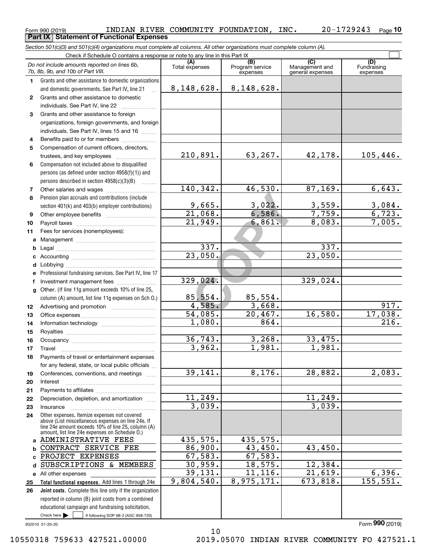#### <code>Form</code> 990 (2019) INDIAN RIVER COMMUNITY <code>FOUNDATION</code> , <code>INC.  $20$ – $1729243$  <code>Page</code></code> **10 Part IX Statement of Functional Expenses**

*Section 501(c)(3) and 501(c)(4) organizations must complete all columns. All other organizations must complete column (A).*

|                | Check if Schedule O contains a response or note to any line in this Part IX                                                                                                                                |                       |                                    |                                                      |                                |  |  |  |  |  |
|----------------|------------------------------------------------------------------------------------------------------------------------------------------------------------------------------------------------------------|-----------------------|------------------------------------|------------------------------------------------------|--------------------------------|--|--|--|--|--|
|                | Do not include amounts reported on lines 6b,<br>7b, 8b, 9b, and 10b of Part VIII.                                                                                                                          | (A)<br>Total expenses | (B)<br>Program service<br>expenses | $\overline{C}$<br>Management and<br>general expenses | (D)<br>Fundraising<br>expenses |  |  |  |  |  |
| 1.             | Grants and other assistance to domestic organizations                                                                                                                                                      |                       |                                    |                                                      |                                |  |  |  |  |  |
|                | and domestic governments. See Part IV, line 21                                                                                                                                                             | 8, 148, 628.          | 8, 148, 628.                       |                                                      |                                |  |  |  |  |  |
| $\mathbf{2}$   | Grants and other assistance to domestic                                                                                                                                                                    |                       |                                    |                                                      |                                |  |  |  |  |  |
|                | individuals. See Part IV, line 22                                                                                                                                                                          |                       |                                    |                                                      |                                |  |  |  |  |  |
| 3              | Grants and other assistance to foreign                                                                                                                                                                     |                       |                                    |                                                      |                                |  |  |  |  |  |
|                | organizations, foreign governments, and foreign                                                                                                                                                            |                       |                                    |                                                      |                                |  |  |  |  |  |
|                | individuals. See Part IV, lines 15 and 16                                                                                                                                                                  |                       |                                    |                                                      |                                |  |  |  |  |  |
| 4              | Benefits paid to or for members                                                                                                                                                                            |                       |                                    |                                                      |                                |  |  |  |  |  |
| 5              | Compensation of current officers, directors,                                                                                                                                                               |                       |                                    |                                                      |                                |  |  |  |  |  |
|                | trustees, and key employees                                                                                                                                                                                | 210,891.              | 63,267.                            | 42,178.                                              | 105,446.                       |  |  |  |  |  |
| 6              | Compensation not included above to disqualified                                                                                                                                                            |                       |                                    |                                                      |                                |  |  |  |  |  |
|                | persons (as defined under section 4958(f)(1)) and                                                                                                                                                          |                       |                                    |                                                      |                                |  |  |  |  |  |
|                | persons described in section $4958(c)(3)(B)$<br>$\sim$                                                                                                                                                     |                       |                                    |                                                      |                                |  |  |  |  |  |
| $\overline{7}$ |                                                                                                                                                                                                            | 140, 342.             | 46,530.                            | 87, 169.                                             | 6,643.                         |  |  |  |  |  |
| 8              | Pension plan accruals and contributions (include                                                                                                                                                           |                       |                                    |                                                      |                                |  |  |  |  |  |
|                | section 401(k) and 403(b) employer contributions)                                                                                                                                                          | 9,665.                | 3,022.                             | 3,559.                                               | $\frac{3,084.}{6,723.}$        |  |  |  |  |  |
| 9              |                                                                                                                                                                                                            | $\overline{21,068}$ . | 6,586.                             | 7,759.                                               |                                |  |  |  |  |  |
| 10             |                                                                                                                                                                                                            | $\overline{21,949}$ . | 6,861.                             | 8,083.                                               | 7,005.                         |  |  |  |  |  |
| 11             | Fees for services (nonemployees):                                                                                                                                                                          |                       |                                    |                                                      |                                |  |  |  |  |  |
| а              |                                                                                                                                                                                                            |                       |                                    |                                                      |                                |  |  |  |  |  |
| b              |                                                                                                                                                                                                            | 337.<br>23,050.       |                                    | 337.<br>23,050.                                      |                                |  |  |  |  |  |
| с              |                                                                                                                                                                                                            |                       |                                    |                                                      |                                |  |  |  |  |  |
| d              |                                                                                                                                                                                                            |                       |                                    |                                                      |                                |  |  |  |  |  |
| е              | Professional fundraising services. See Part IV, line 17                                                                                                                                                    | 329,024.              |                                    | 329,024.                                             |                                |  |  |  |  |  |
| f              | Investment management fees                                                                                                                                                                                 |                       |                                    |                                                      |                                |  |  |  |  |  |
| g              | Other. (If line 11g amount exceeds 10% of line 25,                                                                                                                                                         | 85,554.               | 85,554.                            |                                                      |                                |  |  |  |  |  |
|                | column (A) amount, list line 11g expenses on Sch O.)                                                                                                                                                       | 4,585.                | 3,668.                             |                                                      | 917.                           |  |  |  |  |  |
| 12<br>13       |                                                                                                                                                                                                            | 54,085.               | 20,467.                            | 16,580.                                              | 17,038.                        |  |  |  |  |  |
| 14             |                                                                                                                                                                                                            | 1,080.                | 864.                               |                                                      | 216.                           |  |  |  |  |  |
| 15             |                                                                                                                                                                                                            |                       |                                    |                                                      |                                |  |  |  |  |  |
| 16             |                                                                                                                                                                                                            | 36, 743.              | 3,268.                             | 33,475.                                              |                                |  |  |  |  |  |
| 17             | Travel                                                                                                                                                                                                     | 3,962.                | 1,981.                             | 1,981.                                               |                                |  |  |  |  |  |
| 18             | Payments of travel or entertainment expenses                                                                                                                                                               |                       |                                    |                                                      |                                |  |  |  |  |  |
|                | for any federal, state, or local public officials                                                                                                                                                          |                       |                                    |                                                      |                                |  |  |  |  |  |
| 19             | Conferences, conventions, and meetings                                                                                                                                                                     | 39,141.               | 8,176.                             | 28,882.                                              | 2,083.                         |  |  |  |  |  |
| 20             | Interest                                                                                                                                                                                                   |                       |                                    |                                                      |                                |  |  |  |  |  |
| 21             |                                                                                                                                                                                                            |                       |                                    |                                                      |                                |  |  |  |  |  |
| 22             | Depreciation, depletion, and amortization                                                                                                                                                                  | 11,249.               |                                    | 11,249.                                              |                                |  |  |  |  |  |
| 23             | Insurance                                                                                                                                                                                                  | 3,039.                |                                    | 3,039.                                               |                                |  |  |  |  |  |
| 24             | Other expenses. Itemize expenses not covered<br>above (List miscellaneous expenses on line 24e. If<br>line 24e amount exceeds 10% of line 25, column (A)<br>amount, list line 24e expenses on Schedule O.) |                       |                                    |                                                      |                                |  |  |  |  |  |
| a              | ADMINISTRATIVE FEES                                                                                                                                                                                        | 435,575.              | 435,575.                           |                                                      |                                |  |  |  |  |  |
| b              | CONTRACT SERVICE FEE                                                                                                                                                                                       | 86,900.               | 43,450.                            | 43,450.                                              |                                |  |  |  |  |  |
| C              | PROJECT EXPENSES                                                                                                                                                                                           | 67,583.               | 67,583.                            |                                                      |                                |  |  |  |  |  |
| d              | SUBSCRIPTIONS & MEMBERS                                                                                                                                                                                    | 30,959.               | 18,575.                            | 12,384.                                              |                                |  |  |  |  |  |
| е              | All other expenses                                                                                                                                                                                         | 39,131.               | 11,116.                            | 21,619.                                              | 6,396.                         |  |  |  |  |  |
| 25             | Total functional expenses. Add lines 1 through 24e                                                                                                                                                         | 9,804,540.            | 8,975,171.                         | 673,818.                                             | 155, 551.                      |  |  |  |  |  |
| 26             | Joint costs. Complete this line only if the organization                                                                                                                                                   |                       |                                    |                                                      |                                |  |  |  |  |  |
|                | reported in column (B) joint costs from a combined                                                                                                                                                         |                       |                                    |                                                      |                                |  |  |  |  |  |
|                | educational campaign and fundraising solicitation.                                                                                                                                                         |                       |                                    |                                                      |                                |  |  |  |  |  |
|                | Check here $\blacktriangleright$<br>if following SOP 98-2 (ASC 958-720)                                                                                                                                    |                       |                                    |                                                      |                                |  |  |  |  |  |

932010 01-20-20

Form (2019) **990**

10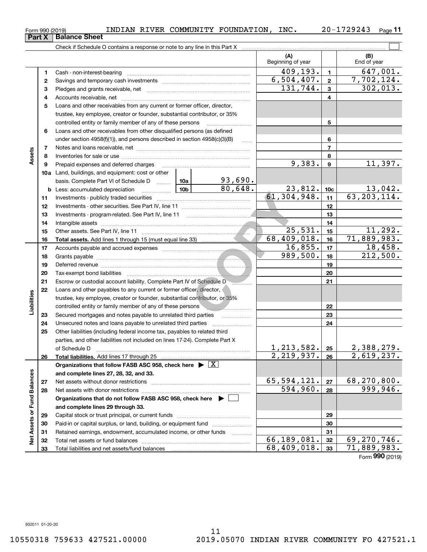**33**

Total liabilities and net assets/fund balances

**33**

68,409,018. 71,889,983.

Form (2019) **990**

**(A) (B) 1**Cash - non-interest-bearing ~~~~~~~~~~~~~~~~~~~~~~~~~ **2** Savings and temporary cash investments **3**131,744. 302,013. Check if Schedule O contains a response or note to any line in this Part X Beginning of year | | End of year Pledges and grants receivable, net Accounts receivable, net ~~~~~~~~~~~~~~~~~~~~~~~~~~ Loans and other receivables from any current or former officer, director, trustee, key employee, creator or founder, substantial contributor, or 35% controlled entity or family member of any of these persons ~~~~~~~~~  $\overline{409,193.}$  1 647,001.  $6,504,407. | 2 | 7,702,124.$ 

|                   | 4  |                                                                                      |             |          |                                    | 4               |                    |
|-------------------|----|--------------------------------------------------------------------------------------|-------------|----------|------------------------------------|-----------------|--------------------|
|                   | 5  | Loans and other receivables from any current or former officer, director,            |             |          |                                    |                 |                    |
|                   |    | trustee, key employee, creator or founder, substantial contributor, or 35%           |             |          |                                    |                 |                    |
|                   |    | controlled entity or family member of any of these persons                           |             |          |                                    | 5               |                    |
|                   | 6  | Loans and other receivables from other disqualified persons (as defined              |             |          |                                    |                 |                    |
|                   |    | under section $4958(f)(1)$ , and persons described in section $4958(c)(3)(B)$        |             | $\ldots$ |                                    | 6               |                    |
|                   | 7  |                                                                                      |             |          |                                    | $\overline{7}$  |                    |
| Assets            | 8  |                                                                                      |             |          |                                    | 8               |                    |
|                   | 9  | Prepaid expenses and deferred charges                                                |             |          | 9,383.                             | 9               | 11,397.            |
|                   |    | <b>10a</b> Land, buildings, and equipment: cost or other                             |             |          |                                    |                 |                    |
|                   |    | basis. Complete Part VI of Schedule D  10a                                           |             | 93,690.  |                                    |                 |                    |
|                   | b  | <u>  10b</u><br>Less: accumulated depreciation                                       |             | 80,648.  | 23,812.                            | 10 <sub>c</sub> | 13,042.            |
|                   | 11 |                                                                                      |             |          | 61, 304, 948.                      | 11              | 63, 203, 114.      |
|                   | 12 |                                                                                      |             |          |                                    | 12              |                    |
|                   | 13 | Investments - program-related. See Part IV, line 11                                  |             |          |                                    | 13              |                    |
|                   | 14 |                                                                                      |             |          |                                    | 14              |                    |
|                   | 15 |                                                                                      | 25,531.     | 15       | 11,292.                            |                 |                    |
|                   | 16 |                                                                                      |             |          | 68,409,018.                        | 16              | 71,889,983.        |
|                   | 17 |                                                                                      |             |          | 16,855.                            | 17              | 18,458.            |
|                   | 18 |                                                                                      |             |          | 989,500.                           | 18              | 212,500.           |
|                   | 19 |                                                                                      |             |          |                                    | 19              |                    |
|                   | 20 |                                                                                      |             |          |                                    | 20              |                    |
|                   | 21 | Escrow or custodial account liability. Complete Part IV of Schedule D                |             | 21       |                                    |                 |                    |
|                   | 22 | Loans and other payables to any current or former officer, director,                 |             |          |                                    |                 |                    |
|                   |    | trustee, key employee, creator or founder, substantial contributor, or 35%           |             |          |                                    |                 |                    |
| Liabilities       |    | controlled entity or family member of any of these persons                           |             |          |                                    | 22              |                    |
|                   | 23 | Secured mortgages and notes payable to unrelated third parties                       |             | $\cdots$ |                                    | 23              |                    |
|                   | 24 | Unsecured notes and loans payable to unrelated third parties                         |             |          |                                    | 24              |                    |
|                   | 25 | Other liabilities (including federal income tax, payables to related third           |             |          |                                    |                 |                    |
|                   |    | parties, and other liabilities not included on lines 17-24). Complete Part X         |             |          |                                    |                 |                    |
|                   |    | of Schedule D                                                                        |             |          | 1, 213, 582. 25<br>2, 219, 937. 26 |                 | 2,388,279.         |
|                   | 26 | <b>Total liabilities.</b> Add lines 17 through 25                                    |             |          |                                    |                 | 2,619,237.         |
|                   |    | Organizations that follow FASB ASC 958, check here $\blacktriangleright \boxed{X}$   |             |          |                                    |                 |                    |
|                   |    | and complete lines 27, 28, 32, and 33.                                               |             |          |                                    |                 |                    |
|                   | 27 | Net assets without donor restrictions                                                |             |          | <u>65,594,121.</u>                 | 27              | <u>68,270,800.</u> |
|                   | 28 |                                                                                      |             |          | 594,960.                           | 28              | 999,946.           |
|                   |    | Organizations that do not follow FASB ASC 958, check here $\blacktriangleright \Box$ |             |          |                                    |                 |                    |
| or Fund Balances  |    | and complete lines 29 through 33.                                                    |             |          |                                    |                 |                    |
|                   | 29 |                                                                                      |             | 29       |                                    |                 |                    |
| <b>Net Assets</b> | 30 | Paid-in or capital surplus, or land, building, or equipment fund                     |             |          | 30                                 |                 |                    |
|                   | 31 | Retained earnings, endowment, accumulated income, or other funds                     |             | 31       |                                    |                 |                    |
|                   | 32 |                                                                                      | 66,189,081. | 32       | 69,270,746.                        |                 |                    |

<code>Form</code> 990 (2019) INDIAN RIVER COMMUNITY <code>FOUNDATION</code> , <code>INC.  $20$ – $1729243$  <code>Page</code></code>

**11**

 $\mathcal{L}^{\text{max}}$ 

**12**

**Part X** | Balance Sheet

**3**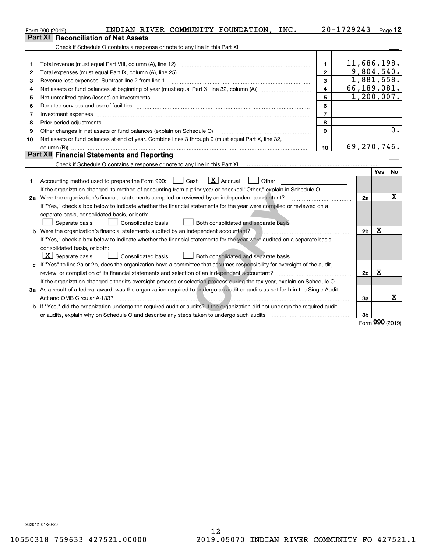|    | INDIAN RIVER COMMUNITY FOUNDATION, INC.<br>Form 990 (2019)                                                                                                                                                                     |                         | 20-1729243     |            | Page 12   |
|----|--------------------------------------------------------------------------------------------------------------------------------------------------------------------------------------------------------------------------------|-------------------------|----------------|------------|-----------|
|    | <b>Reconciliation of Net Assets</b><br>Part XI                                                                                                                                                                                 |                         |                |            |           |
|    |                                                                                                                                                                                                                                |                         |                |            |           |
|    |                                                                                                                                                                                                                                |                         |                |            |           |
| 1  | Total revenue (must equal Part VIII, column (A), line 12)                                                                                                                                                                      | $\blacksquare$          | 11,686,198.    |            |           |
| 2  | Total expenses (must equal Part IX, column (A), line 25)                                                                                                                                                                       | $\overline{2}$          | 9,804,540.     |            |           |
| 3  | Revenue less expenses. Subtract line 2 from line 1                                                                                                                                                                             | $\overline{\mathbf{3}}$ | 1,881,658.     |            |           |
| 4  |                                                                                                                                                                                                                                | 4                       | 66, 189, 081.  |            |           |
| 5  |                                                                                                                                                                                                                                |                         | 1,200,007.     |            |           |
| 6  | Donated services and use of facilities [111] Donated and the service of facilities [11] Donated services and use of facilities [11] Donated and the service of the service of the service of the service of the service of the | 6                       |                |            |           |
| 7  | Investment expenses www.communication.com/www.communication.com/www.communication.com/www.communication.com/ww                                                                                                                 | $\overline{7}$          |                |            |           |
| 8  | Prior period adjustments                                                                                                                                                                                                       | 8                       |                |            |           |
| 9  | Other changes in net assets or fund balances (explain on Schedule O)                                                                                                                                                           | 9                       |                |            | 0.        |
| 10 | Net assets or fund balances at end of year. Combine lines 3 through 9 (must equal Part X, line 32,                                                                                                                             |                         |                |            |           |
|    |                                                                                                                                                                                                                                | 10                      | 69,270,746.    |            |           |
|    | Part XII Financial Statements and Reporting                                                                                                                                                                                    |                         |                |            |           |
|    | Check if Schedule O contains a response or note to any line in this Part XII [11] [12] [12] [13] [13] [13] Check if Schedule O contains a response or note to any line in this Part XII                                        |                         |                |            |           |
|    |                                                                                                                                                                                                                                |                         |                | <b>Yes</b> | <b>No</b> |
| 1  | $\boxed{\mathbf{X}}$ Accrual<br>Accounting method used to prepare the Form 990: <u>June</u> Cash<br>Other                                                                                                                      |                         |                |            |           |
|    | If the organization changed its method of accounting from a prior year or checked "Other," explain in Schedule O.                                                                                                              |                         |                |            |           |
|    | 2a Were the organization's financial statements compiled or reviewed by an independent accountant?                                                                                                                             |                         | 2a             |            | х         |
|    | If "Yes," check a box below to indicate whether the financial statements for the year were compiled or reviewed on a                                                                                                           |                         |                |            |           |
|    | separate basis, consolidated basis, or both:                                                                                                                                                                                   |                         |                |            |           |
|    | Consolidated basis<br>Both consolidated and separate basis<br>Separate basis                                                                                                                                                   |                         |                |            |           |
|    | <b>b</b> Were the organization's financial statements audited by an independent accountant?                                                                                                                                    |                         | 2 <sub>b</sub> | X          |           |
|    | If "Yes," check a box below to indicate whether the financial statements for the year were audited on a separate basis,                                                                                                        |                         |                |            |           |
|    | consolidated basis, or both:                                                                                                                                                                                                   |                         |                |            |           |
|    | $ \mathbf{X} $ Separate basis<br><b>Consolidated basis</b><br>Both consolidated and separate basis                                                                                                                             |                         |                |            |           |
|    | c If "Yes" to line 2a or 2b, does the organization have a committee that assumes responsibility for oversight of the audit,                                                                                                    |                         |                |            |           |
|    | review, or compilation of its financial statements and selection of an independent accountant?                                                                                                                                 |                         | 2c             | x          |           |
|    | If the organization changed either its oversight process or selection process during the tax year, explain on Schedule O.                                                                                                      |                         |                |            |           |
|    | 3a As a result of a federal award, was the organization required to undergo an audit or audits as set forth in the Single Audit                                                                                                |                         |                |            |           |
|    |                                                                                                                                                                                                                                |                         | За             |            | х         |
|    | b If "Yes," did the organization undergo the required audit or audits? If the organization did not undergo the required audit                                                                                                  |                         |                |            |           |
|    |                                                                                                                                                                                                                                |                         | 3 <sub>b</sub> | nnn        |           |

Form (2019) **990**

932012 01-20-20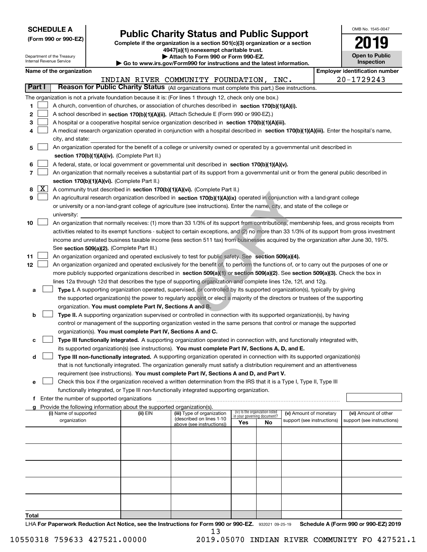| <b>SCHEDULE A</b> |
|-------------------|
|-------------------|

**(Form 990 or 990-EZ)**

## **Public Charity Status and Public Support**

OMB No. 1545-0047

**Open to Public**

**2019**

**Complete if the organization is a section 501(c)(3) organization or a section 4947(a)(1) nonexempt charitable trust. | Attach to Form 990 or Form 990-EZ.** 

|       |              | Department of the Treasury<br>Internal Revenue Service |                                               |                                                                                    | Attach to Form 990 or Form 990-EZ.                                                                                                                                                              |                             |                                 |                            | <b>Open to Public</b>                 |
|-------|--------------|--------------------------------------------------------|-----------------------------------------------|------------------------------------------------------------------------------------|-------------------------------------------------------------------------------------------------------------------------------------------------------------------------------------------------|-----------------------------|---------------------------------|----------------------------|---------------------------------------|
|       |              |                                                        |                                               |                                                                                    | Go to www.irs.gov/Form990 for instructions and the latest information.                                                                                                                          |                             |                                 |                            | <b>Inspection</b>                     |
|       |              | Name of the organization                               |                                               |                                                                                    |                                                                                                                                                                                                 |                             |                                 |                            | <b>Employer identification number</b> |
|       | Part I       |                                                        |                                               |                                                                                    | INDIAN RIVER COMMUNITY FOUNDATION, INC.<br>Reason for Public Charity Status (All organizations must complete this part.) See instructions.                                                      |                             |                                 |                            | 20-1729243                            |
|       |              |                                                        |                                               |                                                                                    |                                                                                                                                                                                                 |                             |                                 |                            |                                       |
| 1     |              |                                                        |                                               |                                                                                    | The organization is not a private foundation because it is: (For lines 1 through 12, check only one box.)                                                                                       |                             |                                 |                            |                                       |
| 2     |              |                                                        |                                               |                                                                                    | A church, convention of churches, or association of churches described in section 170(b)(1)(A)(i).<br>A school described in section 170(b)(1)(A)(ii). (Attach Schedule E (Form 990 or 990-EZ).) |                             |                                 |                            |                                       |
| 3     |              |                                                        |                                               |                                                                                    | A hospital or a cooperative hospital service organization described in section 170(b)(1)(A)(iii).                                                                                               |                             |                                 |                            |                                       |
| 4     |              |                                                        |                                               |                                                                                    | A medical research organization operated in conjunction with a hospital described in section 170(b)(1)(A)(iii). Enter the hospital's name,                                                      |                             |                                 |                            |                                       |
|       |              | city, and state:                                       |                                               |                                                                                    |                                                                                                                                                                                                 |                             |                                 |                            |                                       |
| 5     |              |                                                        |                                               |                                                                                    | An organization operated for the benefit of a college or university owned or operated by a governmental unit described in                                                                       |                             |                                 |                            |                                       |
|       |              |                                                        |                                               | section 170(b)(1)(A)(iv). (Complete Part II.)                                      |                                                                                                                                                                                                 |                             |                                 |                            |                                       |
| 6     |              |                                                        |                                               |                                                                                    | A federal, state, or local government or governmental unit described in section 170(b)(1)(A)(v).                                                                                                |                             |                                 |                            |                                       |
| 7     |              |                                                        |                                               |                                                                                    | An organization that normally receives a substantial part of its support from a governmental unit or from the general public described in                                                       |                             |                                 |                            |                                       |
|       |              |                                                        |                                               | section 170(b)(1)(A)(vi). (Complete Part II.)                                      |                                                                                                                                                                                                 |                             |                                 |                            |                                       |
| 8     | $\mathbf{X}$ |                                                        |                                               |                                                                                    | A community trust described in section 170(b)(1)(A)(vi). (Complete Part II.)                                                                                                                    |                             |                                 |                            |                                       |
| 9     |              |                                                        |                                               |                                                                                    | An agricultural research organization described in section 170(b)(1)(A)(ix) operated in conjunction with a land-grant college                                                                   |                             |                                 |                            |                                       |
|       |              |                                                        |                                               |                                                                                    | or university or a non-land-grant college of agriculture (see instructions). Enter the name, city, and state of the college or                                                                  |                             |                                 |                            |                                       |
|       |              | university:                                            |                                               |                                                                                    |                                                                                                                                                                                                 |                             |                                 |                            |                                       |
| 10    |              |                                                        |                                               |                                                                                    | An organization that normally receives: (1) more than 33 1/3% of its support from contributions, membership fees, and gross receipts from                                                       |                             |                                 |                            |                                       |
|       |              |                                                        |                                               |                                                                                    | activities related to its exempt functions - subject to certain exceptions, and (2) no more than 33 1/3% of its support from gross investment                                                   |                             |                                 |                            |                                       |
|       |              |                                                        |                                               |                                                                                    | income and unrelated business taxable income (less section 511 tax) from businesses acquired by the organization after June 30, 1975.                                                           |                             |                                 |                            |                                       |
|       |              |                                                        |                                               | See section 509(a)(2). (Complete Part III.)                                        |                                                                                                                                                                                                 |                             |                                 |                            |                                       |
| 11    |              |                                                        |                                               |                                                                                    | An organization organized and operated exclusively to test for public safety. See section 509(a)(4).                                                                                            |                             |                                 |                            |                                       |
| 12    |              |                                                        |                                               |                                                                                    | An organization organized and operated exclusively for the benefit of, to perform the functions of, or to carry out the purposes of one or                                                      |                             |                                 |                            |                                       |
|       |              |                                                        |                                               |                                                                                    | more publicly supported organizations described in section 509(a)(1) or section 509(a)(2). See section 509(a)(3). Check the box in                                                              |                             |                                 |                            |                                       |
|       |              |                                                        |                                               |                                                                                    | lines 12a through 12d that describes the type of supporting organization and complete lines 12e, 12f, and 12g.                                                                                  |                             |                                 |                            |                                       |
| а     |              |                                                        |                                               |                                                                                    | Type I. A supporting organization operated, supervised, or controlled by its supported organization(s), typically by giving                                                                     |                             |                                 |                            |                                       |
|       |              |                                                        |                                               | organization. You must complete Part IV, Sections A and B.                         | the supported organization(s) the power to regularly appoint or elect a majority of the directors or trustees of the supporting                                                                 |                             |                                 |                            |                                       |
| b     |              |                                                        |                                               |                                                                                    | Type II. A supporting organization supervised or controlled in connection with its supported organization(s), by having                                                                         |                             |                                 |                            |                                       |
|       |              |                                                        |                                               |                                                                                    | control or management of the supporting organization vested in the same persons that control or manage the supported                                                                            |                             |                                 |                            |                                       |
|       |              |                                                        |                                               | organization(s). You must complete Part IV, Sections A and C.                      |                                                                                                                                                                                                 |                             |                                 |                            |                                       |
| с     |              |                                                        |                                               |                                                                                    | Type III functionally integrated. A supporting organization operated in connection with, and functionally integrated with,                                                                      |                             |                                 |                            |                                       |
|       |              |                                                        |                                               |                                                                                    | its supported organization(s) (see instructions). You must complete Part IV, Sections A, D, and E.                                                                                              |                             |                                 |                            |                                       |
| d     |              |                                                        |                                               |                                                                                    | Type III non-functionally integrated. A supporting organization operated in connection with its supported organization(s)                                                                       |                             |                                 |                            |                                       |
|       |              |                                                        |                                               |                                                                                    | that is not functionally integrated. The organization generally must satisfy a distribution requirement and an attentiveness                                                                    |                             |                                 |                            |                                       |
|       |              |                                                        |                                               |                                                                                    | requirement (see instructions). You must complete Part IV, Sections A and D, and Part V.                                                                                                        |                             |                                 |                            |                                       |
| е     |              |                                                        |                                               |                                                                                    | Check this box if the organization received a written determination from the IRS that it is a Type I, Type II, Type III                                                                         |                             |                                 |                            |                                       |
|       |              |                                                        |                                               |                                                                                    | functionally integrated, or Type III non-functionally integrated supporting organization.                                                                                                       |                             |                                 |                            |                                       |
|       |              |                                                        | f Enter the number of supported organizations |                                                                                    |                                                                                                                                                                                                 |                             |                                 |                            |                                       |
|       |              | (i) Name of supported                                  |                                               | Provide the following information about the supported organization(s).<br>(ii) EIN | (iii) Type of organization                                                                                                                                                                      |                             | (iv) Is the organization listed | (v) Amount of monetary     | (vi) Amount of other                  |
|       |              | organization                                           |                                               |                                                                                    | (described on lines 1-10                                                                                                                                                                        | in your governing document? |                                 | support (see instructions) | support (see instructions)            |
|       |              |                                                        |                                               |                                                                                    | above (see instructions))                                                                                                                                                                       | Yes                         | No                              |                            |                                       |
|       |              |                                                        |                                               |                                                                                    |                                                                                                                                                                                                 |                             |                                 |                            |                                       |
|       |              |                                                        |                                               |                                                                                    |                                                                                                                                                                                                 |                             |                                 |                            |                                       |
|       |              |                                                        |                                               |                                                                                    |                                                                                                                                                                                                 |                             |                                 |                            |                                       |
|       |              |                                                        |                                               |                                                                                    |                                                                                                                                                                                                 |                             |                                 |                            |                                       |
|       |              |                                                        |                                               |                                                                                    |                                                                                                                                                                                                 |                             |                                 |                            |                                       |
|       |              |                                                        |                                               |                                                                                    |                                                                                                                                                                                                 |                             |                                 |                            |                                       |
|       |              |                                                        |                                               |                                                                                    |                                                                                                                                                                                                 |                             |                                 |                            |                                       |
|       |              |                                                        |                                               |                                                                                    |                                                                                                                                                                                                 |                             |                                 |                            |                                       |
|       |              |                                                        |                                               |                                                                                    |                                                                                                                                                                                                 |                             |                                 |                            |                                       |
| Total |              |                                                        |                                               |                                                                                    |                                                                                                                                                                                                 |                             |                                 |                            |                                       |

LHA For Paperwork Reduction Act Notice, see the Instructions for Form 990 or 990-EZ. 932021 09-25-19 Schedule A (Form 990 or 990-EZ) 2019 13

10550318 759633 427521.00000 2019.05070 INDIAN RIVER COMMUNITY FO 427521.1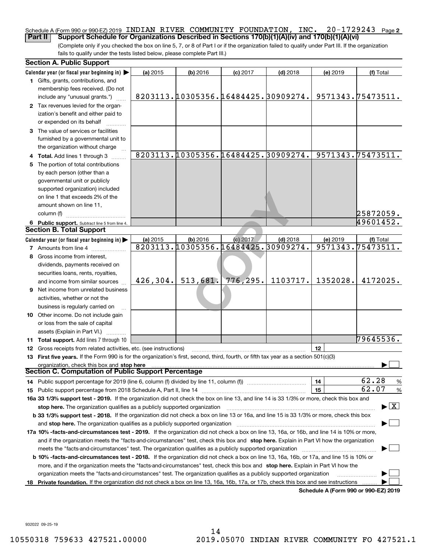#### **2** Schedule A (Form 990 or 990-EZ) 2019 <code>INDIAN RIVER COMMUNITY FOUNDATION</code> , <code>INC. 20–1729243</code> <code>Page</code> **Part II Support Schedule for Organizations Described in Sections 170(b)(1)(A)(iv) and 170(b)(1)(A)(vi)**

(Complete only if you checked the box on line 5, 7, or 8 of Part I or if the organization failed to qualify under Part III. If the organization fails to qualify under the tests listed below, please complete Part III.)

|   | <b>Section A. Public Support</b>                                                                                                                                                                            |           |            |                                     |                                     |          |                                          |
|---|-------------------------------------------------------------------------------------------------------------------------------------------------------------------------------------------------------------|-----------|------------|-------------------------------------|-------------------------------------|----------|------------------------------------------|
|   | Calendar year (or fiscal year beginning in)                                                                                                                                                                 | (a) 2015  | $(b)$ 2016 | $(c)$ 2017                          | $(d)$ 2018                          | (e) 2019 | (f) Total                                |
|   | 1 Gifts, grants, contributions, and<br>membership fees received. (Do not                                                                                                                                    |           |            |                                     |                                     |          |                                          |
|   | include any "unusual grants.")                                                                                                                                                                              |           |            |                                     | 8203113.10305356.16484425.30909274. |          | 9571343.75473511.                        |
|   | 2 Tax revenues levied for the organ-                                                                                                                                                                        |           |            |                                     |                                     |          |                                          |
|   | ization's benefit and either paid to                                                                                                                                                                        |           |            |                                     |                                     |          |                                          |
|   | or expended on its behalf                                                                                                                                                                                   |           |            |                                     |                                     |          |                                          |
|   | 3 The value of services or facilities                                                                                                                                                                       |           |            |                                     |                                     |          |                                          |
|   | furnished by a governmental unit to                                                                                                                                                                         |           |            |                                     |                                     |          |                                          |
|   | the organization without charge                                                                                                                                                                             |           |            |                                     |                                     |          |                                          |
|   | 4 Total. Add lines 1 through 3                                                                                                                                                                              |           |            |                                     | 8203113.10305356.16484425.30909274. |          | 9571343.75473511.                        |
| 5 | The portion of total contributions                                                                                                                                                                          |           |            |                                     |                                     |          |                                          |
|   | by each person (other than a                                                                                                                                                                                |           |            |                                     |                                     |          |                                          |
|   | governmental unit or publicly                                                                                                                                                                               |           |            |                                     |                                     |          |                                          |
|   | supported organization) included                                                                                                                                                                            |           |            |                                     |                                     |          |                                          |
|   | on line 1 that exceeds 2% of the                                                                                                                                                                            |           |            |                                     |                                     |          |                                          |
|   | amount shown on line 11,                                                                                                                                                                                    |           |            |                                     |                                     |          |                                          |
|   | column (f)                                                                                                                                                                                                  |           |            |                                     |                                     |          | 25872059.                                |
|   | 6 Public support. Subtract line 5 from line 4.                                                                                                                                                              |           |            |                                     |                                     |          | 49601452.                                |
|   | <b>Section B. Total Support</b>                                                                                                                                                                             |           |            |                                     |                                     |          |                                          |
|   | Calendar year (or fiscal year beginning in)                                                                                                                                                                 | (a) 2015  | $(b)$ 2016 | (c) 2017                            | $(d)$ 2018                          | (e) 2019 | (f) Total                                |
|   | <b>7</b> Amounts from line 4                                                                                                                                                                                |           |            | 8203113.10305356.16484425.30909274. |                                     |          | 9571343.75473511.                        |
|   | Gross income from interest,                                                                                                                                                                                 |           |            |                                     |                                     |          |                                          |
|   | dividends, payments received on                                                                                                                                                                             |           |            |                                     |                                     |          |                                          |
|   | securities loans, rents, royalties,                                                                                                                                                                         |           |            |                                     |                                     |          |                                          |
|   | and income from similar sources                                                                                                                                                                             | 426, 304. | 513,681.   | 776, 295.                           | 1103717.                            | 1352028. | 4172025.                                 |
|   | <b>9</b> Net income from unrelated business                                                                                                                                                                 |           |            |                                     |                                     |          |                                          |
|   | activities, whether or not the                                                                                                                                                                              |           |            |                                     |                                     |          |                                          |
|   | business is regularly carried on                                                                                                                                                                            |           |            |                                     |                                     |          |                                          |
|   | 10 Other income. Do not include gain                                                                                                                                                                        |           |            |                                     |                                     |          |                                          |
|   | or loss from the sale of capital                                                                                                                                                                            |           |            |                                     |                                     |          |                                          |
|   | assets (Explain in Part VI.)                                                                                                                                                                                |           |            |                                     |                                     |          | 79645536.                                |
|   | <b>11 Total support.</b> Add lines 7 through 10                                                                                                                                                             |           |            |                                     |                                     |          |                                          |
|   | 12 Gross receipts from related activities, etc. (see instructions)<br>13 First five years. If the Form 990 is for the organization's first, second, third, fourth, or fifth tax year as a section 501(c)(3) |           |            |                                     |                                     | 12       |                                          |
|   |                                                                                                                                                                                                             |           |            |                                     |                                     |          |                                          |
|   | organization, check this box and stop here<br>Section C. Computation of Public Support Percentage                                                                                                           |           |            |                                     |                                     |          |                                          |
|   |                                                                                                                                                                                                             |           |            |                                     |                                     | 14       | 62.28<br>%                               |
|   |                                                                                                                                                                                                             |           |            |                                     |                                     | 15       | 62.07<br>%                               |
|   | 16a 33 1/3% support test - 2019. If the organization did not check the box on line 13, and line 14 is 33 1/3% or more, check this box and                                                                   |           |            |                                     |                                     |          |                                          |
|   | stop here. The organization qualifies as a publicly supported organization                                                                                                                                  |           |            |                                     |                                     |          | $\blacktriangleright$ $\boxed{\text{X}}$ |
|   | b 33 1/3% support test - 2018. If the organization did not check a box on line 13 or 16a, and line 15 is 33 1/3% or more, check this box                                                                    |           |            |                                     |                                     |          |                                          |
|   | and <b>stop here.</b> The organization qualifies as a publicly supported organization                                                                                                                       |           |            |                                     |                                     |          |                                          |
|   | 17a 10% -facts-and-circumstances test - 2019. If the organization did not check a box on line 13, 16a, or 16b, and line 14 is 10% or more,                                                                  |           |            |                                     |                                     |          |                                          |
|   | and if the organization meets the "facts-and-circumstances" test, check this box and stop here. Explain in Part VI how the organization                                                                     |           |            |                                     |                                     |          |                                          |
|   |                                                                                                                                                                                                             |           |            |                                     |                                     |          |                                          |
|   | <b>b 10% -facts-and-circumstances test - 2018.</b> If the organization did not check a box on line 13, 16a, 16b, or 17a, and line 15 is 10% or                                                              |           |            |                                     |                                     |          |                                          |
|   | more, and if the organization meets the "facts-and-circumstances" test, check this box and stop here. Explain in Part VI how the                                                                            |           |            |                                     |                                     |          |                                          |
|   | organization meets the "facts-and-circumstances" test. The organization qualifies as a publicly supported organization                                                                                      |           |            |                                     |                                     |          |                                          |
|   | Private foundation. If the organization did not check a box on line 13, 16a, 16b, 17a, or 17b, check this box and see instructions                                                                          |           |            |                                     |                                     |          |                                          |
|   |                                                                                                                                                                                                             |           |            |                                     |                                     |          | Schedule A (Form 990 or 990-EZ) 2019     |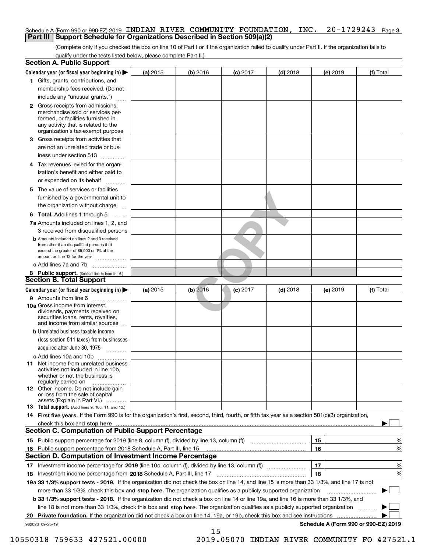#### Schedule A (Form 990 or 990-EZ) 2019 <code>INDIAN RIVER COMMUNITY FOUNDATION</code> , <code>INC. 20–1729243</code> <code>Page 3</code> **Part III Support Schedule for Organizations Described in Section 509(a)(2)**

(Complete only if you checked the box on line 10 of Part I or if the organization failed to qualify under Part II. If the organization fails to qualify under the tests listed below, please complete Part II.)

| <b>Section A. Public Support</b>                                                                                                                                                                                              |          |            |            |            |          |                                      |
|-------------------------------------------------------------------------------------------------------------------------------------------------------------------------------------------------------------------------------|----------|------------|------------|------------|----------|--------------------------------------|
| Calendar year (or fiscal year beginning in)                                                                                                                                                                                   | (a) 2015 | $(b)$ 2016 | $(c)$ 2017 | $(d)$ 2018 | (e) 2019 | (f) Total                            |
| 1 Gifts, grants, contributions, and                                                                                                                                                                                           |          |            |            |            |          |                                      |
| membership fees received. (Do not                                                                                                                                                                                             |          |            |            |            |          |                                      |
| include any "unusual grants.")                                                                                                                                                                                                |          |            |            |            |          |                                      |
| <b>2</b> Gross receipts from admissions,<br>merchandise sold or services per-<br>formed, or facilities furnished in<br>any activity that is related to the<br>organization's tax-exempt purpose                               |          |            |            |            |          |                                      |
| 3 Gross receipts from activities that<br>are not an unrelated trade or bus-                                                                                                                                                   |          |            |            |            |          |                                      |
| iness under section 513                                                                                                                                                                                                       |          |            |            |            |          |                                      |
| 4 Tax revenues levied for the organ-<br>ization's benefit and either paid to                                                                                                                                                  |          |            |            |            |          |                                      |
| or expended on its behalf                                                                                                                                                                                                     |          |            |            |            |          |                                      |
| 5 The value of services or facilities<br>furnished by a governmental unit to                                                                                                                                                  |          |            |            |            |          |                                      |
| the organization without charge                                                                                                                                                                                               |          |            |            |            |          |                                      |
| <b>6 Total.</b> Add lines 1 through 5                                                                                                                                                                                         |          |            |            |            |          |                                      |
| 7a Amounts included on lines 1, 2, and<br>3 received from disqualified persons                                                                                                                                                |          |            |            |            |          |                                      |
| <b>b</b> Amounts included on lines 2 and 3 received<br>from other than disqualified persons that<br>exceed the greater of \$5,000 or 1% of the<br>amount on line 13 for the year                                              |          |            |            |            |          |                                      |
| c Add lines 7a and 7b                                                                                                                                                                                                         |          |            |            |            |          |                                      |
| 8 Public support. (Subtract line 7c from line 6.)                                                                                                                                                                             |          |            |            |            |          |                                      |
| <b>Section B. Total Support</b>                                                                                                                                                                                               |          |            |            |            |          |                                      |
| Calendar year (or fiscal year beginning in) >                                                                                                                                                                                 | (a) 2015 | $(b)$ 2016 | $(c)$ 2017 | $(d)$ 2018 | (e) 2019 | (f) Total                            |
| <b>9</b> Amounts from line 6<br>.                                                                                                                                                                                             |          |            |            |            |          |                                      |
| 10a Gross income from interest,<br>dividends, payments received on<br>securities loans, rents, royalties,<br>and income from similar sources                                                                                  |          |            |            |            |          |                                      |
| <b>b</b> Unrelated business taxable income<br>(less section 511 taxes) from businesses<br>acquired after June 30, 1975<br>$\frac{1}{2}$                                                                                       |          |            |            |            |          |                                      |
| c Add lines 10a and 10b                                                                                                                                                                                                       |          |            |            |            |          |                                      |
| 11 Net income from unrelated business<br>activities not included in line 10b,<br>whether or not the business is<br>regularly carried on                                                                                       |          |            |            |            |          |                                      |
| <b>12</b> Other income. Do not include gain<br>or loss from the sale of capital<br>assets (Explain in Part VI.)                                                                                                               |          |            |            |            |          |                                      |
| <b>13 Total support.</b> (Add lines 9, 10c, 11, and 12.)                                                                                                                                                                      |          |            |            |            |          |                                      |
| 14 First five years. If the Form 990 is for the organization's first, second, third, fourth, or fifth tax year as a section 501(c)(3) organization,                                                                           |          |            |            |            |          |                                      |
| check this box and stop here with the continuum control to the change of the state of the state of the change of the change of the change of the change of the change of the change of the change of the change of the change |          |            |            |            |          |                                      |
| Section C. Computation of Public Support Percentage                                                                                                                                                                           |          |            |            |            |          |                                      |
| 15 Public support percentage for 2019 (line 8, column (f), divided by line 13, column (f))                                                                                                                                    |          |            |            |            | 15       | %                                    |
| 16 Public support percentage from 2018 Schedule A, Part III, line 15                                                                                                                                                          |          |            |            |            | 16       | %                                    |
| <b>Section D. Computation of Investment Income Percentage</b>                                                                                                                                                                 |          |            |            |            |          |                                      |
| 17 Investment income percentage for 2019 (line 10c, column (f), divided by line 13, column (f))<br><b>18</b> Investment income percentage from <b>2018</b> Schedule A, Part III, line 17                                      |          |            |            |            | 17<br>18 | %<br>%                               |
| 19a 33 1/3% support tests - 2019. If the organization did not check the box on line 14, and line 15 is more than 33 1/3%, and line 17 is not                                                                                  |          |            |            |            |          |                                      |
| more than 33 1/3%, check this box and stop here. The organization qualifies as a publicly supported organization                                                                                                              |          |            |            |            |          |                                      |
| b 33 1/3% support tests - 2018. If the organization did not check a box on line 14 or line 19a, and line 16 is more than 33 1/3%, and                                                                                         |          |            |            |            |          |                                      |
| line 18 is not more than 33 1/3%, check this box and stop here. The organization qualifies as a publicly supported organization                                                                                               |          |            |            |            |          |                                      |
| 20 Private foundation. If the organization did not check a box on line 14, 19a, or 19b, check this box and see instructions                                                                                                   |          |            |            |            |          |                                      |
| 932023 09-25-19                                                                                                                                                                                                               |          |            |            |            |          | Schedule A (Form 990 or 990-EZ) 2019 |
|                                                                                                                                                                                                                               |          | 15         |            |            |          |                                      |

10550318 759633 427521.00000 2019.05070 INDIAN RIVER COMMUNITY FO 427521.1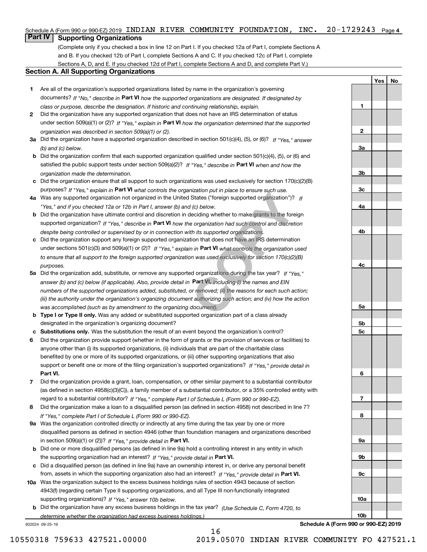### Schedule A (Form 990 or 990-EZ) 2019 <code>INDIAN RIVER COMMUNITY FOUNDATION, INC. 20–1729243</code> Page 4

## **Part IV Supporting Organizations**

(Complete only if you checked a box in line 12 on Part I. If you checked 12a of Part I, complete Sections A and B. If you checked 12b of Part I, complete Sections A and C. If you checked 12c of Part I, complete Sections A, D, and E. If you checked 12d of Part I, complete Sections A and D, and complete Part V.)

#### **Section A. All Supporting Organizations**

- **1** Are all of the organization's supported organizations listed by name in the organization's governing documents? If "No," describe in **Part VI** how the supported organizations are designated. If designated by *class or purpose, describe the designation. If historic and continuing relationship, explain.*
- **2** Did the organization have any supported organization that does not have an IRS determination of status under section 509(a)(1) or (2)? If "Yes," explain in Part VI how the organization determined that the supported *organization was described in section 509(a)(1) or (2).*
- **3a** Did the organization have a supported organization described in section 501(c)(4), (5), or (6)? If "Yes," answer *(b) and (c) below.*
- **b** Did the organization confirm that each supported organization qualified under section 501(c)(4), (5), or (6) and satisfied the public support tests under section 509(a)(2)? If "Yes," describe in **Part VI** when and how the *organization made the determination.*
- **c**Did the organization ensure that all support to such organizations was used exclusively for section 170(c)(2)(B) purposes? If "Yes," explain in **Part VI** what controls the organization put in place to ensure such use.
- **4a***If* Was any supported organization not organized in the United States ("foreign supported organization")? *"Yes," and if you checked 12a or 12b in Part I, answer (b) and (c) below.*
- **b** Did the organization have ultimate control and discretion in deciding whether to make grants to the foreign supported organization? If "Yes," describe in **Part VI** how the organization had such control and discretion *despite being controlled or supervised by or in connection with its supported organizations.*
- **c** Did the organization support any foreign supported organization that does not have an IRS determination under sections 501(c)(3) and 509(a)(1) or (2)? If "Yes," explain in **Part VI** what controls the organization used *to ensure that all support to the foreign supported organization was used exclusively for section 170(c)(2)(B) purposes.*
- **5a** Did the organization add, substitute, or remove any supported organizations during the tax year? If "Yes," answer (b) and (c) below (if applicable). Also, provide detail in **Part VI,** including (i) the names and EIN *numbers of the supported organizations added, substituted, or removed; (ii) the reasons for each such action; (iii) the authority under the organization's organizing document authorizing such action; and (iv) how the action was accomplished (such as by amendment to the organizing document).* Inization put in place to ensure such use.<br>
States ("foreign supported organization")?<br>
If (c) below.<br>
deciding whether to make grants to the fore<br>
e organization had such control and discreti<br>
th its supported organizatio
- **b** Type I or Type II only. Was any added or substituted supported organization part of a class already designated in the organization's organizing document?
- **cSubstitutions only.**  Was the substitution the result of an event beyond the organization's control?
- **6** Did the organization provide support (whether in the form of grants or the provision of services or facilities) to **Part VI.** *If "Yes," provide detail in* support or benefit one or more of the filing organization's supported organizations? anyone other than (i) its supported organizations, (ii) individuals that are part of the charitable class benefited by one or more of its supported organizations, or (iii) other supporting organizations that also
- **7**Did the organization provide a grant, loan, compensation, or other similar payment to a substantial contributor *If "Yes," complete Part I of Schedule L (Form 990 or 990-EZ).* regard to a substantial contributor? (as defined in section 4958(c)(3)(C)), a family member of a substantial contributor, or a 35% controlled entity with
- **8** Did the organization make a loan to a disqualified person (as defined in section 4958) not described in line 7? *If "Yes," complete Part I of Schedule L (Form 990 or 990-EZ).*
- **9a** Was the organization controlled directly or indirectly at any time during the tax year by one or more in section 509(a)(1) or (2))? If "Yes," *provide detail in* <code>Part VI.</code> disqualified persons as defined in section 4946 (other than foundation managers and organizations described
- **b** Did one or more disqualified persons (as defined in line 9a) hold a controlling interest in any entity in which the supporting organization had an interest? If "Yes," provide detail in P**art VI**.
- **c**Did a disqualified person (as defined in line 9a) have an ownership interest in, or derive any personal benefit from, assets in which the supporting organization also had an interest? If "Yes," provide detail in P**art VI.**
- **10a** Was the organization subject to the excess business holdings rules of section 4943 because of section supporting organizations)? If "Yes," answer 10b below. 4943(f) (regarding certain Type II supporting organizations, and all Type III non-functionally integrated
- **b** Did the organization have any excess business holdings in the tax year? (Use Schedule C, Form 4720, to *determine whether the organization had excess business holdings.)*

16

932024 09-25-19

**Schedule A (Form 990 or 990-EZ) 2019**

**YesNo**

**1**

**2**

**3a**

**3b**

**3c**

**4a**

**4b**

**4c**

**5a**

**5b5c**

**6**

**7**

**8**

**9a**

**9b**

**9c**

**10a**

**10b**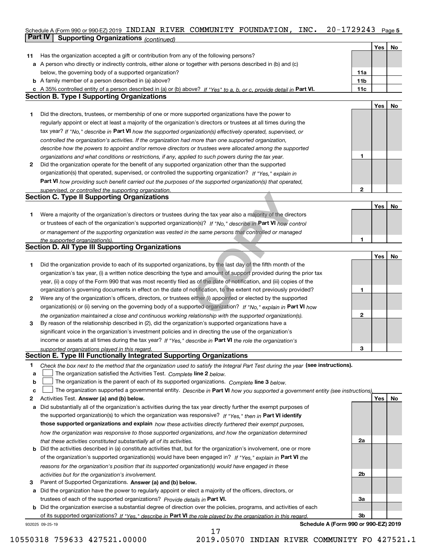#### Schedule A (Form 990 or 990-EZ) 2019 <code>INDIAN RIVER COMMUNITY FOUNDATION</code> , <code>INC. 20–1729243</code> Page 5 **Part IV Supporting Organizations** *(continued)*

|    |                                                                                                                                   |     | Yes | No |
|----|-----------------------------------------------------------------------------------------------------------------------------------|-----|-----|----|
| 11 | Has the organization accepted a gift or contribution from any of the following persons?                                           |     |     |    |
|    | a A person who directly or indirectly controls, either alone or together with persons described in (b) and (c)                    |     |     |    |
|    | below, the governing body of a supported organization?                                                                            | 11a |     |    |
|    | <b>b</b> A family member of a person described in (a) above?                                                                      | 11b |     |    |
|    | A 35% controlled entity of a person described in (a) or (b) above? If "Yes" to a, b, or c, provide detail in Part VI.             | 11c |     |    |
|    | <b>Section B. Type I Supporting Organizations</b>                                                                                 |     |     |    |
|    |                                                                                                                                   |     | Yes | No |
| 1  | Did the directors, trustees, or membership of one or more supported organizations have the power to                               |     |     |    |
|    | regularly appoint or elect at least a majority of the organization's directors or trustees at all times during the                |     |     |    |
|    | tax year? If "No," describe in Part VI how the supported organization(s) effectively operated, supervised, or                     |     |     |    |
|    | controlled the organization's activities. If the organization had more than one supported organization,                           |     |     |    |
|    | describe how the powers to appoint and/or remove directors or trustees were allocated among the supported                         |     |     |    |
|    | organizations and what conditions or restrictions, if any, applied to such powers during the tax year.                            | 1   |     |    |
| 2  | Did the organization operate for the benefit of any supported organization other than the supported                               |     |     |    |
|    | organization(s) that operated, supervised, or controlled the supporting organization? If "Yes," explain in                        |     |     |    |
|    | Part VI how providing such benefit carried out the purposes of the supported organization(s) that operated,                       |     |     |    |
|    | supervised, or controlled the supporting organization.                                                                            | 2   |     |    |
|    | <b>Section C. Type II Supporting Organizations</b>                                                                                |     |     |    |
|    |                                                                                                                                   |     | Yes | No |
| 1  | Were a majority of the organization's directors or trustees during the tax year also a majority of the directors                  |     |     |    |
|    | or trustees of each of the organization's supported organization(s)? If "No," describe in Part VI how control                     |     |     |    |
|    | or management of the supporting organization was vested in the same persons that controlled or managed                            |     |     |    |
|    | the supported organization(s).                                                                                                    | 1   |     |    |
|    | <b>Section D. All Type III Supporting Organizations</b>                                                                           |     |     |    |
|    |                                                                                                                                   |     | Yes | No |
| 1  | Did the organization provide to each of its supported organizations, by the last day of the fifth month of the                    |     |     |    |
|    | organization's tax year, (i) a written notice describing the type and amount of support provided during the prior tax             |     |     |    |
|    | year, (ii) a copy of the Form 990 that was most recently filed as of the date of notification, and (iii) copies of the            |     |     |    |
|    | organization's governing documents in effect on the date of notification, to the extent not previously provided?                  | 1   |     |    |
| 2  | Were any of the organization's officers, directors, or trustees either (i) appointed or elected by the supported                  |     |     |    |
|    | organization(s) or (ii) serving on the governing body of a supported organization? If "No," explain in Part VI how                |     |     |    |
|    | the organization maintained a close and continuous working relationship with the supported organization(s).                       | 2   |     |    |
| 3  | By reason of the relationship described in (2), did the organization's supported organizations have a                             |     |     |    |
|    | significant voice in the organization's investment policies and in directing the use of the organization's                        |     |     |    |
|    | income or assets at all times during the tax year? If "Yes," describe in Part VI the role the organization's                      |     |     |    |
|    | supported organizations played in this regard.                                                                                    | 3   |     |    |
|    | Section E. Type III Functionally Integrated Supporting Organizations                                                              |     |     |    |
| 1  | Check the box next to the method that the organization used to satisfy the Integral Part Test during the year (see instructions). |     |     |    |
| а  | The organization satisfied the Activities Test. Complete line 2 below.                                                            |     |     |    |
| b  | The organization is the parent of each of its supported organizations. Complete line 3 below.                                     |     |     |    |
| c  | The organization supported a governmental entity. Describe in Part VI how you supported a government entity (see instructions)    |     |     |    |
| 2  | Activities Test. Answer (a) and (b) below.                                                                                        |     | Yes | No |
| а  | Did substantially all of the organization's activities during the tax year directly further the exempt purposes of                |     |     |    |
|    | the supported organization(s) to which the organization was responsive? If "Yes," then in Part VI identify                        |     |     |    |
|    | those supported organizations and explain how these activities directly furthered their exempt purposes,                          |     |     |    |
|    | how the organization was responsive to those supported organizations, and how the organization determined                         |     |     |    |
|    | that these activities constituted substantially all of its activities.                                                            | 2a  |     |    |
|    | <b>b</b> Did the activities described in (a) constitute activities that, but for the organization's involvement, one or more      |     |     |    |
|    | of the organization's supported organization(s) would have been engaged in? If "Yes," explain in Part VI the                      |     |     |    |
|    | reasons for the organization's position that its supported organization(s) would have engaged in these                            |     |     |    |
|    | activities but for the organization's involvement.                                                                                | 2b  |     |    |
| З  | Parent of Supported Organizations. Answer (a) and (b) below.                                                                      |     |     |    |
|    | a Did the organization have the power to regularly appoint or elect a majority of the officers, directors, or                     |     |     |    |
|    | trustees of each of the supported organizations? Provide details in Part VI.                                                      | За  |     |    |
|    | <b>b</b> Did the organization exercise a substantial degree of direction over the policies, programs, and activities of each      |     |     |    |
|    | of its supported organizations? If "Yes," describe in Part VI the role played by the organization in this regard.                 | 3b  |     |    |
|    | Schedule A (Form 990 or 990-EZ) 2019<br>932025 09-25-19                                                                           |     |     |    |

17

10550318 759633 427521.00000 2019.05070 INDIAN RIVER COMMUNITY FO 427521.1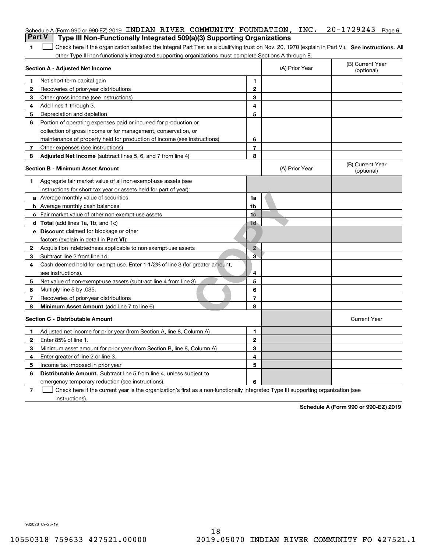| <b>Part V</b>  | Schedule A (Form 990 or 990-EZ) 2019 INDIAN RIVER COMMUNITY FOUNDATION, INC. 20-1729243<br>Type III Non-Functionally Integrated 509(a)(3) Supporting Organizations |                |                | Page 6                         |
|----------------|--------------------------------------------------------------------------------------------------------------------------------------------------------------------|----------------|----------------|--------------------------------|
| 1              | Check here if the organization satisfied the Integral Part Test as a qualifying trust on Nov. 20, 1970 (explain in Part VI). See instructions. Al                  |                |                |                                |
|                | other Type III non-functionally integrated supporting organizations must complete Sections A through E.                                                            |                |                |                                |
|                | <b>Section A - Adjusted Net Income</b>                                                                                                                             |                | (A) Prior Year | (B) Current Year<br>(optional) |
| 1              | Net short-term capital gain                                                                                                                                        | 1              |                |                                |
| 2              | Recoveries of prior-year distributions                                                                                                                             | $\mathbf{2}$   |                |                                |
| 3              | Other gross income (see instructions)                                                                                                                              | 3              |                |                                |
| 4              | Add lines 1 through 3.                                                                                                                                             | 4              |                |                                |
| 5              | Depreciation and depletion                                                                                                                                         | 5              |                |                                |
| 6              | Portion of operating expenses paid or incurred for production or                                                                                                   |                |                |                                |
|                | collection of gross income or for management, conservation, or                                                                                                     |                |                |                                |
|                | maintenance of property held for production of income (see instructions)                                                                                           | 6              |                |                                |
| 7              | Other expenses (see instructions)                                                                                                                                  | $\overline{7}$ |                |                                |
| 8              | <b>Adjusted Net Income</b> (subtract lines 5, 6, and 7 from line 4)                                                                                                | 8              |                |                                |
|                | <b>Section B - Minimum Asset Amount</b>                                                                                                                            |                | (A) Prior Year | (B) Current Year<br>(optional) |
| 1.             | Aggregate fair market value of all non-exempt-use assets (see                                                                                                      |                |                |                                |
|                | instructions for short tax year or assets held for part of year):                                                                                                  |                |                |                                |
|                | a Average monthly value of securities                                                                                                                              | 1a             |                |                                |
|                | <b>b</b> Average monthly cash balances                                                                                                                             | 1b             |                |                                |
|                | c Fair market value of other non-exempt-use assets                                                                                                                 | 1 <sub>c</sub> |                |                                |
|                | <b>d</b> Total (add lines 1a, 1b, and 1c)                                                                                                                          | 1 <sub>d</sub> |                |                                |
|                | <b>e</b> Discount claimed for blockage or other                                                                                                                    |                |                |                                |
|                | factors (explain in detail in Part VI):                                                                                                                            |                |                |                                |
| 2              | Acquisition indebtedness applicable to non-exempt-use assets                                                                                                       | $\overline{2}$ |                |                                |
| 3              | Subtract line 2 from line 1d.                                                                                                                                      | $\overline{3}$ |                |                                |
| 4              | Cash deemed held for exempt use. Enter 1-1/2% of line 3 (for greater amount,                                                                                       |                |                |                                |
|                | see instructions).                                                                                                                                                 | 4              |                |                                |
| 5              | Net value of non-exempt-use assets (subtract line 4 from line 3)                                                                                                   | 5              |                |                                |
| 6              | Multiply line 5 by .035.                                                                                                                                           | 6              |                |                                |
| 7              | Recoveries of prior-year distributions                                                                                                                             | $\overline{7}$ |                |                                |
| 8              | <b>Minimum Asset Amount</b> (add line 7 to line 6)                                                                                                                 | 8              |                |                                |
|                | <b>Section C - Distributable Amount</b>                                                                                                                            |                |                | <b>Current Year</b>            |
| 1.             | Adjusted net income for prior year (from Section A, line 8, Column A)                                                                                              | 1              |                |                                |
| 2              | Enter 85% of line 1.                                                                                                                                               | 2              |                |                                |
| 3              | Minimum asset amount for prior year (from Section B, line 8, Column A)                                                                                             | 3              |                |                                |
| 4              | Enter greater of line 2 or line 3.                                                                                                                                 | 4              |                |                                |
| 5              | Income tax imposed in prior year                                                                                                                                   | 5              |                |                                |
| 6              | <b>Distributable Amount.</b> Subtract line 5 from line 4, unless subject to                                                                                        |                |                |                                |
|                | emergency temporary reduction (see instructions).                                                                                                                  | 6              |                |                                |
| $\overline{7}$ | Check here if the current year is the organization's first as a non-functionally integrated Type III supporting organization (see                                  |                |                |                                |

instructions).

**Schedule A (Form 990 or 990-EZ) 2019**

932026 09-25-19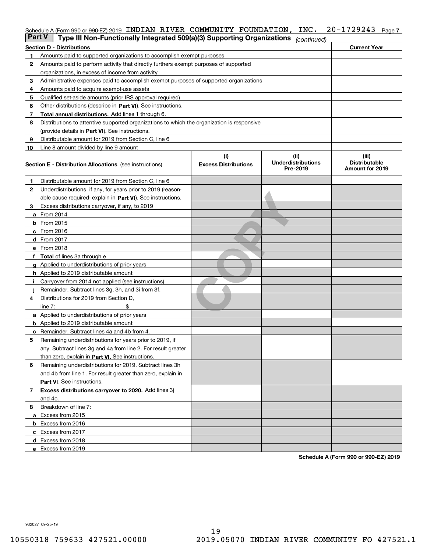### Schedule A (Form 990 or 990-EZ) 2019 <code>INDIAN RIVER COMMUNITY FOUNDATION</code> , <code>INC. 20–1729243</code> <code>Page 7</code>

| Part V | Type III Non-Functionally Integrated 509(a)(3) Supporting Organizations                    |                                   | (continued)                   |                        |  |  |  |  |  |  |
|--------|--------------------------------------------------------------------------------------------|-----------------------------------|-------------------------------|------------------------|--|--|--|--|--|--|
|        | Section D - Distributions                                                                  |                                   |                               | <b>Current Year</b>    |  |  |  |  |  |  |
| 1      | Amounts paid to supported organizations to accomplish exempt purposes                      |                                   |                               |                        |  |  |  |  |  |  |
| 2      | Amounts paid to perform activity that directly furthers exempt purposes of supported       |                                   |                               |                        |  |  |  |  |  |  |
|        | organizations, in excess of income from activity                                           |                                   |                               |                        |  |  |  |  |  |  |
| з      | Administrative expenses paid to accomplish exempt purposes of supported organizations      |                                   |                               |                        |  |  |  |  |  |  |
| 4      | Amounts paid to acquire exempt-use assets                                                  |                                   |                               |                        |  |  |  |  |  |  |
| 5      | Qualified set-aside amounts (prior IRS approval required)                                  |                                   |                               |                        |  |  |  |  |  |  |
| 6      | Other distributions (describe in Part VI). See instructions.                               |                                   |                               |                        |  |  |  |  |  |  |
| 7      | Total annual distributions. Add lines 1 through 6.                                         |                                   |                               |                        |  |  |  |  |  |  |
| 8      | Distributions to attentive supported organizations to which the organization is responsive |                                   |                               |                        |  |  |  |  |  |  |
|        | (provide details in Part VI). See instructions.                                            |                                   |                               |                        |  |  |  |  |  |  |
| 9      | Distributable amount for 2019 from Section C, line 6                                       |                                   |                               |                        |  |  |  |  |  |  |
| 10     | Line 8 amount divided by line 9 amount                                                     |                                   |                               |                        |  |  |  |  |  |  |
|        | <b>Section E - Distribution Allocations</b> (see instructions)                             | (ii)<br><b>Underdistributions</b> | (iii)<br><b>Distributable</b> |                        |  |  |  |  |  |  |
|        |                                                                                            |                                   | Pre-2019                      | <b>Amount for 2019</b> |  |  |  |  |  |  |
| 1      | Distributable amount for 2019 from Section C, line 6                                       |                                   |                               |                        |  |  |  |  |  |  |
| 2      | Underdistributions, if any, for years prior to 2019 (reason-                               |                                   |                               |                        |  |  |  |  |  |  |
|        | able cause required- explain in Part VI). See instructions.                                |                                   |                               |                        |  |  |  |  |  |  |
| з      | Excess distributions carryover, if any, to 2019                                            |                                   |                               |                        |  |  |  |  |  |  |
|        | <b>a</b> From 2014                                                                         |                                   |                               |                        |  |  |  |  |  |  |
|        | <b>b</b> From 2015                                                                         |                                   |                               |                        |  |  |  |  |  |  |
|        | $c$ From 2016                                                                              |                                   |                               |                        |  |  |  |  |  |  |
|        | d From 2017                                                                                |                                   |                               |                        |  |  |  |  |  |  |
|        | e From 2018                                                                                |                                   |                               |                        |  |  |  |  |  |  |
|        | <b>Total</b> of lines 3a through e                                                         |                                   |                               |                        |  |  |  |  |  |  |
|        | <b>g</b> Applied to underdistributions of prior years                                      |                                   |                               |                        |  |  |  |  |  |  |
|        | <b>h</b> Applied to 2019 distributable amount                                              |                                   |                               |                        |  |  |  |  |  |  |
|        | Carryover from 2014 not applied (see instructions)                                         |                                   |                               |                        |  |  |  |  |  |  |
|        | Remainder. Subtract lines 3g, 3h, and 3i from 3f.                                          |                                   |                               |                        |  |  |  |  |  |  |
| 4      | Distributions for 2019 from Section D,                                                     |                                   |                               |                        |  |  |  |  |  |  |
|        | line $7:$                                                                                  |                                   |                               |                        |  |  |  |  |  |  |
|        | <b>a</b> Applied to underdistributions of prior years                                      |                                   |                               |                        |  |  |  |  |  |  |
|        | <b>b</b> Applied to 2019 distributable amount                                              |                                   |                               |                        |  |  |  |  |  |  |
| c      | Remainder. Subtract lines 4a and 4b from 4.                                                |                                   |                               |                        |  |  |  |  |  |  |
| 5      | Remaining underdistributions for years prior to 2019, if                                   |                                   |                               |                        |  |  |  |  |  |  |
|        | any. Subtract lines 3g and 4a from line 2. For result greater                              |                                   |                               |                        |  |  |  |  |  |  |
|        | than zero, explain in Part VI. See instructions.                                           |                                   |                               |                        |  |  |  |  |  |  |
| 6      | Remaining underdistributions for 2019. Subtract lines 3h                                   |                                   |                               |                        |  |  |  |  |  |  |
|        | and 4b from line 1. For result greater than zero, explain in                               |                                   |                               |                        |  |  |  |  |  |  |
|        | Part VI. See instructions.                                                                 |                                   |                               |                        |  |  |  |  |  |  |
| 7      | Excess distributions carryover to 2020. Add lines 3j                                       |                                   |                               |                        |  |  |  |  |  |  |
|        | and 4c.                                                                                    |                                   |                               |                        |  |  |  |  |  |  |
| 8      | Breakdown of line 7:                                                                       |                                   |                               |                        |  |  |  |  |  |  |
|        | a Excess from 2015                                                                         |                                   |                               |                        |  |  |  |  |  |  |
|        | <b>b</b> Excess from 2016                                                                  |                                   |                               |                        |  |  |  |  |  |  |
|        | c Excess from 2017                                                                         |                                   |                               |                        |  |  |  |  |  |  |
|        | d Excess from 2018                                                                         |                                   |                               |                        |  |  |  |  |  |  |
|        | e Excess from 2019                                                                         |                                   |                               |                        |  |  |  |  |  |  |
|        |                                                                                            |                                   |                               |                        |  |  |  |  |  |  |

**Schedule A (Form 990 or 990-EZ) 2019**

932027 09-25-19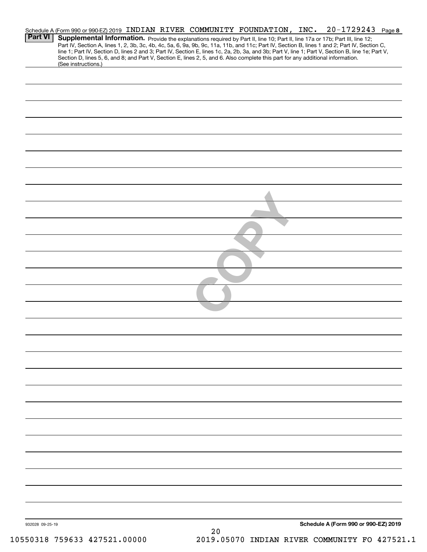|                 | Schedule A (Form 990 or 990-EZ) 2019 INDIAN RIVER COMMUNITY FOUNDATION, INC.                                                                                                                                                                                                                                                                                                                                                                                                                                                                                         |    |                                              | 20-1729243 Page 8                    |
|-----------------|----------------------------------------------------------------------------------------------------------------------------------------------------------------------------------------------------------------------------------------------------------------------------------------------------------------------------------------------------------------------------------------------------------------------------------------------------------------------------------------------------------------------------------------------------------------------|----|----------------------------------------------|--------------------------------------|
| <b>Part VI</b>  | Supplemental Information. Provide the explanations required by Part II, line 10; Part II, line 17a or 17b; Part III, line 12;<br>Part IV, Section A, lines 1, 2, 3b, 3c, 4b, 4c, 5a, 6, 9a, 9b, 9c, 11a, 11b, and 11c; Part IV, Section B, lines 1 and 2; Part IV, Section C,<br>line 1; Part IV, Section D, lines 2 and 3; Part IV, Section E, lines 1c, 2a, 2b, 3a, and 3b; Part V, line 1; Part V, Section B, line 1e; Part V,<br>Section D, lines 5, 6, and 8; and Part V, Section E, lines 2, 5, and 6. Also complete this part for any additional information. |    |                                              |                                      |
|                 | (See instructions.)                                                                                                                                                                                                                                                                                                                                                                                                                                                                                                                                                  |    |                                              |                                      |
|                 |                                                                                                                                                                                                                                                                                                                                                                                                                                                                                                                                                                      |    |                                              |                                      |
|                 |                                                                                                                                                                                                                                                                                                                                                                                                                                                                                                                                                                      |    |                                              |                                      |
|                 |                                                                                                                                                                                                                                                                                                                                                                                                                                                                                                                                                                      |    |                                              |                                      |
|                 |                                                                                                                                                                                                                                                                                                                                                                                                                                                                                                                                                                      |    |                                              |                                      |
|                 |                                                                                                                                                                                                                                                                                                                                                                                                                                                                                                                                                                      |    |                                              |                                      |
|                 |                                                                                                                                                                                                                                                                                                                                                                                                                                                                                                                                                                      |    |                                              |                                      |
|                 |                                                                                                                                                                                                                                                                                                                                                                                                                                                                                                                                                                      |    |                                              |                                      |
|                 |                                                                                                                                                                                                                                                                                                                                                                                                                                                                                                                                                                      |    |                                              |                                      |
|                 |                                                                                                                                                                                                                                                                                                                                                                                                                                                                                                                                                                      |    |                                              |                                      |
|                 |                                                                                                                                                                                                                                                                                                                                                                                                                                                                                                                                                                      |    |                                              |                                      |
|                 |                                                                                                                                                                                                                                                                                                                                                                                                                                                                                                                                                                      |    |                                              |                                      |
|                 |                                                                                                                                                                                                                                                                                                                                                                                                                                                                                                                                                                      |    |                                              |                                      |
|                 |                                                                                                                                                                                                                                                                                                                                                                                                                                                                                                                                                                      |    |                                              |                                      |
|                 |                                                                                                                                                                                                                                                                                                                                                                                                                                                                                                                                                                      |    |                                              |                                      |
|                 |                                                                                                                                                                                                                                                                                                                                                                                                                                                                                                                                                                      |    |                                              |                                      |
|                 |                                                                                                                                                                                                                                                                                                                                                                                                                                                                                                                                                                      |    |                                              |                                      |
|                 |                                                                                                                                                                                                                                                                                                                                                                                                                                                                                                                                                                      |    |                                              |                                      |
|                 |                                                                                                                                                                                                                                                                                                                                                                                                                                                                                                                                                                      |    |                                              |                                      |
|                 |                                                                                                                                                                                                                                                                                                                                                                                                                                                                                                                                                                      |    |                                              |                                      |
|                 |                                                                                                                                                                                                                                                                                                                                                                                                                                                                                                                                                                      |    |                                              |                                      |
|                 |                                                                                                                                                                                                                                                                                                                                                                                                                                                                                                                                                                      |    |                                              |                                      |
|                 |                                                                                                                                                                                                                                                                                                                                                                                                                                                                                                                                                                      |    |                                              |                                      |
|                 |                                                                                                                                                                                                                                                                                                                                                                                                                                                                                                                                                                      |    |                                              |                                      |
|                 |                                                                                                                                                                                                                                                                                                                                                                                                                                                                                                                                                                      |    |                                              |                                      |
|                 |                                                                                                                                                                                                                                                                                                                                                                                                                                                                                                                                                                      |    |                                              |                                      |
|                 |                                                                                                                                                                                                                                                                                                                                                                                                                                                                                                                                                                      |    |                                              |                                      |
|                 |                                                                                                                                                                                                                                                                                                                                                                                                                                                                                                                                                                      |    |                                              |                                      |
|                 |                                                                                                                                                                                                                                                                                                                                                                                                                                                                                                                                                                      |    |                                              |                                      |
|                 |                                                                                                                                                                                                                                                                                                                                                                                                                                                                                                                                                                      |    |                                              |                                      |
|                 |                                                                                                                                                                                                                                                                                                                                                                                                                                                                                                                                                                      |    |                                              |                                      |
|                 |                                                                                                                                                                                                                                                                                                                                                                                                                                                                                                                                                                      |    |                                              |                                      |
|                 |                                                                                                                                                                                                                                                                                                                                                                                                                                                                                                                                                                      |    |                                              |                                      |
|                 |                                                                                                                                                                                                                                                                                                                                                                                                                                                                                                                                                                      |    |                                              |                                      |
|                 |                                                                                                                                                                                                                                                                                                                                                                                                                                                                                                                                                                      |    |                                              | Schedule A (Form 990 or 990-EZ) 2019 |
| 932028 09-25-19 |                                                                                                                                                                                                                                                                                                                                                                                                                                                                                                                                                                      | 20 |                                              |                                      |
|                 | 550318 759633 127521 00000                                                                                                                                                                                                                                                                                                                                                                                                                                                                                                                                           |    | 2019 05070 INDIAN RIVER COMMINITTY FO 127521 |                                      |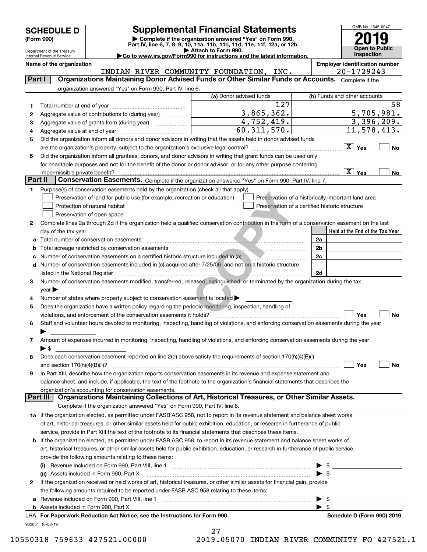| <b>SCHEDULE D</b> |  |
|-------------------|--|
|-------------------|--|

Department of the Treasury Internal Revenue Service

| (Form 990) |  |
|------------|--|
|------------|--|

## **SCHEDULE D Supplemental Financial Statements**

(Form 990)<br>
Pepartment of the Treasury<br>
Department of the Treasury<br>
Department of the Treasury<br>
Department of the Treasury<br> **Co to www.irs.gov/Form990 for instructions and the latest information.**<br> **Co to www.irs.gov/Form9** 



|         | Name of the organization                                                                                                                       | INDIAN RIVER COMMUNITY FOUNDATION, INC. | <b>Employer identification number</b><br>20-1729243 |
|---------|------------------------------------------------------------------------------------------------------------------------------------------------|-----------------------------------------|-----------------------------------------------------|
| Part I  | Organizations Maintaining Donor Advised Funds or Other Similar Funds or Accounts. Complete if the                                              |                                         |                                                     |
|         | organization answered "Yes" on Form 990, Part IV, line 6.                                                                                      |                                         |                                                     |
|         |                                                                                                                                                | (a) Donor advised funds                 | (b) Funds and other accounts                        |
|         |                                                                                                                                                | 127                                     | 58                                                  |
| 1.      | Aggregate value of contributions to (during year)                                                                                              | 3,865,362.                              | 5,705,981.                                          |
| 2       |                                                                                                                                                | 4,752,419.                              | 3,396,209.                                          |
| 3       |                                                                                                                                                | 60, 311, 570.                           | 11,578,413.                                         |
| 4       |                                                                                                                                                |                                         |                                                     |
| 5       | Did the organization inform all donors and donor advisors in writing that the assets held in donor advised funds                               |                                         | $\boxed{\text{X}}$ Yes                              |
|         | are the organization's property, subject to the organization's exclusive legal control?                                                        |                                         | <b>No</b>                                           |
| 6       | Did the organization inform all grantees, donors, and donor advisors in writing that grant funds can be used only                              |                                         |                                                     |
|         | for charitable purposes and not for the benefit of the donor or donor advisor, or for any other purpose conferring                             |                                         |                                                     |
| Part II | impermissible private benefit?<br>Conservation Easements. Complete if the organization answered "Yes" on Form 990, Part IV, line 7.            |                                         | $\overline{X}$ Yes<br>No                            |
|         |                                                                                                                                                |                                         |                                                     |
| 1       | Purpose(s) of conservation easements held by the organization (check all that apply).                                                          |                                         |                                                     |
|         | Preservation of land for public use (for example, recreation or education)                                                                     |                                         | Preservation of a historically important land area  |
|         | Protection of natural habitat                                                                                                                  |                                         | Preservation of a certified historic structure      |
|         | Preservation of open space                                                                                                                     |                                         |                                                     |
| 2       | Complete lines 2a through 2d if the organization held a qualified conservation contribution in the form of a conservation easement on the last |                                         |                                                     |
|         | day of the tax year.                                                                                                                           |                                         | Held at the End of the Tax Year                     |
|         | Total number of conservation easements                                                                                                         |                                         | 2a                                                  |
|         | Total acreage restricted by conservation easements                                                                                             |                                         | 2 <sub>b</sub>                                      |
|         | Number of conservation easements on a certified historic structure included in (a)                                                             |                                         | 2c                                                  |
|         | d Number of conservation easements included in (c) acquired after 7/25/06, and not on a historic structure                                     |                                         |                                                     |
|         |                                                                                                                                                |                                         | 2d                                                  |
| 3       | Number of conservation easements modified, transferred, released, extinguished, or terminated by the organization during the tax               |                                         |                                                     |
|         | $year \triangleright$                                                                                                                          |                                         |                                                     |
| 4       | Number of states where property subject to conservation easement is located                                                                    |                                         |                                                     |
| 5       | Does the organization have a written policy regarding the periodic monitoring, inspection, handling of                                         |                                         | Yes<br><b>No</b>                                    |
|         | violations, and enforcement of the conservation easements it holds?                                                                            |                                         |                                                     |
| 6       | Staff and volunteer hours devoted to monitoring, inspecting, handling of violations, and enforcing conservation easements during the year      |                                         |                                                     |
|         | Amount of expenses incurred in monitoring, inspecting, handling of violations, and enforcing conservation easements during the year            |                                         |                                                     |
| 7       | $\blacktriangleright$ \$                                                                                                                       |                                         |                                                     |
| 8       | Does each conservation easement reported on line 2(d) above satisfy the requirements of section 170(h)(4)(B)(i)                                |                                         |                                                     |
|         | and section $170(h)(4)(B)(ii)?$                                                                                                                |                                         | Yes<br>No                                           |
|         | In Part XIII, describe how the organization reports conservation easements in its revenue and expense statement and                            |                                         |                                                     |
|         | balance sheet, and include, if applicable, the text of the footnote to the organization's financial statements that describes the              |                                         |                                                     |
|         | organization's accounting for conservation easements.                                                                                          |                                         |                                                     |
|         | Organizations Maintaining Collections of Art, Historical Treasures, or Other Similar Assets.<br>Part III                                       |                                         |                                                     |
|         | Complete if the organization answered "Yes" on Form 990, Part IV, line 8.                                                                      |                                         |                                                     |
|         | 1a If the organization elected, as permitted under FASB ASC 958, not to report in its revenue statement and balance sheet works                |                                         |                                                     |
|         | of art, historical treasures, or other similar assets held for public exhibition, education, or research in furtherance of public              |                                         |                                                     |
|         | service, provide in Part XIII the text of the footnote to its financial statements that describes these items.                                 |                                         |                                                     |
|         | <b>b</b> If the organization elected, as permitted under FASB ASC 958, to report in its revenue statement and balance sheet works of           |                                         |                                                     |
|         | art, historical treasures, or other similar assets held for public exhibition, education, or research in furtherance of public service,        |                                         |                                                     |
|         | provide the following amounts relating to these items:                                                                                         |                                         |                                                     |
|         |                                                                                                                                                |                                         | $\blacktriangleright$ \$                            |
|         |                                                                                                                                                |                                         | $\blacktriangleright$ \$                            |
| 2       | If the organization received or held works of art, historical treasures, or other similar assets for financial gain, provide                   |                                         |                                                     |
|         | the following amounts required to be reported under FASB ASC 958 relating to these items:                                                      |                                         |                                                     |
| а       |                                                                                                                                                |                                         | $\blacktriangleright$ \$                            |
|         |                                                                                                                                                |                                         | $\blacktriangleright$ \$                            |

932051 10-02-19

| 27 |           |     |
|----|-----------|-----|
|    | 110 AEA7A | TNT |

**For Paperwork Reduction Act Notice, see the Instructions for Form 990. Schedule D (Form 990) 2019** LHA

10550318 759633 427521.00000 2019.05070 INDIAN RIVER COMMUNITY FO 427521.1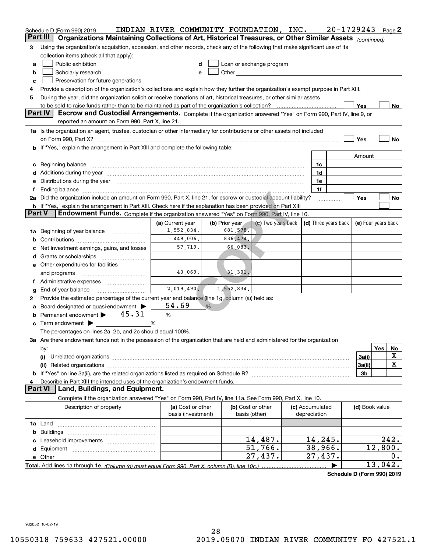| Part III<br>Organizations Maintaining Collections of Art, Historical Treasures, or Other Similar Assets (continued)<br>Using the organization's acquisition, accession, and other records, check any of the following that make significant use of its<br>3<br>collection items (check all that apply):<br>Public exhibition<br>Loan or exchange program<br>d<br>a<br>Scholarly research<br>Other the contract of the contract of the contract of the contract of the contract of the contract of the contract of the contract of the contract of the contract of the contract of the contract of the contract of the cont<br>b<br>е<br>Preservation for future generations<br>c<br>Provide a description of the organization's collections and explain how they further the organization's exempt purpose in Part XIII.<br>4<br>During the year, did the organization solicit or receive donations of art, historical treasures, or other similar assets<br>5<br>Yes<br>No<br>Part IV<br>Escrow and Custodial Arrangements. Complete if the organization answered "Yes" on Form 990, Part IV, line 9, or<br>reported an amount on Form 990, Part X, line 21.<br>1a Is the organization an agent, trustee, custodian or other intermediary for contributions or other assets not included<br>Yes<br>No<br>b If "Yes," explain the arrangement in Part XIII and complete the following table:<br>Amount<br>Beginning balance www.communication.communication.com/international/international/international/international<br>1c<br>c<br>Additions during the year manufactured and an account of the state of the state of the state of the state of the state of the state of the state of the state of the state of the state of the state of the state of the state<br>1d<br>Distributions during the year manufactured and continuum and contact the year manufactured and contact the year<br>1e<br>1f<br>Ending balance manufactured and contact the contract of the contract of the contract of the contract of the contract of the contract of the contract of the contract of the contract of the contract of the contract of the co<br>f<br>2a Did the organization include an amount on Form 990, Part X, line 21, for escrow or custodial account liability?<br>Yes<br>No<br><b>b</b> If "Yes," explain the arrangement in Part XIII. Check here if the explanation has been provided on Part XIII<br><b>Part V</b><br>Endowment Funds. Complete if the organization answered "Yes" on Form 990, Part IV, line 10.<br>(c) Two years back<br>(b) Prior year<br>$\vert$ (d) Three years back $\vert$<br>(e) Four years back<br>(a) Current year<br>1,552,834.<br>681, 578.<br>Beginning of year balance<br>1a<br>449,006.<br>836, 474.<br>b<br>57,719.<br>66,083.<br>Net investment earnings, gains, and losses<br>d<br>e Other expenditures for facilities<br>40,069.<br>31,301.<br>and programs<br>Administrative expenses<br>1.<br>2,019,490.<br>1,552,834.<br>End of year balance<br>g<br>Provide the estimated percentage of the current year end balance (line 1g, column (a)) held as:<br>2<br>54.69<br>Board designated or quasi-endowment<br>$\frac{0}{6}$<br>а<br>Permanent endowment $\blacktriangleright$ 45.31<br>%<br>b<br>Term endowment $\blacktriangleright$<br>%<br>c<br>The percentages on lines 2a, 2b, and 2c should equal 100%.<br>3a Are there endowment funds not in the possession of the organization that are held and administered for the organization<br>Yes<br>No<br>by:<br>х<br>3a(i)<br>(i)<br>х<br>3a(ii)<br>3b<br>Describe in Part XIII the intended uses of the organization's endowment funds.<br><b>Part VI</b><br>Land, Buildings, and Equipment.<br>Complete if the organization answered "Yes" on Form 990, Part IV, line 11a. See Form 990, Part X, line 10.<br>(b) Cost or other<br>Description of property<br>(a) Cost or other<br>(c) Accumulated<br>(d) Book value<br>basis (investment)<br>depreciation<br>basis (other)<br>b<br>14,487.<br>14,245.<br>$\overline{2}$ 42.<br>51,766.<br>38,966.<br>12,800.<br>27,437.<br>27,437.<br>0.<br>13,042. | Schedule D (Form 990) 2019 | INDIAN RIVER COMMUNITY FOUNDATION, INC. |  |  | 20-1729243 | Page 2 |
|----------------------------------------------------------------------------------------------------------------------------------------------------------------------------------------------------------------------------------------------------------------------------------------------------------------------------------------------------------------------------------------------------------------------------------------------------------------------------------------------------------------------------------------------------------------------------------------------------------------------------------------------------------------------------------------------------------------------------------------------------------------------------------------------------------------------------------------------------------------------------------------------------------------------------------------------------------------------------------------------------------------------------------------------------------------------------------------------------------------------------------------------------------------------------------------------------------------------------------------------------------------------------------------------------------------------------------------------------------------------------------------------------------------------------------------------------------------------------------------------------------------------------------------------------------------------------------------------------------------------------------------------------------------------------------------------------------------------------------------------------------------------------------------------------------------------------------------------------------------------------------------------------------------------------------------------------------------------------------------------------------------------------------------------------------------------------------------------------------------------------------------------------------------------------------------------------------------------------------------------------------------------------------------------------------------------------------------------------------------------------------------------------------------------------------------------------------------------------------------------------------------------------------------------------------------------------------------------------------------------------------------------------------------------------------------------------------------------------------------------------------------------------------------------------------------------------------------------------------------------------------------------------------------------------------------------------------------------------------------------------------------------------------------------------------------------------------------------------------------------------------------------------------------------------------------------------------------------------------------------------------------------------------------------------------------------------------------------------------------------------------------------------------------------------------------------------------------------------------------------------------------------------------------------------------------------------------------------------------------------------------------------------------------------------------------------------------------------------------------------------------------------------------------------------------------------------------------------------------------------------------------------------------------------------------------------------------------------------------------------------------------------------------------------------------------------------------------------------------|----------------------------|-----------------------------------------|--|--|------------|--------|
|                                                                                                                                                                                                                                                                                                                                                                                                                                                                                                                                                                                                                                                                                                                                                                                                                                                                                                                                                                                                                                                                                                                                                                                                                                                                                                                                                                                                                                                                                                                                                                                                                                                                                                                                                                                                                                                                                                                                                                                                                                                                                                                                                                                                                                                                                                                                                                                                                                                                                                                                                                                                                                                                                                                                                                                                                                                                                                                                                                                                                                                                                                                                                                                                                                                                                                                                                                                                                                                                                                                                                                                                                                                                                                                                                                                                                                                                                                                                                                                                                                                                                                          |                            |                                         |  |  |            |        |
|                                                                                                                                                                                                                                                                                                                                                                                                                                                                                                                                                                                                                                                                                                                                                                                                                                                                                                                                                                                                                                                                                                                                                                                                                                                                                                                                                                                                                                                                                                                                                                                                                                                                                                                                                                                                                                                                                                                                                                                                                                                                                                                                                                                                                                                                                                                                                                                                                                                                                                                                                                                                                                                                                                                                                                                                                                                                                                                                                                                                                                                                                                                                                                                                                                                                                                                                                                                                                                                                                                                                                                                                                                                                                                                                                                                                                                                                                                                                                                                                                                                                                                          |                            |                                         |  |  |            |        |
|                                                                                                                                                                                                                                                                                                                                                                                                                                                                                                                                                                                                                                                                                                                                                                                                                                                                                                                                                                                                                                                                                                                                                                                                                                                                                                                                                                                                                                                                                                                                                                                                                                                                                                                                                                                                                                                                                                                                                                                                                                                                                                                                                                                                                                                                                                                                                                                                                                                                                                                                                                                                                                                                                                                                                                                                                                                                                                                                                                                                                                                                                                                                                                                                                                                                                                                                                                                                                                                                                                                                                                                                                                                                                                                                                                                                                                                                                                                                                                                                                                                                                                          |                            |                                         |  |  |            |        |
|                                                                                                                                                                                                                                                                                                                                                                                                                                                                                                                                                                                                                                                                                                                                                                                                                                                                                                                                                                                                                                                                                                                                                                                                                                                                                                                                                                                                                                                                                                                                                                                                                                                                                                                                                                                                                                                                                                                                                                                                                                                                                                                                                                                                                                                                                                                                                                                                                                                                                                                                                                                                                                                                                                                                                                                                                                                                                                                                                                                                                                                                                                                                                                                                                                                                                                                                                                                                                                                                                                                                                                                                                                                                                                                                                                                                                                                                                                                                                                                                                                                                                                          |                            |                                         |  |  |            |        |
|                                                                                                                                                                                                                                                                                                                                                                                                                                                                                                                                                                                                                                                                                                                                                                                                                                                                                                                                                                                                                                                                                                                                                                                                                                                                                                                                                                                                                                                                                                                                                                                                                                                                                                                                                                                                                                                                                                                                                                                                                                                                                                                                                                                                                                                                                                                                                                                                                                                                                                                                                                                                                                                                                                                                                                                                                                                                                                                                                                                                                                                                                                                                                                                                                                                                                                                                                                                                                                                                                                                                                                                                                                                                                                                                                                                                                                                                                                                                                                                                                                                                                                          |                            |                                         |  |  |            |        |
|                                                                                                                                                                                                                                                                                                                                                                                                                                                                                                                                                                                                                                                                                                                                                                                                                                                                                                                                                                                                                                                                                                                                                                                                                                                                                                                                                                                                                                                                                                                                                                                                                                                                                                                                                                                                                                                                                                                                                                                                                                                                                                                                                                                                                                                                                                                                                                                                                                                                                                                                                                                                                                                                                                                                                                                                                                                                                                                                                                                                                                                                                                                                                                                                                                                                                                                                                                                                                                                                                                                                                                                                                                                                                                                                                                                                                                                                                                                                                                                                                                                                                                          |                            |                                         |  |  |            |        |
|                                                                                                                                                                                                                                                                                                                                                                                                                                                                                                                                                                                                                                                                                                                                                                                                                                                                                                                                                                                                                                                                                                                                                                                                                                                                                                                                                                                                                                                                                                                                                                                                                                                                                                                                                                                                                                                                                                                                                                                                                                                                                                                                                                                                                                                                                                                                                                                                                                                                                                                                                                                                                                                                                                                                                                                                                                                                                                                                                                                                                                                                                                                                                                                                                                                                                                                                                                                                                                                                                                                                                                                                                                                                                                                                                                                                                                                                                                                                                                                                                                                                                                          |                            |                                         |  |  |            |        |
|                                                                                                                                                                                                                                                                                                                                                                                                                                                                                                                                                                                                                                                                                                                                                                                                                                                                                                                                                                                                                                                                                                                                                                                                                                                                                                                                                                                                                                                                                                                                                                                                                                                                                                                                                                                                                                                                                                                                                                                                                                                                                                                                                                                                                                                                                                                                                                                                                                                                                                                                                                                                                                                                                                                                                                                                                                                                                                                                                                                                                                                                                                                                                                                                                                                                                                                                                                                                                                                                                                                                                                                                                                                                                                                                                                                                                                                                                                                                                                                                                                                                                                          |                            |                                         |  |  |            |        |
|                                                                                                                                                                                                                                                                                                                                                                                                                                                                                                                                                                                                                                                                                                                                                                                                                                                                                                                                                                                                                                                                                                                                                                                                                                                                                                                                                                                                                                                                                                                                                                                                                                                                                                                                                                                                                                                                                                                                                                                                                                                                                                                                                                                                                                                                                                                                                                                                                                                                                                                                                                                                                                                                                                                                                                                                                                                                                                                                                                                                                                                                                                                                                                                                                                                                                                                                                                                                                                                                                                                                                                                                                                                                                                                                                                                                                                                                                                                                                                                                                                                                                                          |                            |                                         |  |  |            |        |
|                                                                                                                                                                                                                                                                                                                                                                                                                                                                                                                                                                                                                                                                                                                                                                                                                                                                                                                                                                                                                                                                                                                                                                                                                                                                                                                                                                                                                                                                                                                                                                                                                                                                                                                                                                                                                                                                                                                                                                                                                                                                                                                                                                                                                                                                                                                                                                                                                                                                                                                                                                                                                                                                                                                                                                                                                                                                                                                                                                                                                                                                                                                                                                                                                                                                                                                                                                                                                                                                                                                                                                                                                                                                                                                                                                                                                                                                                                                                                                                                                                                                                                          |                            |                                         |  |  |            |        |
|                                                                                                                                                                                                                                                                                                                                                                                                                                                                                                                                                                                                                                                                                                                                                                                                                                                                                                                                                                                                                                                                                                                                                                                                                                                                                                                                                                                                                                                                                                                                                                                                                                                                                                                                                                                                                                                                                                                                                                                                                                                                                                                                                                                                                                                                                                                                                                                                                                                                                                                                                                                                                                                                                                                                                                                                                                                                                                                                                                                                                                                                                                                                                                                                                                                                                                                                                                                                                                                                                                                                                                                                                                                                                                                                                                                                                                                                                                                                                                                                                                                                                                          |                            |                                         |  |  |            |        |
|                                                                                                                                                                                                                                                                                                                                                                                                                                                                                                                                                                                                                                                                                                                                                                                                                                                                                                                                                                                                                                                                                                                                                                                                                                                                                                                                                                                                                                                                                                                                                                                                                                                                                                                                                                                                                                                                                                                                                                                                                                                                                                                                                                                                                                                                                                                                                                                                                                                                                                                                                                                                                                                                                                                                                                                                                                                                                                                                                                                                                                                                                                                                                                                                                                                                                                                                                                                                                                                                                                                                                                                                                                                                                                                                                                                                                                                                                                                                                                                                                                                                                                          |                            |                                         |  |  |            |        |
|                                                                                                                                                                                                                                                                                                                                                                                                                                                                                                                                                                                                                                                                                                                                                                                                                                                                                                                                                                                                                                                                                                                                                                                                                                                                                                                                                                                                                                                                                                                                                                                                                                                                                                                                                                                                                                                                                                                                                                                                                                                                                                                                                                                                                                                                                                                                                                                                                                                                                                                                                                                                                                                                                                                                                                                                                                                                                                                                                                                                                                                                                                                                                                                                                                                                                                                                                                                                                                                                                                                                                                                                                                                                                                                                                                                                                                                                                                                                                                                                                                                                                                          |                            |                                         |  |  |            |        |
|                                                                                                                                                                                                                                                                                                                                                                                                                                                                                                                                                                                                                                                                                                                                                                                                                                                                                                                                                                                                                                                                                                                                                                                                                                                                                                                                                                                                                                                                                                                                                                                                                                                                                                                                                                                                                                                                                                                                                                                                                                                                                                                                                                                                                                                                                                                                                                                                                                                                                                                                                                                                                                                                                                                                                                                                                                                                                                                                                                                                                                                                                                                                                                                                                                                                                                                                                                                                                                                                                                                                                                                                                                                                                                                                                                                                                                                                                                                                                                                                                                                                                                          |                            |                                         |  |  |            |        |
|                                                                                                                                                                                                                                                                                                                                                                                                                                                                                                                                                                                                                                                                                                                                                                                                                                                                                                                                                                                                                                                                                                                                                                                                                                                                                                                                                                                                                                                                                                                                                                                                                                                                                                                                                                                                                                                                                                                                                                                                                                                                                                                                                                                                                                                                                                                                                                                                                                                                                                                                                                                                                                                                                                                                                                                                                                                                                                                                                                                                                                                                                                                                                                                                                                                                                                                                                                                                                                                                                                                                                                                                                                                                                                                                                                                                                                                                                                                                                                                                                                                                                                          |                            |                                         |  |  |            |        |
|                                                                                                                                                                                                                                                                                                                                                                                                                                                                                                                                                                                                                                                                                                                                                                                                                                                                                                                                                                                                                                                                                                                                                                                                                                                                                                                                                                                                                                                                                                                                                                                                                                                                                                                                                                                                                                                                                                                                                                                                                                                                                                                                                                                                                                                                                                                                                                                                                                                                                                                                                                                                                                                                                                                                                                                                                                                                                                                                                                                                                                                                                                                                                                                                                                                                                                                                                                                                                                                                                                                                                                                                                                                                                                                                                                                                                                                                                                                                                                                                                                                                                                          |                            |                                         |  |  |            |        |
|                                                                                                                                                                                                                                                                                                                                                                                                                                                                                                                                                                                                                                                                                                                                                                                                                                                                                                                                                                                                                                                                                                                                                                                                                                                                                                                                                                                                                                                                                                                                                                                                                                                                                                                                                                                                                                                                                                                                                                                                                                                                                                                                                                                                                                                                                                                                                                                                                                                                                                                                                                                                                                                                                                                                                                                                                                                                                                                                                                                                                                                                                                                                                                                                                                                                                                                                                                                                                                                                                                                                                                                                                                                                                                                                                                                                                                                                                                                                                                                                                                                                                                          |                            |                                         |  |  |            |        |
|                                                                                                                                                                                                                                                                                                                                                                                                                                                                                                                                                                                                                                                                                                                                                                                                                                                                                                                                                                                                                                                                                                                                                                                                                                                                                                                                                                                                                                                                                                                                                                                                                                                                                                                                                                                                                                                                                                                                                                                                                                                                                                                                                                                                                                                                                                                                                                                                                                                                                                                                                                                                                                                                                                                                                                                                                                                                                                                                                                                                                                                                                                                                                                                                                                                                                                                                                                                                                                                                                                                                                                                                                                                                                                                                                                                                                                                                                                                                                                                                                                                                                                          |                            |                                         |  |  |            |        |
|                                                                                                                                                                                                                                                                                                                                                                                                                                                                                                                                                                                                                                                                                                                                                                                                                                                                                                                                                                                                                                                                                                                                                                                                                                                                                                                                                                                                                                                                                                                                                                                                                                                                                                                                                                                                                                                                                                                                                                                                                                                                                                                                                                                                                                                                                                                                                                                                                                                                                                                                                                                                                                                                                                                                                                                                                                                                                                                                                                                                                                                                                                                                                                                                                                                                                                                                                                                                                                                                                                                                                                                                                                                                                                                                                                                                                                                                                                                                                                                                                                                                                                          |                            |                                         |  |  |            |        |
|                                                                                                                                                                                                                                                                                                                                                                                                                                                                                                                                                                                                                                                                                                                                                                                                                                                                                                                                                                                                                                                                                                                                                                                                                                                                                                                                                                                                                                                                                                                                                                                                                                                                                                                                                                                                                                                                                                                                                                                                                                                                                                                                                                                                                                                                                                                                                                                                                                                                                                                                                                                                                                                                                                                                                                                                                                                                                                                                                                                                                                                                                                                                                                                                                                                                                                                                                                                                                                                                                                                                                                                                                                                                                                                                                                                                                                                                                                                                                                                                                                                                                                          |                            |                                         |  |  |            |        |
|                                                                                                                                                                                                                                                                                                                                                                                                                                                                                                                                                                                                                                                                                                                                                                                                                                                                                                                                                                                                                                                                                                                                                                                                                                                                                                                                                                                                                                                                                                                                                                                                                                                                                                                                                                                                                                                                                                                                                                                                                                                                                                                                                                                                                                                                                                                                                                                                                                                                                                                                                                                                                                                                                                                                                                                                                                                                                                                                                                                                                                                                                                                                                                                                                                                                                                                                                                                                                                                                                                                                                                                                                                                                                                                                                                                                                                                                                                                                                                                                                                                                                                          |                            |                                         |  |  |            |        |
|                                                                                                                                                                                                                                                                                                                                                                                                                                                                                                                                                                                                                                                                                                                                                                                                                                                                                                                                                                                                                                                                                                                                                                                                                                                                                                                                                                                                                                                                                                                                                                                                                                                                                                                                                                                                                                                                                                                                                                                                                                                                                                                                                                                                                                                                                                                                                                                                                                                                                                                                                                                                                                                                                                                                                                                                                                                                                                                                                                                                                                                                                                                                                                                                                                                                                                                                                                                                                                                                                                                                                                                                                                                                                                                                                                                                                                                                                                                                                                                                                                                                                                          |                            |                                         |  |  |            |        |
|                                                                                                                                                                                                                                                                                                                                                                                                                                                                                                                                                                                                                                                                                                                                                                                                                                                                                                                                                                                                                                                                                                                                                                                                                                                                                                                                                                                                                                                                                                                                                                                                                                                                                                                                                                                                                                                                                                                                                                                                                                                                                                                                                                                                                                                                                                                                                                                                                                                                                                                                                                                                                                                                                                                                                                                                                                                                                                                                                                                                                                                                                                                                                                                                                                                                                                                                                                                                                                                                                                                                                                                                                                                                                                                                                                                                                                                                                                                                                                                                                                                                                                          |                            |                                         |  |  |            |        |
|                                                                                                                                                                                                                                                                                                                                                                                                                                                                                                                                                                                                                                                                                                                                                                                                                                                                                                                                                                                                                                                                                                                                                                                                                                                                                                                                                                                                                                                                                                                                                                                                                                                                                                                                                                                                                                                                                                                                                                                                                                                                                                                                                                                                                                                                                                                                                                                                                                                                                                                                                                                                                                                                                                                                                                                                                                                                                                                                                                                                                                                                                                                                                                                                                                                                                                                                                                                                                                                                                                                                                                                                                                                                                                                                                                                                                                                                                                                                                                                                                                                                                                          |                            |                                         |  |  |            |        |
|                                                                                                                                                                                                                                                                                                                                                                                                                                                                                                                                                                                                                                                                                                                                                                                                                                                                                                                                                                                                                                                                                                                                                                                                                                                                                                                                                                                                                                                                                                                                                                                                                                                                                                                                                                                                                                                                                                                                                                                                                                                                                                                                                                                                                                                                                                                                                                                                                                                                                                                                                                                                                                                                                                                                                                                                                                                                                                                                                                                                                                                                                                                                                                                                                                                                                                                                                                                                                                                                                                                                                                                                                                                                                                                                                                                                                                                                                                                                                                                                                                                                                                          |                            |                                         |  |  |            |        |
|                                                                                                                                                                                                                                                                                                                                                                                                                                                                                                                                                                                                                                                                                                                                                                                                                                                                                                                                                                                                                                                                                                                                                                                                                                                                                                                                                                                                                                                                                                                                                                                                                                                                                                                                                                                                                                                                                                                                                                                                                                                                                                                                                                                                                                                                                                                                                                                                                                                                                                                                                                                                                                                                                                                                                                                                                                                                                                                                                                                                                                                                                                                                                                                                                                                                                                                                                                                                                                                                                                                                                                                                                                                                                                                                                                                                                                                                                                                                                                                                                                                                                                          |                            |                                         |  |  |            |        |
|                                                                                                                                                                                                                                                                                                                                                                                                                                                                                                                                                                                                                                                                                                                                                                                                                                                                                                                                                                                                                                                                                                                                                                                                                                                                                                                                                                                                                                                                                                                                                                                                                                                                                                                                                                                                                                                                                                                                                                                                                                                                                                                                                                                                                                                                                                                                                                                                                                                                                                                                                                                                                                                                                                                                                                                                                                                                                                                                                                                                                                                                                                                                                                                                                                                                                                                                                                                                                                                                                                                                                                                                                                                                                                                                                                                                                                                                                                                                                                                                                                                                                                          |                            |                                         |  |  |            |        |
|                                                                                                                                                                                                                                                                                                                                                                                                                                                                                                                                                                                                                                                                                                                                                                                                                                                                                                                                                                                                                                                                                                                                                                                                                                                                                                                                                                                                                                                                                                                                                                                                                                                                                                                                                                                                                                                                                                                                                                                                                                                                                                                                                                                                                                                                                                                                                                                                                                                                                                                                                                                                                                                                                                                                                                                                                                                                                                                                                                                                                                                                                                                                                                                                                                                                                                                                                                                                                                                                                                                                                                                                                                                                                                                                                                                                                                                                                                                                                                                                                                                                                                          |                            |                                         |  |  |            |        |
|                                                                                                                                                                                                                                                                                                                                                                                                                                                                                                                                                                                                                                                                                                                                                                                                                                                                                                                                                                                                                                                                                                                                                                                                                                                                                                                                                                                                                                                                                                                                                                                                                                                                                                                                                                                                                                                                                                                                                                                                                                                                                                                                                                                                                                                                                                                                                                                                                                                                                                                                                                                                                                                                                                                                                                                                                                                                                                                                                                                                                                                                                                                                                                                                                                                                                                                                                                                                                                                                                                                                                                                                                                                                                                                                                                                                                                                                                                                                                                                                                                                                                                          |                            |                                         |  |  |            |        |
|                                                                                                                                                                                                                                                                                                                                                                                                                                                                                                                                                                                                                                                                                                                                                                                                                                                                                                                                                                                                                                                                                                                                                                                                                                                                                                                                                                                                                                                                                                                                                                                                                                                                                                                                                                                                                                                                                                                                                                                                                                                                                                                                                                                                                                                                                                                                                                                                                                                                                                                                                                                                                                                                                                                                                                                                                                                                                                                                                                                                                                                                                                                                                                                                                                                                                                                                                                                                                                                                                                                                                                                                                                                                                                                                                                                                                                                                                                                                                                                                                                                                                                          |                            |                                         |  |  |            |        |
|                                                                                                                                                                                                                                                                                                                                                                                                                                                                                                                                                                                                                                                                                                                                                                                                                                                                                                                                                                                                                                                                                                                                                                                                                                                                                                                                                                                                                                                                                                                                                                                                                                                                                                                                                                                                                                                                                                                                                                                                                                                                                                                                                                                                                                                                                                                                                                                                                                                                                                                                                                                                                                                                                                                                                                                                                                                                                                                                                                                                                                                                                                                                                                                                                                                                                                                                                                                                                                                                                                                                                                                                                                                                                                                                                                                                                                                                                                                                                                                                                                                                                                          |                            |                                         |  |  |            |        |
|                                                                                                                                                                                                                                                                                                                                                                                                                                                                                                                                                                                                                                                                                                                                                                                                                                                                                                                                                                                                                                                                                                                                                                                                                                                                                                                                                                                                                                                                                                                                                                                                                                                                                                                                                                                                                                                                                                                                                                                                                                                                                                                                                                                                                                                                                                                                                                                                                                                                                                                                                                                                                                                                                                                                                                                                                                                                                                                                                                                                                                                                                                                                                                                                                                                                                                                                                                                                                                                                                                                                                                                                                                                                                                                                                                                                                                                                                                                                                                                                                                                                                                          |                            |                                         |  |  |            |        |
|                                                                                                                                                                                                                                                                                                                                                                                                                                                                                                                                                                                                                                                                                                                                                                                                                                                                                                                                                                                                                                                                                                                                                                                                                                                                                                                                                                                                                                                                                                                                                                                                                                                                                                                                                                                                                                                                                                                                                                                                                                                                                                                                                                                                                                                                                                                                                                                                                                                                                                                                                                                                                                                                                                                                                                                                                                                                                                                                                                                                                                                                                                                                                                                                                                                                                                                                                                                                                                                                                                                                                                                                                                                                                                                                                                                                                                                                                                                                                                                                                                                                                                          |                            |                                         |  |  |            |        |
|                                                                                                                                                                                                                                                                                                                                                                                                                                                                                                                                                                                                                                                                                                                                                                                                                                                                                                                                                                                                                                                                                                                                                                                                                                                                                                                                                                                                                                                                                                                                                                                                                                                                                                                                                                                                                                                                                                                                                                                                                                                                                                                                                                                                                                                                                                                                                                                                                                                                                                                                                                                                                                                                                                                                                                                                                                                                                                                                                                                                                                                                                                                                                                                                                                                                                                                                                                                                                                                                                                                                                                                                                                                                                                                                                                                                                                                                                                                                                                                                                                                                                                          |                            |                                         |  |  |            |        |
|                                                                                                                                                                                                                                                                                                                                                                                                                                                                                                                                                                                                                                                                                                                                                                                                                                                                                                                                                                                                                                                                                                                                                                                                                                                                                                                                                                                                                                                                                                                                                                                                                                                                                                                                                                                                                                                                                                                                                                                                                                                                                                                                                                                                                                                                                                                                                                                                                                                                                                                                                                                                                                                                                                                                                                                                                                                                                                                                                                                                                                                                                                                                                                                                                                                                                                                                                                                                                                                                                                                                                                                                                                                                                                                                                                                                                                                                                                                                                                                                                                                                                                          |                            |                                         |  |  |            |        |
|                                                                                                                                                                                                                                                                                                                                                                                                                                                                                                                                                                                                                                                                                                                                                                                                                                                                                                                                                                                                                                                                                                                                                                                                                                                                                                                                                                                                                                                                                                                                                                                                                                                                                                                                                                                                                                                                                                                                                                                                                                                                                                                                                                                                                                                                                                                                                                                                                                                                                                                                                                                                                                                                                                                                                                                                                                                                                                                                                                                                                                                                                                                                                                                                                                                                                                                                                                                                                                                                                                                                                                                                                                                                                                                                                                                                                                                                                                                                                                                                                                                                                                          |                            |                                         |  |  |            |        |
|                                                                                                                                                                                                                                                                                                                                                                                                                                                                                                                                                                                                                                                                                                                                                                                                                                                                                                                                                                                                                                                                                                                                                                                                                                                                                                                                                                                                                                                                                                                                                                                                                                                                                                                                                                                                                                                                                                                                                                                                                                                                                                                                                                                                                                                                                                                                                                                                                                                                                                                                                                                                                                                                                                                                                                                                                                                                                                                                                                                                                                                                                                                                                                                                                                                                                                                                                                                                                                                                                                                                                                                                                                                                                                                                                                                                                                                                                                                                                                                                                                                                                                          |                            |                                         |  |  |            |        |
|                                                                                                                                                                                                                                                                                                                                                                                                                                                                                                                                                                                                                                                                                                                                                                                                                                                                                                                                                                                                                                                                                                                                                                                                                                                                                                                                                                                                                                                                                                                                                                                                                                                                                                                                                                                                                                                                                                                                                                                                                                                                                                                                                                                                                                                                                                                                                                                                                                                                                                                                                                                                                                                                                                                                                                                                                                                                                                                                                                                                                                                                                                                                                                                                                                                                                                                                                                                                                                                                                                                                                                                                                                                                                                                                                                                                                                                                                                                                                                                                                                                                                                          |                            |                                         |  |  |            |        |
|                                                                                                                                                                                                                                                                                                                                                                                                                                                                                                                                                                                                                                                                                                                                                                                                                                                                                                                                                                                                                                                                                                                                                                                                                                                                                                                                                                                                                                                                                                                                                                                                                                                                                                                                                                                                                                                                                                                                                                                                                                                                                                                                                                                                                                                                                                                                                                                                                                                                                                                                                                                                                                                                                                                                                                                                                                                                                                                                                                                                                                                                                                                                                                                                                                                                                                                                                                                                                                                                                                                                                                                                                                                                                                                                                                                                                                                                                                                                                                                                                                                                                                          |                            |                                         |  |  |            |        |
|                                                                                                                                                                                                                                                                                                                                                                                                                                                                                                                                                                                                                                                                                                                                                                                                                                                                                                                                                                                                                                                                                                                                                                                                                                                                                                                                                                                                                                                                                                                                                                                                                                                                                                                                                                                                                                                                                                                                                                                                                                                                                                                                                                                                                                                                                                                                                                                                                                                                                                                                                                                                                                                                                                                                                                                                                                                                                                                                                                                                                                                                                                                                                                                                                                                                                                                                                                                                                                                                                                                                                                                                                                                                                                                                                                                                                                                                                                                                                                                                                                                                                                          |                            |                                         |  |  |            |        |
|                                                                                                                                                                                                                                                                                                                                                                                                                                                                                                                                                                                                                                                                                                                                                                                                                                                                                                                                                                                                                                                                                                                                                                                                                                                                                                                                                                                                                                                                                                                                                                                                                                                                                                                                                                                                                                                                                                                                                                                                                                                                                                                                                                                                                                                                                                                                                                                                                                                                                                                                                                                                                                                                                                                                                                                                                                                                                                                                                                                                                                                                                                                                                                                                                                                                                                                                                                                                                                                                                                                                                                                                                                                                                                                                                                                                                                                                                                                                                                                                                                                                                                          |                            |                                         |  |  |            |        |
|                                                                                                                                                                                                                                                                                                                                                                                                                                                                                                                                                                                                                                                                                                                                                                                                                                                                                                                                                                                                                                                                                                                                                                                                                                                                                                                                                                                                                                                                                                                                                                                                                                                                                                                                                                                                                                                                                                                                                                                                                                                                                                                                                                                                                                                                                                                                                                                                                                                                                                                                                                                                                                                                                                                                                                                                                                                                                                                                                                                                                                                                                                                                                                                                                                                                                                                                                                                                                                                                                                                                                                                                                                                                                                                                                                                                                                                                                                                                                                                                                                                                                                          |                            |                                         |  |  |            |        |
|                                                                                                                                                                                                                                                                                                                                                                                                                                                                                                                                                                                                                                                                                                                                                                                                                                                                                                                                                                                                                                                                                                                                                                                                                                                                                                                                                                                                                                                                                                                                                                                                                                                                                                                                                                                                                                                                                                                                                                                                                                                                                                                                                                                                                                                                                                                                                                                                                                                                                                                                                                                                                                                                                                                                                                                                                                                                                                                                                                                                                                                                                                                                                                                                                                                                                                                                                                                                                                                                                                                                                                                                                                                                                                                                                                                                                                                                                                                                                                                                                                                                                                          |                            |                                         |  |  |            |        |
|                                                                                                                                                                                                                                                                                                                                                                                                                                                                                                                                                                                                                                                                                                                                                                                                                                                                                                                                                                                                                                                                                                                                                                                                                                                                                                                                                                                                                                                                                                                                                                                                                                                                                                                                                                                                                                                                                                                                                                                                                                                                                                                                                                                                                                                                                                                                                                                                                                                                                                                                                                                                                                                                                                                                                                                                                                                                                                                                                                                                                                                                                                                                                                                                                                                                                                                                                                                                                                                                                                                                                                                                                                                                                                                                                                                                                                                                                                                                                                                                                                                                                                          |                            |                                         |  |  |            |        |
|                                                                                                                                                                                                                                                                                                                                                                                                                                                                                                                                                                                                                                                                                                                                                                                                                                                                                                                                                                                                                                                                                                                                                                                                                                                                                                                                                                                                                                                                                                                                                                                                                                                                                                                                                                                                                                                                                                                                                                                                                                                                                                                                                                                                                                                                                                                                                                                                                                                                                                                                                                                                                                                                                                                                                                                                                                                                                                                                                                                                                                                                                                                                                                                                                                                                                                                                                                                                                                                                                                                                                                                                                                                                                                                                                                                                                                                                                                                                                                                                                                                                                                          |                            |                                         |  |  |            |        |
|                                                                                                                                                                                                                                                                                                                                                                                                                                                                                                                                                                                                                                                                                                                                                                                                                                                                                                                                                                                                                                                                                                                                                                                                                                                                                                                                                                                                                                                                                                                                                                                                                                                                                                                                                                                                                                                                                                                                                                                                                                                                                                                                                                                                                                                                                                                                                                                                                                                                                                                                                                                                                                                                                                                                                                                                                                                                                                                                                                                                                                                                                                                                                                                                                                                                                                                                                                                                                                                                                                                                                                                                                                                                                                                                                                                                                                                                                                                                                                                                                                                                                                          |                            |                                         |  |  |            |        |
|                                                                                                                                                                                                                                                                                                                                                                                                                                                                                                                                                                                                                                                                                                                                                                                                                                                                                                                                                                                                                                                                                                                                                                                                                                                                                                                                                                                                                                                                                                                                                                                                                                                                                                                                                                                                                                                                                                                                                                                                                                                                                                                                                                                                                                                                                                                                                                                                                                                                                                                                                                                                                                                                                                                                                                                                                                                                                                                                                                                                                                                                                                                                                                                                                                                                                                                                                                                                                                                                                                                                                                                                                                                                                                                                                                                                                                                                                                                                                                                                                                                                                                          |                            |                                         |  |  |            |        |
|                                                                                                                                                                                                                                                                                                                                                                                                                                                                                                                                                                                                                                                                                                                                                                                                                                                                                                                                                                                                                                                                                                                                                                                                                                                                                                                                                                                                                                                                                                                                                                                                                                                                                                                                                                                                                                                                                                                                                                                                                                                                                                                                                                                                                                                                                                                                                                                                                                                                                                                                                                                                                                                                                                                                                                                                                                                                                                                                                                                                                                                                                                                                                                                                                                                                                                                                                                                                                                                                                                                                                                                                                                                                                                                                                                                                                                                                                                                                                                                                                                                                                                          |                            |                                         |  |  |            |        |
|                                                                                                                                                                                                                                                                                                                                                                                                                                                                                                                                                                                                                                                                                                                                                                                                                                                                                                                                                                                                                                                                                                                                                                                                                                                                                                                                                                                                                                                                                                                                                                                                                                                                                                                                                                                                                                                                                                                                                                                                                                                                                                                                                                                                                                                                                                                                                                                                                                                                                                                                                                                                                                                                                                                                                                                                                                                                                                                                                                                                                                                                                                                                                                                                                                                                                                                                                                                                                                                                                                                                                                                                                                                                                                                                                                                                                                                                                                                                                                                                                                                                                                          |                            |                                         |  |  |            |        |

932052 10-02-19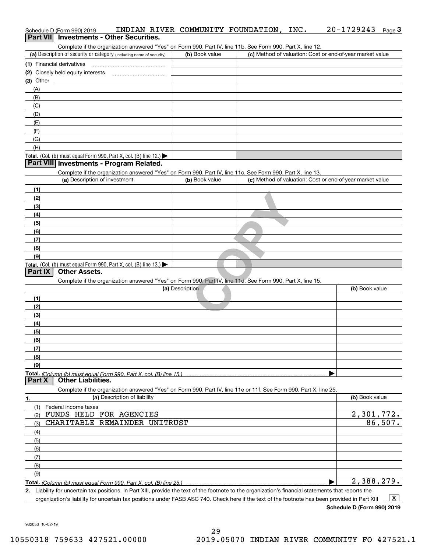| Schedule D (Form 990) 2019                                                                                                                                                         | INDIAN RIVER COMMUNITY FOUNDATION, | INC.                                                      | 20-1729243<br>Page $3$ |
|------------------------------------------------------------------------------------------------------------------------------------------------------------------------------------|------------------------------------|-----------------------------------------------------------|------------------------|
| Part VII Investments - Other Securities.                                                                                                                                           |                                    |                                                           |                        |
| Complete if the organization answered "Yes" on Form 990, Part IV, line 11b. See Form 990, Part X, line 12.<br>(a) Description of security or category (including name of security) | (b) Book value                     | (c) Method of valuation: Cost or end-of-year market value |                        |
|                                                                                                                                                                                    |                                    |                                                           |                        |
| (1) Financial derivatives                                                                                                                                                          |                                    |                                                           |                        |
| $(3)$ Other                                                                                                                                                                        |                                    |                                                           |                        |
| (A)                                                                                                                                                                                |                                    |                                                           |                        |
| (B)                                                                                                                                                                                |                                    |                                                           |                        |
| (C)                                                                                                                                                                                |                                    |                                                           |                        |
| (D)                                                                                                                                                                                |                                    |                                                           |                        |
| (E)                                                                                                                                                                                |                                    |                                                           |                        |
| (F)                                                                                                                                                                                |                                    |                                                           |                        |
| (G)                                                                                                                                                                                |                                    |                                                           |                        |
| (H)                                                                                                                                                                                |                                    |                                                           |                        |
| Total. (Col. (b) must equal Form 990, Part X, col. (B) line 12.) $\blacktriangleright$                                                                                             |                                    |                                                           |                        |
| Part VIII Investments - Program Related.                                                                                                                                           |                                    |                                                           |                        |
| Complete if the organization answered "Yes" on Form 990, Part IV, line 11c. See Form 990, Part X, line 13.                                                                         |                                    |                                                           |                        |
| (a) Description of investment                                                                                                                                                      | (b) Book value                     | (c) Method of valuation: Cost or end-of-year market value |                        |
| (1)                                                                                                                                                                                |                                    |                                                           |                        |
| (2)                                                                                                                                                                                |                                    |                                                           |                        |
| (3)                                                                                                                                                                                |                                    |                                                           |                        |
| (4)                                                                                                                                                                                |                                    |                                                           |                        |
| (5)                                                                                                                                                                                |                                    |                                                           |                        |
| (6)                                                                                                                                                                                |                                    |                                                           |                        |
| (7)                                                                                                                                                                                |                                    |                                                           |                        |
| (8)                                                                                                                                                                                |                                    |                                                           |                        |
| (9)                                                                                                                                                                                |                                    |                                                           |                        |
| Total. (Col. (b) must equal Form 990, Part X, col. (B) line 13.)                                                                                                                   |                                    |                                                           |                        |
| <b>Other Assets.</b><br>Part IX                                                                                                                                                    |                                    |                                                           |                        |
| Complete if the organization answered "Yes" on Form 990, Part IV, line 11d. See Form 990, Part X, line 15.                                                                         |                                    |                                                           |                        |
|                                                                                                                                                                                    | (a) Description                    |                                                           | (b) Book value         |
| (1)                                                                                                                                                                                |                                    |                                                           |                        |
| (2)                                                                                                                                                                                |                                    |                                                           |                        |
| (3)                                                                                                                                                                                |                                    |                                                           |                        |
| (4)                                                                                                                                                                                |                                    |                                                           |                        |
| (5)                                                                                                                                                                                |                                    |                                                           |                        |
| (6)                                                                                                                                                                                |                                    |                                                           |                        |
| (7)<br>(8)                                                                                                                                                                         |                                    |                                                           |                        |
| (9)                                                                                                                                                                                |                                    |                                                           |                        |
|                                                                                                                                                                                    |                                    |                                                           |                        |
| <b>Other Liabilities.</b><br>Part X                                                                                                                                                |                                    |                                                           |                        |
| Complete if the organization answered "Yes" on Form 990, Part IV, line 11e or 11f. See Form 990, Part X, line 25.                                                                  |                                    |                                                           |                        |
| (a) Description of liability<br>1.                                                                                                                                                 |                                    |                                                           | (b) Book value         |
| (1)<br>Federal income taxes                                                                                                                                                        |                                    |                                                           |                        |
| FUNDS HELD FOR AGENCIES<br>(2)                                                                                                                                                     |                                    |                                                           | 2,301,772.             |
| CHARITABLE REMAINDER UNITRUST<br>(3)                                                                                                                                               |                                    |                                                           | 86,507.                |
| (4)                                                                                                                                                                                |                                    |                                                           |                        |
| (5)                                                                                                                                                                                |                                    |                                                           |                        |
| (6)                                                                                                                                                                                |                                    |                                                           |                        |
| (7)                                                                                                                                                                                |                                    |                                                           |                        |
| (8)                                                                                                                                                                                |                                    |                                                           |                        |
| (9)                                                                                                                                                                                |                                    |                                                           |                        |
|                                                                                                                                                                                    |                                    |                                                           | 2,388,279.             |
| 2. Liability for uncertain tax positions. In Part XIII, provide the text of the footnote to the organization's financial statements that reports the                               |                                    |                                                           |                        |
| organization's liability for uncertain tax positions under FASB ASC 740. Check here if the text of the footnote has been provided in Part XIII                                     |                                    |                                                           | $\mathbf{X}$           |

932053 10-02-19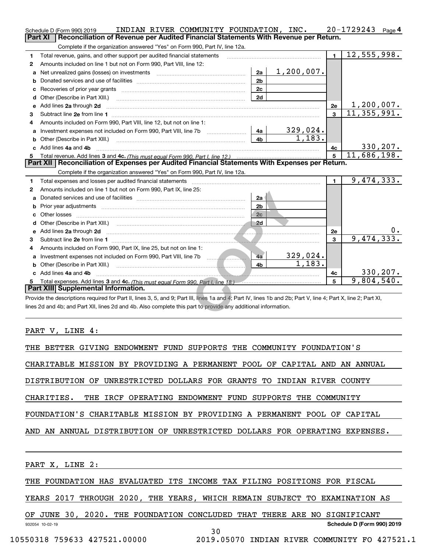|                | INDIAN RIVER COMMUNITY FOUNDATION, INC.<br>Schedule D (Form 990) 2019                                                                                          |               |                | 20-1729243<br>Page 4 |
|----------------|----------------------------------------------------------------------------------------------------------------------------------------------------------------|---------------|----------------|----------------------|
| <b>Part XI</b> | Reconciliation of Revenue per Audited Financial Statements With Revenue per Return.                                                                            |               |                |                      |
|                | Complete if the organization answered "Yes" on Form 990, Part IV, line 12a.                                                                                    |               |                |                      |
| 1              | Total revenue, gains, and other support per audited financial statements                                                                                       |               | $\blacksquare$ | 12,555,998.          |
| 2              | Amounts included on line 1 but not on Form 990, Part VIII, line 12:                                                                                            |               |                |                      |
| a              | 2a                                                                                                                                                             | $1,200,007$ . |                |                      |
| b              | 2 <sub>b</sub>                                                                                                                                                 |               |                |                      |
| с              | 2c                                                                                                                                                             |               |                |                      |
| d              | 2d<br>Other (Describe in Part XIII.)                                                                                                                           |               |                |                      |
| е              | Add lines 2a through 2d                                                                                                                                        |               | 2e             | 1,200,007.           |
| 3              |                                                                                                                                                                |               | $\mathbf{3}$   | 11, 355, 991.        |
| 4              | Amounts included on Form 990, Part VIII, line 12, but not on line 1:                                                                                           |               |                |                      |
| a              | 4a                                                                                                                                                             | 329,024.      |                |                      |
| b              | 4h                                                                                                                                                             | 1.183.        |                |                      |
|                | Add lines 4a and 4b                                                                                                                                            |               | 4с             | 330, 207.            |
|                |                                                                                                                                                                |               | 5              | 11,686,198.          |
|                | Part XII   Reconciliation of Expenses per Audited Financial Statements With Expenses per Return.                                                               |               |                |                      |
|                | Complete if the organization answered "Yes" on Form 990, Part IV, line 12a.                                                                                    |               |                |                      |
| 1              | Total expenses and losses per audited financial statements                                                                                                     |               | $\blacksquare$ | 9,474,333.           |
| 2              | Amounts included on line 1 but not on Form 990, Part IX, line 25:                                                                                              |               |                |                      |
| a              | 2a                                                                                                                                                             |               |                |                      |
| b              | 2 <sub>b</sub>                                                                                                                                                 |               |                |                      |
|                | Other losses<br>2c                                                                                                                                             |               |                |                      |
| d              |                                                                                                                                                                |               |                |                      |
| e              | Add lines 2a through 2d                                                                                                                                        |               | 2e             |                      |
| З              |                                                                                                                                                                |               | $\overline{3}$ | 9,474,333.           |
| 4              | Amounts included on Form 990, Part IX, line 25, but not on line 1:                                                                                             |               |                |                      |
|                | 4a                                                                                                                                                             | 329,024.      |                |                      |
|                | 4b                                                                                                                                                             | 1,183.        |                |                      |
|                | c Add lines 4a and 4b                                                                                                                                          |               | 4с             | 330, 207.            |
| 5              |                                                                                                                                                                |               | 5              | 9,804,540.           |
|                | Part XIII Supplemental Information.                                                                                                                            |               |                |                      |
|                | Provide the descriptions required for Part II, lines 3, 5, and 9; Part III, lines 1a and 4; Part IV, lines 1b and 2b; Part V, line 4; Part X, line 2; Part XI, |               |                |                      |
|                | lines 2d and 4b; and Part XII, lines 2d and 4b. Also complete this part to provide any additional information.                                                 |               |                |                      |
|                |                                                                                                                                                                |               |                |                      |

PART V, LINE 4:

THE BETTER GIVING ENDOWMENT FUND SUPPORTS THE COMMUNITY FOUNDATION'S

CHARITABLE MISSION BY PROVIDING A PERMANENT POOL OF CAPITAL AND AN ANNUAL

DISTRIBUTION OF UNRESTRICTED DOLLARS FOR GRANTS TO INDIAN RIVER COUNTY

CHARITIES. THE IRCF OPERATING ENDOWMENT FUND SUPPORTS THE COMMUNITY

FOUNDATION'S CHARITABLE MISSION BY PROVIDING A PERMANENT POOL OF CAPITAL

AND AN ANNUAL DISTRIBUTION OF UNRESTRICTED DOLLARS FOR OPERATING EXPENSES.

PART X, LINE 2:

THE FOUNDATION HAS EVALUATED ITS INCOME TAX FILING POSITIONS FOR FISCAL

YEARS 2017 THROUGH 2020, THE YEARS, WHICH REMAIN SUBJECT TO EXAMINATION AS

932054 10-02-19 **Schedule D (Form 990) 2019** OF JUNE 30, 2020. THE FOUNDATION CONCLUDED THAT THERE ARE NO SIGNIFICANT

30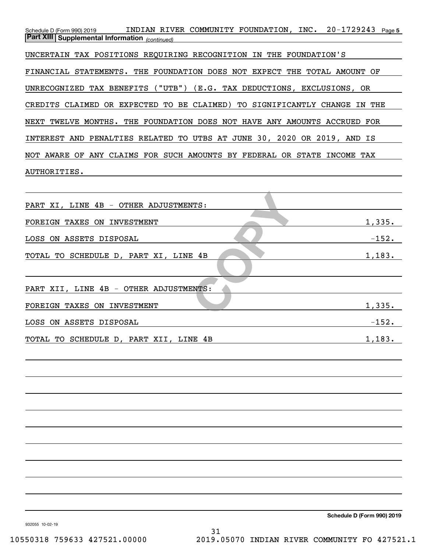| Schedule D (Form 990) 2019                                               | INDIAN RIVER COMMUNITY FOUNDATION, INC. 20-1729243 Page 5 |  |            |  |
|--------------------------------------------------------------------------|-----------------------------------------------------------|--|------------|--|
| <b>Part XIII Supplemental Information</b> (continued)                    |                                                           |  |            |  |
| UNCERTAIN TAX POSITIONS REQUIRING RECOGNITION IN THE FOUNDATION'S        |                                                           |  |            |  |
| FINANCIAL STATEMENTS. THE FOUNDATION DOES NOT EXPECT THE TOTAL AMOUNT OF |                                                           |  |            |  |
| UNRECOGNIZED TAX BENEFITS ("UTB") (E.G. TAX DEDUCTIONS, EXCLUSIONS, OR   |                                                           |  |            |  |
| CREDITS CLAIMED OR EXPECTED TO BE CLAIMED) TO SIGNIFICANTLY CHANGE       |                                                           |  | THE<br>IN  |  |
| NEXT TWELVE MONTHS. THE FOUNDATION DOES NOT HAVE ANY AMOUNTS ACCRUED FOR |                                                           |  |            |  |
| INTEREST AND PENALTIES RELATED TO UTBS AT JUNE 30, 2020 OR 2019, AND IS  |                                                           |  |            |  |
| NOT AWARE OF ANY CLAIMS FOR SUCH AMOUNTS BY FEDERAL OR STATE             |                                                           |  | INCOME TAX |  |
| AUTHORITIES.                                                             |                                                           |  |            |  |
|                                                                          |                                                           |  |            |  |

| PART XI, LINE 4B - OTHER ADJUSTMENTS:  |         |
|----------------------------------------|---------|
| FOREIGN TAXES ON INVESTMENT            | 1,335.  |
| LOSS ON ASSETS DISPOSAL                | $-152.$ |
| TOTAL TO SCHEDULE D, PART XI, LINE 4B  | 1,183.  |
|                                        |         |
| PART XII, LINE 4B - OTHER ADJUSTMENTS: |         |
| FOREIGN TAXES ON INVESTMENT            | 1,335.  |
| LOSS ON ASSETS DISPOSAL                | $-152.$ |
| TOTAL TO SCHEDULE D, PART XII, LINE 4B | 1,183.  |

932055 10-02-19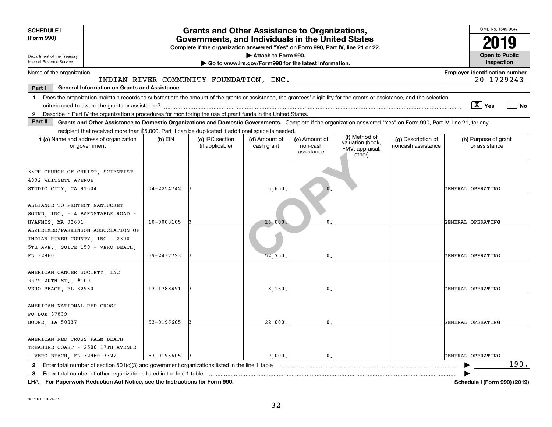| <b>SCHEDULE I</b>                                                                                                                                                                                                                                                         |                                                                                                                                       | <b>Grants and Other Assistance to Organizations,</b> |                                                       |                                         |                                                                |                                          | OMB No. 1545-0047                     |                       |  |
|---------------------------------------------------------------------------------------------------------------------------------------------------------------------------------------------------------------------------------------------------------------------------|---------------------------------------------------------------------------------------------------------------------------------------|------------------------------------------------------|-------------------------------------------------------|-----------------------------------------|----------------------------------------------------------------|------------------------------------------|---------------------------------------|-----------------------|--|
| (Form 990)                                                                                                                                                                                                                                                                | Governments, and Individuals in the United States<br>Complete if the organization answered "Yes" on Form 990, Part IV, line 21 or 22. |                                                      |                                                       |                                         |                                                                |                                          |                                       | 2019                  |  |
| Attach to Form 990.<br>Department of the Treasury                                                                                                                                                                                                                         |                                                                                                                                       |                                                      |                                                       |                                         |                                                                |                                          |                                       | <b>Open to Public</b> |  |
| Internal Revenue Service                                                                                                                                                                                                                                                  |                                                                                                                                       |                                                      | Go to www.irs.gov/Form990 for the latest information. |                                         |                                                                |                                          | Inspection                            |                       |  |
| Name of the organization                                                                                                                                                                                                                                                  | <b>Employer identification number</b><br>20-1729243<br>INDIAN RIVER COMMUNITY FOUNDATION, INC.                                        |                                                      |                                                       |                                         |                                                                |                                          |                                       |                       |  |
| <b>General Information on Grants and Assistance</b><br>Part I                                                                                                                                                                                                             |                                                                                                                                       |                                                      |                                                       |                                         |                                                                |                                          |                                       |                       |  |
| Does the organization maintain records to substantiate the amount of the grants or assistance, the grantees' eligibility for the grants or assistance, and the selection<br>1.                                                                                            |                                                                                                                                       |                                                      |                                                       |                                         |                                                                |                                          | $\sqrt{X}$ Yes                        | l No                  |  |
| 2 Describe in Part IV the organization's procedures for monitoring the use of grant funds in the United States.<br>Part II                                                                                                                                                |                                                                                                                                       |                                                      |                                                       |                                         |                                                                |                                          |                                       |                       |  |
| Grants and Other Assistance to Domestic Organizations and Domestic Governments. Complete if the organization answered "Yes" on Form 990, Part IV, line 21, for any<br>recipient that received more than \$5,000. Part II can be duplicated if additional space is needed. |                                                                                                                                       |                                                      |                                                       |                                         |                                                                |                                          |                                       |                       |  |
| <b>1 (a)</b> Name and address of organization<br>or government                                                                                                                                                                                                            | $(b)$ EIN                                                                                                                             | (c) IRC section<br>(if applicable)                   | (d) Amount of<br>cash grant                           | (e) Amount of<br>non-cash<br>assistance | (f) Method of<br>valuation (book,<br>FMV, appraisal,<br>other) | (g) Description of<br>noncash assistance | (h) Purpose of grant<br>or assistance |                       |  |
| 36TH CHURCH OF CHRIST, SCIENTIST<br>4032 WHITSETT AVENUE                                                                                                                                                                                                                  |                                                                                                                                       |                                                      |                                                       |                                         |                                                                |                                          |                                       |                       |  |
| STUDIO CITY, CA 91604                                                                                                                                                                                                                                                     | $04 - 2254742$                                                                                                                        |                                                      | 6,650                                                 | $\mathbf{0}$                            |                                                                |                                          | GENERAL OPERATING                     |                       |  |
| ALLIANCE TO PROTECT NANTUCKET<br>SOUND, INC. - 4 BARNSTABLE ROAD -<br>HYANNIS, MA 02601                                                                                                                                                                                   | 10-0008105                                                                                                                            |                                                      | 16,000.                                               | 0                                       |                                                                |                                          | GENERAL OPERATING                     |                       |  |
| ALZHEIMER/PARKINSON ASSOCIATION OF<br>INDIAN RIVER COUNTY, INC - 2300<br>5TH AVE. SUITE 150 - VERO BEACH.                                                                                                                                                                 |                                                                                                                                       |                                                      |                                                       |                                         |                                                                |                                          |                                       |                       |  |
| FL 32960                                                                                                                                                                                                                                                                  | 59-2437723                                                                                                                            |                                                      | 52.750                                                | $\mathbf{0}$                            |                                                                |                                          | GENERAL OPERATING                     |                       |  |
| AMERICAN CANCER SOCIETY INC<br>3375 20TH ST. #100                                                                                                                                                                                                                         | 13-1788491                                                                                                                            |                                                      | 8.150                                                 | 0                                       |                                                                |                                          | GENERAL OPERATING                     |                       |  |
| VERO BEACH, FL 32960                                                                                                                                                                                                                                                      |                                                                                                                                       |                                                      |                                                       |                                         |                                                                |                                          |                                       |                       |  |
| AMERICAN NATIONAL RED CROSS<br>PO BOX 37839                                                                                                                                                                                                                               | 53-0196605                                                                                                                            |                                                      |                                                       | $\mathbf{0}$                            |                                                                |                                          | GENERAL OPERATING                     |                       |  |
|                                                                                                                                                                                                                                                                           | 22,000.<br>BOONE, IA 50037                                                                                                            |                                                      |                                                       |                                         |                                                                |                                          |                                       |                       |  |
| AMERICAN RED CROSS PALM BEACH<br>TREASURE COAST - 2506 17TH AVENUE<br>- VERO BEACH, FL 32960-3322                                                                                                                                                                         | 53-0196605                                                                                                                            |                                                      | 9.000.                                                | $\mathbf{0}$ .                          |                                                                |                                          | GENERAL OPERATING                     |                       |  |
| 2 Enter total number of section 501(c)(3) and government organizations listed in the line 1 table                                                                                                                                                                         |                                                                                                                                       |                                                      |                                                       |                                         |                                                                |                                          |                                       | 190.                  |  |
|                                                                                                                                                                                                                                                                           | 3 Enter total number of other organizations listed in the line 1 table                                                                |                                                      |                                                       |                                         |                                                                |                                          |                                       |                       |  |

**For Paperwork Reduction Act Notice, see the Instructions for Form 990. Schedule I (Form 990) (2019)** LHA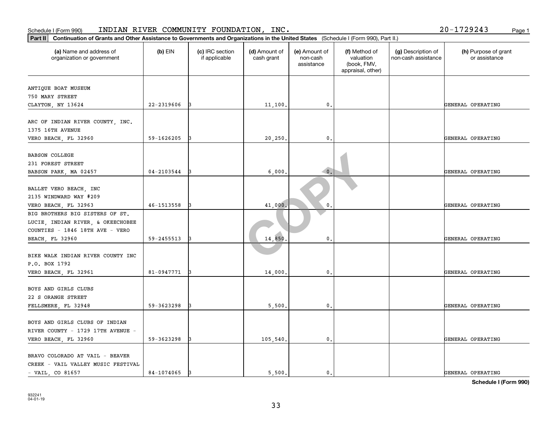| Part II<br>Continuation of Grants and Other Assistance to Governments and Organizations in the United States (Schedule I (Form 990), Part II.) |                |                                  |                             |                                         |                                                                |                                           |                                       |
|------------------------------------------------------------------------------------------------------------------------------------------------|----------------|----------------------------------|-----------------------------|-----------------------------------------|----------------------------------------------------------------|-------------------------------------------|---------------------------------------|
| (a) Name and address of<br>organization or government                                                                                          | $(b)$ EIN      | (c) IRC section<br>if applicable | (d) Amount of<br>cash grant | (e) Amount of<br>non-cash<br>assistance | (f) Method of<br>valuation<br>(book, FMV,<br>appraisal, other) | (g) Description of<br>non-cash assistance | (h) Purpose of grant<br>or assistance |
| ANTIQUE BOAT MUSEUM<br>750 MARY STREET<br>CLAYTON, NY 13624                                                                                    | 22-2319606     |                                  | 11,100,                     | $\mathbf{0}$ .                          |                                                                |                                           | GENERAL OPERATING                     |
| ARC OF INDIAN RIVER COUNTY, INC.<br>1375 16TH AVENUE<br>VERO BEACH, FL 32960                                                                   | 59-1626205     |                                  | 20,250                      | 0.                                      |                                                                |                                           | GENERAL OPERATING                     |
| <b>BABSON COLLEGE</b><br>231 FOREST STREET<br>BABSON PARK, MA 02457                                                                            | $04 - 2103544$ |                                  | 6,000                       | $\bullet$ .                             |                                                                |                                           | GENERAL OPERATING                     |
| BALLET VERO BEACH, INC<br>2135 WINDWARD WAY #209<br>VERO BEACH, FL 32963                                                                       | 46-1513558     |                                  | 41,000                      | 0.                                      |                                                                |                                           | GENERAL OPERATING                     |
| BIG BROTHERS BIG SISTERS OF ST.<br>LUCIE, INDIAN RIVER, & OKEECHOBEE<br>COUNTIES - 1846 18TH AVE - VERO<br><b>BEACH, FL 32960</b>              | 59-2455513     |                                  | 14,850                      | 0.                                      |                                                                |                                           | GENERAL OPERATING                     |
| BIKE WALK INDIAN RIVER COUNTY INC<br>P.O. BOX 1792<br>VERO BEACH, FL 32961                                                                     | 81-0947771     | 13                               | 14,000                      | $\mathbf{0}$                            |                                                                |                                           | GENERAL OPERATING                     |
| BOYS AND GIRLS CLUBS<br>22 S ORANGE STREET<br>FELLSMERE, FL 32948                                                                              | 59-3623298     |                                  | 5,500                       | $\mathfrak{o}$ .                        |                                                                |                                           | GENERAL OPERATING                     |
| BOYS AND GIRLS CLUBS OF INDIAN<br>RIVER COUNTY - 1729 17TH AVENUE -<br>VERO BEACH, FL 32960                                                    | 59-3623298     |                                  | 105,540.                    | $^{\circ}$ .                            |                                                                |                                           | GENERAL OPERATING                     |
| BRAVO COLORADO AT VAIL - BEAVER<br>CREEK - VAIL VALLEY MUSIC FESTIVAL<br>$-$ VAIL, CO 81657                                                    | 84-1074065     | 13                               | 5.500.                      | $\mathbf{0}$ .                          |                                                                |                                           | GENERAL OPERATING                     |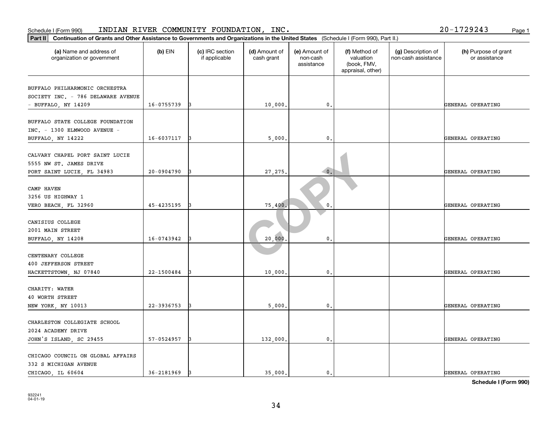| Continuation of Grants and Other Assistance to Governments and Organizations in the United States (Schedule I (Form 990), Part II.)<br>Part II |            |                                  |                             |                                         |                                                                |                                           |                                       |
|------------------------------------------------------------------------------------------------------------------------------------------------|------------|----------------------------------|-----------------------------|-----------------------------------------|----------------------------------------------------------------|-------------------------------------------|---------------------------------------|
| (a) Name and address of<br>organization or government                                                                                          | $(b)$ EIN  | (c) IRC section<br>if applicable | (d) Amount of<br>cash grant | (e) Amount of<br>non-cash<br>assistance | (f) Method of<br>valuation<br>(book, FMV,<br>appraisal, other) | (g) Description of<br>non-cash assistance | (h) Purpose of grant<br>or assistance |
| BUFFALO PHILHARMONIC ORCHESTRA                                                                                                                 |            |                                  |                             |                                         |                                                                |                                           |                                       |
| SOCIETY INC. - 786 DELAWARE AVENUE<br>- BUFFALO, NY 14209                                                                                      | 16-0755739 |                                  | 10,000                      | 0.                                      |                                                                |                                           | GENERAL OPERATING                     |
| BUFFALO STATE COLLEGE FOUNDATION<br>INC. - 1300 ELMWOOD AVENUE -                                                                               |            |                                  |                             |                                         |                                                                |                                           |                                       |
| BUFFALO, NY 14222                                                                                                                              | 16-6037117 | 13                               | 5,000                       | $\mathbf{0}$ .                          |                                                                |                                           | GENERAL OPERATING                     |
| CALVARY CHAPEL PORT SAINT LUCIE<br>5555 NW ST. JAMES DRIVE<br>PORT SAINT LUCIE, FL 34983                                                       | 20-0904790 |                                  | 27,275                      | $\bullet$ .                             |                                                                |                                           | GENERAL OPERATING                     |
| CAMP HAVEN<br>3256 US HIGHWAY 1                                                                                                                |            |                                  |                             |                                         |                                                                |                                           |                                       |
| VERO BEACH, FL 32960                                                                                                                           | 45-4235195 |                                  | 75,400                      | $\mathbf{0}$                            |                                                                |                                           | GENERAL OPERATING                     |
| CANISIUS COLLEGE<br>2001 MAIN STREET                                                                                                           |            |                                  |                             |                                         |                                                                |                                           |                                       |
| BUFFALO, NY 14208                                                                                                                              | 16-0743942 |                                  | 20,000                      | 0.                                      |                                                                |                                           | GENERAL OPERATING                     |
| CENTENARY COLLEGE<br>400 JEFFERSON STREET                                                                                                      |            |                                  |                             |                                         |                                                                |                                           |                                       |
| HACKETTSTOWN, NJ 07840                                                                                                                         | 22-1500484 |                                  | 10,000                      | 0.                                      |                                                                |                                           | GENERAL OPERATING                     |
| CHARITY: WATER<br>40 WORTH STREET                                                                                                              |            |                                  |                             |                                         |                                                                |                                           |                                       |
| NEW YORK, NY 10013                                                                                                                             | 22-3936753 |                                  | 5,000                       | $\mathbf{0}$ .                          |                                                                |                                           | GENERAL OPERATING                     |
| CHARLESTON COLLEGIATE SCHOOL<br>2024 ACADEMY DRIVE                                                                                             |            |                                  |                             |                                         |                                                                |                                           |                                       |
| JOHN'S ISLAND, SC 29455                                                                                                                        | 57-0524957 |                                  | 132,000.                    | $\mathfrak o$ .                         |                                                                |                                           | GENERAL OPERATING                     |
| CHICAGO COUNCIL ON GLOBAL AFFAIRS<br>332 S MICHIGAN AVENUE<br>CHICAGO LL 60604                                                                 | 36-2181969 | 13                               | 35,000.                     | 0.                                      |                                                                |                                           | GENERAL OPERATING                     |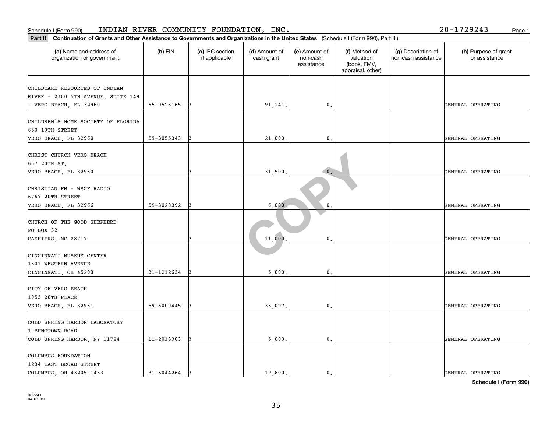| Part II   Continuation of Grants and Other Assistance to Governments and Organizations in the United States (Schedule I (Form 990), Part II.) |            |                                  |                             |                                         |                                                                |                                           |                                       |
|-----------------------------------------------------------------------------------------------------------------------------------------------|------------|----------------------------------|-----------------------------|-----------------------------------------|----------------------------------------------------------------|-------------------------------------------|---------------------------------------|
| (a) Name and address of<br>organization or government                                                                                         | $(b)$ EIN  | (c) IRC section<br>if applicable | (d) Amount of<br>cash grant | (e) Amount of<br>non-cash<br>assistance | (f) Method of<br>valuation<br>(book, FMV,<br>appraisal, other) | (g) Description of<br>non-cash assistance | (h) Purpose of grant<br>or assistance |
|                                                                                                                                               |            |                                  |                             |                                         |                                                                |                                           |                                       |
| CHILDCARE RESOURCES OF INDIAN<br>RIVER - 2300 5TH AVENUE, SUITE 149                                                                           |            |                                  |                             |                                         |                                                                |                                           |                                       |
| - VERO BEACH, FL 32960                                                                                                                        | 65-0523165 | IЗ                               | 91,141.                     | 0.                                      |                                                                |                                           | GENERAL OPERATING                     |
|                                                                                                                                               |            |                                  |                             |                                         |                                                                |                                           |                                       |
| CHILDREN'S HOME SOCIETY OF FLORIDA                                                                                                            |            |                                  |                             |                                         |                                                                |                                           |                                       |
| 650 10TH STREET                                                                                                                               |            |                                  |                             |                                         |                                                                |                                           |                                       |
| VERO BEACH, FL 32960                                                                                                                          | 59-3055343 |                                  | 21,000                      | 0.                                      |                                                                |                                           | GENERAL OPERATING                     |
| CHRIST CHURCH VERO BEACH                                                                                                                      |            |                                  |                             |                                         |                                                                |                                           |                                       |
| 667 20TH ST.                                                                                                                                  |            |                                  |                             |                                         |                                                                |                                           |                                       |
| VERO BEACH, FL 32960                                                                                                                          |            |                                  | 31,500                      | $\bullet$ .                             |                                                                |                                           | GENERAL OPERATING                     |
|                                                                                                                                               |            |                                  |                             |                                         |                                                                |                                           |                                       |
| CHRISTIAN FM - WSCF RADIO                                                                                                                     |            |                                  |                             |                                         |                                                                |                                           |                                       |
| 6767 20TH STREET                                                                                                                              |            |                                  |                             |                                         |                                                                |                                           |                                       |
| VERO BEACH, FL 32966                                                                                                                          | 59-3028392 |                                  | 6,000                       | 0                                       |                                                                |                                           | GENERAL OPERATING                     |
|                                                                                                                                               |            |                                  |                             |                                         |                                                                |                                           |                                       |
| CHURCH OF THE GOOD SHEPHERD                                                                                                                   |            |                                  |                             |                                         |                                                                |                                           |                                       |
| PO BOX 32                                                                                                                                     |            |                                  |                             |                                         |                                                                |                                           |                                       |
| CASHIERS, NC 28717                                                                                                                            |            |                                  | 11,000                      | $\mathsf{0}$ .                          |                                                                |                                           | GENERAL OPERATING                     |
|                                                                                                                                               |            |                                  |                             |                                         |                                                                |                                           |                                       |
| CINCINNATI MUSEUM CENTER<br>1301 WESTERN AVENUE                                                                                               |            |                                  |                             |                                         |                                                                |                                           |                                       |
| CINCINNATI, OH 45203                                                                                                                          | 31-1212634 |                                  | 5,000                       | $\mathbf{0}$ .                          |                                                                |                                           | GENERAL OPERATING                     |
|                                                                                                                                               |            |                                  |                             |                                         |                                                                |                                           |                                       |
| CITY OF VERO BEACH                                                                                                                            |            |                                  |                             |                                         |                                                                |                                           |                                       |
| 1053 20TH PLACE                                                                                                                               |            |                                  |                             |                                         |                                                                |                                           |                                       |
| VERO BEACH, FL 32961                                                                                                                          | 59-6000445 |                                  | 33,097.                     | $\mathbf{0}$ .                          |                                                                |                                           | GENERAL OPERATING                     |
|                                                                                                                                               |            |                                  |                             |                                         |                                                                |                                           |                                       |
| COLD SPRING HARBOR LABORATORY                                                                                                                 |            |                                  |                             |                                         |                                                                |                                           |                                       |
| 1 BUNGTOWN ROAD                                                                                                                               |            |                                  |                             |                                         |                                                                |                                           |                                       |
| COLD SPRING HARBOR, NY 11724                                                                                                                  | 11-2013303 | 13                               | 5,000                       | 0.                                      |                                                                |                                           | GENERAL OPERATING                     |
| COLUMBUS FOUNDATION                                                                                                                           |            |                                  |                             |                                         |                                                                |                                           |                                       |
| 1234 EAST BROAD STREET                                                                                                                        |            |                                  |                             |                                         |                                                                |                                           |                                       |
| COLUMBUS, OH 43205-1453                                                                                                                       | 31-6044264 | 13                               | 19,800.                     | 0.                                      |                                                                |                                           | GENERAL OPERATING                     |
|                                                                                                                                               |            |                                  |                             |                                         |                                                                |                                           |                                       |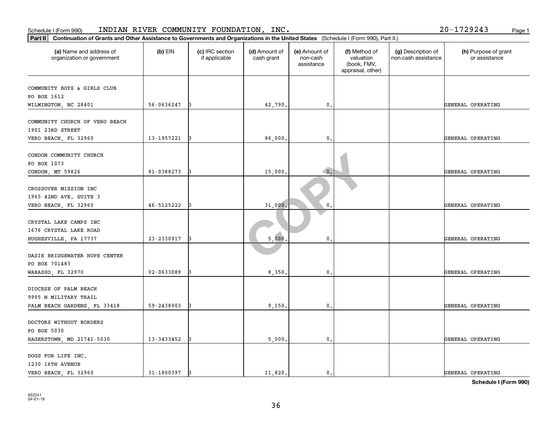| Schedule I (Form 990)                                                                                                                          |            | INDIAN RIVER COMMUNITY FOUNDATION, INC. |                             |                                         |                                                                |                                           | 20-1729243<br>Page 1                  |
|------------------------------------------------------------------------------------------------------------------------------------------------|------------|-----------------------------------------|-----------------------------|-----------------------------------------|----------------------------------------------------------------|-------------------------------------------|---------------------------------------|
| Part II<br>Continuation of Grants and Other Assistance to Governments and Organizations in the United States (Schedule I (Form 990), Part II.) |            |                                         |                             |                                         |                                                                |                                           |                                       |
| (a) Name and address of<br>organization or government                                                                                          | $(b)$ EIN  | (c) IRC section<br>if applicable        | (d) Amount of<br>cash grant | (e) Amount of<br>non-cash<br>assistance | (f) Method of<br>valuation<br>(book, FMV,<br>appraisal, other) | (g) Description of<br>non-cash assistance | (h) Purpose of grant<br>or assistance |
| COMMUNITY BOYS & GIRLS CLUB                                                                                                                    |            |                                         |                             |                                         |                                                                |                                           |                                       |
| PO BOX 1612                                                                                                                                    |            |                                         |                             |                                         |                                                                |                                           |                                       |
| WILMINGTON, NC 28401                                                                                                                           | 56-0636247 |                                         | 42,790                      | 0.                                      |                                                                |                                           | GENERAL OPERATING                     |
| COMMUNITY CHURCH OF VERO BEACH<br>1901 23RD STREET                                                                                             |            |                                         |                             |                                         |                                                                |                                           |                                       |
| VERO BEACH, FL 32960                                                                                                                           | 13-1957221 |                                         | 86,000                      | 0.                                      |                                                                |                                           | GENERAL OPERATING                     |
| CONDON COMMUNITY CHURCH<br>PO BOX 1073                                                                                                         |            |                                         |                             |                                         |                                                                |                                           |                                       |
| CONDON, MT 59826                                                                                                                               | 81-0388273 |                                         | 15,000                      | $\overline{\phantom{a}}$ 0.             |                                                                |                                           | GENERAL OPERATING                     |
| CROSSOVER MISSION INC<br>1965 42ND AVE. SUITE 3                                                                                                |            |                                         |                             |                                         |                                                                |                                           |                                       |
| VERO BEACH, FL 32960                                                                                                                           | 46-5125222 |                                         | 31,000                      | 0                                       |                                                                |                                           | GENERAL OPERATING                     |
| CRYSTAL LAKE CAMPS INC<br>1676 CRYSTAL LAKE ROAD                                                                                               |            |                                         |                             |                                         |                                                                |                                           |                                       |
| HUGHESVILLE, PA 17737                                                                                                                          | 23-2330917 |                                         | 5,000                       | 0.                                      |                                                                |                                           | GENERAL OPERATING                     |
| DASIE BRIDGEWATER HOPE CENTER<br>PO BOX 701483                                                                                                 |            |                                         |                             |                                         |                                                                |                                           |                                       |
| WABASSO, FL 32970                                                                                                                              | 02-0633089 |                                         | 8,350                       | 0.                                      |                                                                |                                           | GENERAL OPERATING                     |
| DIOCESE OF PALM BEACH<br>9995 N MILITARY TRAIL                                                                                                 |            |                                         |                             |                                         |                                                                |                                           |                                       |
| PALM BEACH GARDENS, FL 33418                                                                                                                   | 59-2438903 |                                         | 9,150.                      | 0.                                      |                                                                |                                           | GENERAL OPERATING                     |
| DOCTORS WITHOUT BORDERS<br>PO BOX 5030                                                                                                         |            |                                         |                             |                                         |                                                                |                                           |                                       |
| HAGERSTOWN, MD 21741-5030                                                                                                                      | 13-3433452 |                                         | 5,000                       | 0.                                      |                                                                |                                           | GENERAL OPERATING                     |
| DOGS FOR LIFE INC.<br>1230 16TH AVENUE<br>VERO BEACH, FL 32960                                                                                 | 31-1800397 | 13                                      | 11,820.                     | $\mathbf{0}$ .                          |                                                                |                                           | GENERAL OPERATING                     |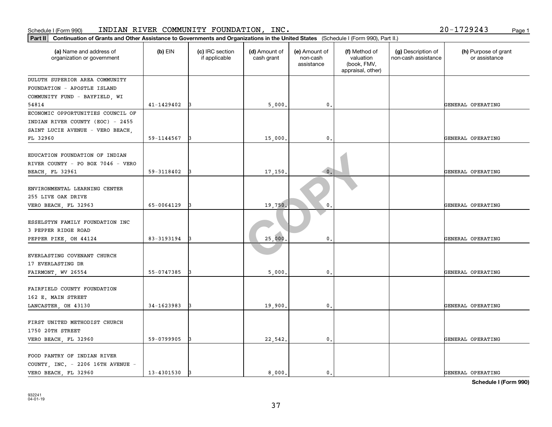| Part II<br>Continuation of Grants and Other Assistance to Governments and Organizations in the United States (Schedule I (Form 990), Part II.) |            |                                  |                             |                                         |                                                                |                                           |                                       |
|------------------------------------------------------------------------------------------------------------------------------------------------|------------|----------------------------------|-----------------------------|-----------------------------------------|----------------------------------------------------------------|-------------------------------------------|---------------------------------------|
| (a) Name and address of<br>organization or government                                                                                          | $(b)$ EIN  | (c) IRC section<br>if applicable | (d) Amount of<br>cash grant | (e) Amount of<br>non-cash<br>assistance | (f) Method of<br>valuation<br>(book, FMV,<br>appraisal, other) | (g) Description of<br>non-cash assistance | (h) Purpose of grant<br>or assistance |
| DULUTH SUPERIOR AREA COMMUNITY                                                                                                                 |            |                                  |                             |                                         |                                                                |                                           |                                       |
| FOUNDATION - APOSTLE ISLAND                                                                                                                    |            |                                  |                             |                                         |                                                                |                                           |                                       |
| COMMUNITY FUND - BAYFIELD, WI                                                                                                                  |            |                                  |                             |                                         |                                                                |                                           |                                       |
| 54814                                                                                                                                          | 41-1429402 |                                  | 5,000.                      | 0.                                      |                                                                |                                           | GENERAL OPERATING                     |
| ECONOMIC OPPORTUNITIES COUNCIL OF<br>INDIAN RIVER COUNTY (EOC) - 2455<br>SAINT LUCIE AVENUE - VERO BEACH,                                      |            |                                  |                             |                                         |                                                                |                                           |                                       |
| FL 32960                                                                                                                                       | 59-1144567 |                                  | 15,000                      | 0.                                      |                                                                |                                           | GENERAL OPERATING                     |
| EDUCATION FOUNDATION OF INDIAN<br>RIVER COUNTY - PO BOX 7046 - VERO<br>BEACH, FL 32961                                                         | 59-3118402 |                                  | 17,150                      | $\bullet$ .                             |                                                                |                                           | GENERAL OPERATING                     |
| ENVIRONMENTAL LEARNING CENTER<br>255 LIVE OAK DRIVE<br>VERO BEACH, FL 32963                                                                    | 65-0064129 |                                  | 19,750.                     | $\mathbf{0}$                            |                                                                |                                           | GENERAL OPERATING                     |
| ESSELSTYN FAMILY FOUNDATION INC<br>3 PEPPER RIDGE ROAD<br>PEPPER PIKE, OH 44124                                                                | 83-3193194 |                                  | 25,000                      | $\mathbf{0}$                            |                                                                |                                           | GENERAL OPERATING                     |
| EVERLASTING COVENANT CHURCH<br>17 EVERLASTING DR<br>FAIRMONT, WV 26554                                                                         | 55-0747385 |                                  | 5,000                       | $\mathbf{0}$                            |                                                                |                                           | GENERAL OPERATING                     |
| FAIRFIELD COUNTY FOUNDATION<br>162 E. MAIN STREET<br>LANCASTER, OH 43130                                                                       | 34-1623983 |                                  | 19,900                      | 0.                                      |                                                                |                                           | GENERAL OPERATING                     |
| FIRST UNITED METHODIST CHURCH<br>1750 20TH STREET<br>VERO BEACH, FL 32960                                                                      | 59-0799905 |                                  | 22,542.                     | $\mathbf{0}$ .                          |                                                                |                                           | GENERAL OPERATING                     |
| FOOD PANTRY OF INDIAN RIVER<br>COUNTY, INC. - 2206 16TH AVENUE -<br>VERO BEACH FL 32960                                                        | 13-4301530 | 13                               | 8,000.                      | $\mathbf{0}$ .                          |                                                                |                                           | GENERAL OPERATING                     |

#### Schedule I (Form 990) INDIAN RIVER COMMUNITY FOUNDATION, INC. Page 1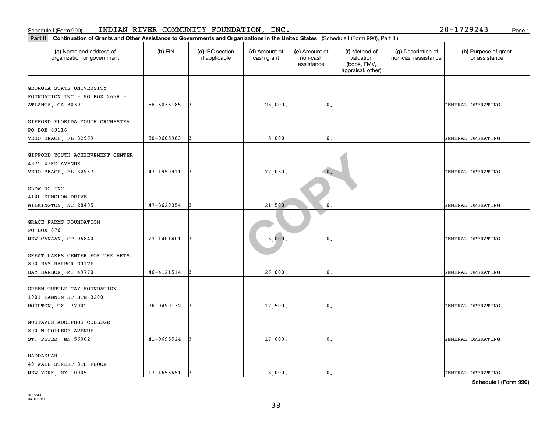| Schedule I (Form 990)                                                                                                                       |            | INDIAN RIVER COMMUNITY FOUNDATION, INC. |                             |                                         |                                                                |                                           | 20-1729243<br>Page 1                  |
|---------------------------------------------------------------------------------------------------------------------------------------------|------------|-----------------------------------------|-----------------------------|-----------------------------------------|----------------------------------------------------------------|-------------------------------------------|---------------------------------------|
| Part II Continuation of Grants and Other Assistance to Governments and Organizations in the United States (Schedule I (Form 990), Part II.) |            |                                         |                             |                                         |                                                                |                                           |                                       |
| (a) Name and address of<br>organization or government                                                                                       | $(b)$ EIN  | (c) IRC section<br>if applicable        | (d) Amount of<br>cash grant | (e) Amount of<br>non-cash<br>assistance | (f) Method of<br>valuation<br>(book, FMV,<br>appraisal, other) | (g) Description of<br>non-cash assistance | (h) Purpose of grant<br>or assistance |
| GEORGIA STATE UNIVERSITY                                                                                                                    |            |                                         |                             |                                         |                                                                |                                           |                                       |
| FOUNDATION INC - PO BOX 2668 -                                                                                                              |            |                                         |                             |                                         |                                                                |                                           |                                       |
| ATLANTA, GA 30301                                                                                                                           | 58-6033185 |                                         | 25,000                      | 0.                                      |                                                                |                                           | GENERAL OPERATING                     |
| GIFFORD FLORIDA YOUTH ORCHESTRA<br>PO BOX 69116                                                                                             |            |                                         |                             |                                         |                                                                |                                           |                                       |
| VERO BEACH, FL 32969                                                                                                                        | 80-0605983 |                                         | 5,000                       | $\mathbf{0}$ .                          |                                                                |                                           | GENERAL OPERATING                     |
| GIFFORD YOUTH ACHIEVEMENT CENTER<br>4875 43RD AVENUE                                                                                        |            |                                         |                             |                                         |                                                                |                                           |                                       |
| VERO BEACH, FL 32967                                                                                                                        | 43-1950911 |                                         | 177,050                     | $\bullet$ .                             |                                                                |                                           | GENERAL OPERATING                     |
| GLOW NC INC<br>4100 SUNGLOW DRIVE                                                                                                           |            |                                         |                             |                                         |                                                                |                                           |                                       |
| WILMINGTON, NC 28405                                                                                                                        | 47-3629354 |                                         | 21,500                      | 0                                       |                                                                |                                           | GENERAL OPERATING                     |
| GRACE FARMS FOUNDATION<br>PO BOX 876                                                                                                        |            |                                         |                             |                                         |                                                                |                                           |                                       |
| NEW CANAAN, CT 06840                                                                                                                        | 27-1401401 |                                         | 5,000                       | $\mathfrak{o}$ .                        |                                                                |                                           | GENERAL OPERATING                     |
| GREAT LAKES CENTER FOR THE ARTS<br>800 BAY HARBOR DRIVE                                                                                     |            |                                         |                             |                                         |                                                                |                                           |                                       |
| BAY HARBOR, MI 49770                                                                                                                        | 46-4121514 |                                         | 26,000                      | 0.                                      |                                                                |                                           | GENERAL OPERATING                     |
| GREEN TURTLE CAY FOUNDATION<br>1001 FANNIN ST STE 3200                                                                                      |            |                                         |                             |                                         |                                                                |                                           |                                       |
| HOUSTON, TX 77002                                                                                                                           | 76-0490132 |                                         | 117,500                     | 0.                                      |                                                                |                                           | GENERAL OPERATING                     |
| GUSTAVUS ADOLPHUS COLLEGE<br>800 W COLLEGE AVENUE                                                                                           |            |                                         |                             |                                         |                                                                |                                           |                                       |
| ST. PETER, MN 56082                                                                                                                         | 41-0695524 |                                         | 17,000                      | $\mathfrak o$ .                         |                                                                |                                           | GENERAL OPERATING                     |
| HADDASSAH<br>40 WALL STREET 8TH FLOOR<br>NEW YORK, NY 10005                                                                                 | 13-1656651 | l3                                      | 5,000.                      | $\mathbf{0}$ .                          |                                                                |                                           | GENERAL OPERATING                     |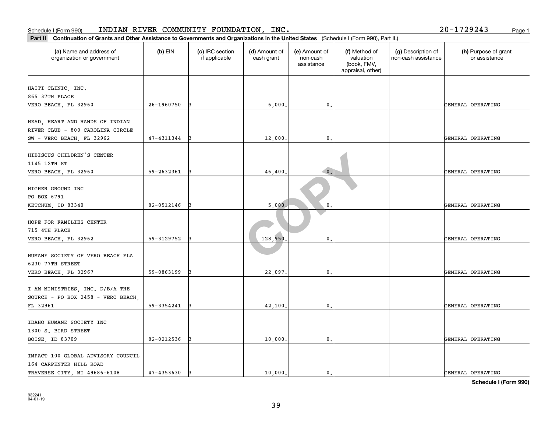| Schedule I (Form 990)                                                                                                                          |            | INDIAN RIVER COMMUNITY FOUNDATION, INC. |                             |                                         |                                                                |                                           | 20-1729243<br>Page 1                  |
|------------------------------------------------------------------------------------------------------------------------------------------------|------------|-----------------------------------------|-----------------------------|-----------------------------------------|----------------------------------------------------------------|-------------------------------------------|---------------------------------------|
| Continuation of Grants and Other Assistance to Governments and Organizations in the United States (Schedule I (Form 990), Part II.)<br>Part II |            |                                         |                             |                                         |                                                                |                                           |                                       |
| (a) Name and address of<br>organization or government                                                                                          | $(b)$ EIN  | (c) IRC section<br>if applicable        | (d) Amount of<br>cash grant | (e) Amount of<br>non-cash<br>assistance | (f) Method of<br>valuation<br>(book, FMV,<br>appraisal, other) | (g) Description of<br>non-cash assistance | (h) Purpose of grant<br>or assistance |
| HAITI CLINIC, INC.                                                                                                                             |            |                                         |                             |                                         |                                                                |                                           |                                       |
| 865 37TH PLACE                                                                                                                                 |            |                                         |                             |                                         |                                                                |                                           |                                       |
| VERO BEACH, FL 32960                                                                                                                           | 26-1960750 |                                         | 6,000                       | 0.                                      |                                                                |                                           | GENERAL OPERATING                     |
| HEAD, HEART AND HANDS OF INDIAN                                                                                                                |            |                                         |                             |                                         |                                                                |                                           |                                       |
| RIVER CLUB - 800 CAROLINA CIRCLE                                                                                                               |            |                                         |                             |                                         |                                                                |                                           |                                       |
| SW - VERO BEACH, FL 32962                                                                                                                      | 47-4311344 |                                         | 12,000                      | $\mathbf{0}$ .                          |                                                                |                                           | GENERAL OPERATING                     |
| HIBISCUS CHILDREN'S CENTER                                                                                                                     |            |                                         |                             |                                         |                                                                |                                           |                                       |
| 1145 12TH ST                                                                                                                                   |            |                                         |                             |                                         |                                                                |                                           |                                       |
| VERO BEACH, FL 32960                                                                                                                           | 59-2632361 |                                         | 46,400                      | $\bullet$ .                             |                                                                |                                           | GENERAL OPERATING                     |
| HIGHER GROUND INC                                                                                                                              |            |                                         |                             |                                         |                                                                |                                           |                                       |
| PO BOX 6791                                                                                                                                    |            |                                         |                             |                                         |                                                                |                                           |                                       |
| KETCHUM, ID 83340                                                                                                                              | 82-0512146 |                                         | 5,000                       | 0                                       |                                                                |                                           | GENERAL OPERATING                     |
|                                                                                                                                                |            |                                         |                             |                                         |                                                                |                                           |                                       |
| HOPE FOR FAMILIES CENTER                                                                                                                       |            |                                         |                             |                                         |                                                                |                                           |                                       |
| 715 4TH PLACE                                                                                                                                  |            |                                         |                             |                                         |                                                                |                                           |                                       |
| VERO BEACH, FL 32962                                                                                                                           | 59-3129752 |                                         | 128,950                     | 0.                                      |                                                                |                                           | GENERAL OPERATING                     |
| HUMANE SOCIETY OF VERO BEACH FLA                                                                                                               |            |                                         |                             |                                         |                                                                |                                           |                                       |
| 6230 77TH STREET                                                                                                                               |            |                                         |                             |                                         |                                                                |                                           |                                       |
| VERO BEACH, FL 32967                                                                                                                           | 59-0863199 |                                         | 22,097                      | 0.                                      |                                                                |                                           | GENERAL OPERATING                     |
|                                                                                                                                                |            |                                         |                             |                                         |                                                                |                                           |                                       |
| I AM MINISTRIES, INC. D/B/A THE                                                                                                                |            |                                         |                             |                                         |                                                                |                                           |                                       |
| SOURCE - PO BOX 2458 - VERO BEACH                                                                                                              |            |                                         |                             |                                         |                                                                |                                           |                                       |
| FL 32961                                                                                                                                       | 59-3354241 |                                         | 42,100                      | $\mathsf{0}\,.$                         |                                                                |                                           | GENERAL OPERATING                     |
| IDAHO HUMANE SOCIETY INC                                                                                                                       |            |                                         |                             |                                         |                                                                |                                           |                                       |
| 1300 S. BIRD STREET                                                                                                                            |            |                                         |                             |                                         |                                                                |                                           |                                       |
| BOISE, ID 83709                                                                                                                                | 82-0212536 |                                         | 10,000                      | 0.                                      |                                                                |                                           | GENERAL OPERATING                     |
|                                                                                                                                                |            |                                         |                             |                                         |                                                                |                                           |                                       |
| IMPACT 100 GLOBAL ADVISORY COUNCIL                                                                                                             |            |                                         |                             |                                         |                                                                |                                           |                                       |
| 164 CARPENTER HILL ROAD<br>TRAVERSE CITY, MI 49686-6108                                                                                        | 47-4353630 | IЗ                                      | 10,000.                     | $\mathbf{0}$ .                          |                                                                |                                           | GENERAL OPERATING                     |
|                                                                                                                                                |            |                                         |                             |                                         |                                                                |                                           |                                       |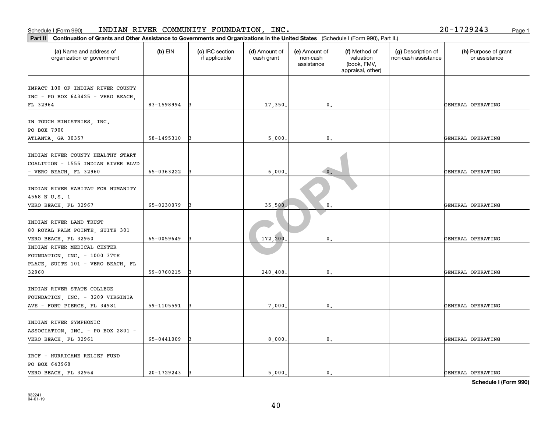| Part II   Continuation of Grants and Other Assistance to Governments and Organizations in the United States (Schedule I (Form 990), Part II.) |            |                                  |                             |                                         |                                                                |                                           |                                       |
|-----------------------------------------------------------------------------------------------------------------------------------------------|------------|----------------------------------|-----------------------------|-----------------------------------------|----------------------------------------------------------------|-------------------------------------------|---------------------------------------|
| (a) Name and address of<br>organization or government                                                                                         | (b) EIN    | (c) IRC section<br>if applicable | (d) Amount of<br>cash grant | (e) Amount of<br>non-cash<br>assistance | (f) Method of<br>valuation<br>(book, FMV,<br>appraisal, other) | (g) Description of<br>non-cash assistance | (h) Purpose of grant<br>or assistance |
|                                                                                                                                               |            |                                  |                             |                                         |                                                                |                                           |                                       |
| IMPACT 100 OF INDIAN RIVER COUNTY                                                                                                             |            |                                  |                             |                                         |                                                                |                                           |                                       |
| INC - PO BOX 643425 - VERO BEACH,                                                                                                             | 83-1598994 |                                  |                             | $\mathbf{0}$ .                          |                                                                |                                           |                                       |
| FL 32964                                                                                                                                      |            |                                  | 17,350.                     |                                         |                                                                |                                           | GENERAL OPERATING                     |
| IN TOUCH MINISTRIES, INC.<br>PO BOX 7900                                                                                                      |            |                                  |                             |                                         |                                                                |                                           |                                       |
| ATLANTA, GA 30357                                                                                                                             | 58-1495310 | 13                               | 5,000                       | $^{\circ}$ .                            |                                                                |                                           | GENERAL OPERATING                     |
| INDIAN RIVER COUNTY HEALTHY START<br>COALITION - 1555 INDIAN RIVER BLVD                                                                       |            |                                  |                             |                                         |                                                                |                                           |                                       |
| $-$ VERO BEACH, FL 32960                                                                                                                      | 65-0363222 |                                  | 6,000                       | $\overline{\phantom{a}}$ 0.             |                                                                |                                           | GENERAL OPERATING                     |
| INDIAN RIVER HABITAT FOR HUMANITY<br>4568 N U.S. 1                                                                                            |            |                                  |                             |                                         |                                                                |                                           |                                       |
| VERO BEACH, FL 32967                                                                                                                          | 65-0230079 |                                  | 35,500                      | 0                                       |                                                                |                                           | GENERAL OPERATING                     |
| INDIAN RIVER LAND TRUST<br>80 ROYAL PALM POINTE, SUITE 301<br>VERO BEACH, FL 32960                                                            | 65-0059649 | 13                               | 172,200                     | $\mathbf{0}$                            |                                                                |                                           | GENERAL OPERATING                     |
| INDIAN RIVER MEDICAL CENTER                                                                                                                   |            |                                  |                             |                                         |                                                                |                                           |                                       |
| FOUNDATION, INC. - 1000 37TH<br>PLACE, SUITE 101 - VERO BEACH, FL                                                                             |            |                                  |                             |                                         |                                                                |                                           |                                       |
| 32960                                                                                                                                         | 59-0760215 |                                  | 240,408                     | 0.                                      |                                                                |                                           | GENERAL OPERATING                     |
| INDIAN RIVER STATE COLLEGE<br>FOUNDATION, INC. - 3209 VIRGINIA                                                                                |            |                                  |                             |                                         |                                                                |                                           |                                       |
| AVE - FORT PIERCE, FL 34981                                                                                                                   | 59-1105591 |                                  | 7,000.                      | 0.                                      |                                                                |                                           | GENERAL OPERATING                     |
| INDIAN RIVER SYMPHONIC<br>ASSOCIATION, INC. - PO BOX 2801 -<br>VERO BEACH, FL 32961                                                           | 65-0441009 | 13                               | 8,000                       | $^{\circ}$ .                            |                                                                |                                           | GENERAL OPERATING                     |
|                                                                                                                                               |            |                                  |                             |                                         |                                                                |                                           |                                       |
| IRCF - HURRICANE RELIEF FUND<br>PO BOX 643968                                                                                                 |            |                                  |                             |                                         |                                                                |                                           |                                       |
| VERO BEACH, FL 32964                                                                                                                          | 20-1729243 | 13                               | 5,000.                      | $\mathbf{0}$ .                          |                                                                |                                           | GENERAL OPERATING                     |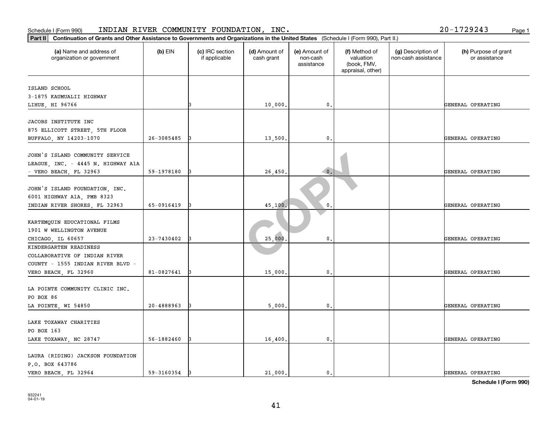| (a) Name and address of<br>$(b)$ EIN<br>(c) IRC section<br>(d) Amount of<br>(e) Amount of<br>(f) Method of<br>(g) Description of<br>if applicable<br>cash grant<br>valuation<br>non-cash assistance<br>or assistance<br>organization or government<br>non-cash<br>(book, FMV,<br>assistance<br>appraisal, other)<br>ISLAND SCHOOL<br>3-1875 KAUMUALII HIGHWAY<br>$\mathfrak o$ .<br>10,000<br>GENERAL OPERATING<br>LIHUE, HI 96766<br>JACOBS INSTITUTE INC<br>26-3085485<br>13,500<br>$\mathfrak{o}$ .<br>GENERAL OPERATING<br>I٩<br>$\overline{\phantom{a}}$ 0.<br>26,450.<br>59-1978180<br>GENERAL OPERATING<br>$\mathbf{0}$<br>65-0916419<br>45,100<br>GENERAL OPERATING<br>23-7430402<br>25,000<br>0.<br>GENERAL OPERATING<br>81-0827641<br>15,000<br>0.<br>GENERAL OPERATING<br>20-4888963<br>$\mathbf 0$ .<br>5,000<br>GENERAL OPERATING<br>56-1882460<br>16,400<br>$\mathbf{0}$ .<br>GENERAL OPERATING<br>IЗ | Continuation of Grants and Other Assistance to Governments and Organizations in the United States (Schedule I (Form 990), Part II.)<br>Part II |  |  |  |                      |
|---------------------------------------------------------------------------------------------------------------------------------------------------------------------------------------------------------------------------------------------------------------------------------------------------------------------------------------------------------------------------------------------------------------------------------------------------------------------------------------------------------------------------------------------------------------------------------------------------------------------------------------------------------------------------------------------------------------------------------------------------------------------------------------------------------------------------------------------------------------------------------------------------------------------|------------------------------------------------------------------------------------------------------------------------------------------------|--|--|--|----------------------|
|                                                                                                                                                                                                                                                                                                                                                                                                                                                                                                                                                                                                                                                                                                                                                                                                                                                                                                                     |                                                                                                                                                |  |  |  | (h) Purpose of grant |
|                                                                                                                                                                                                                                                                                                                                                                                                                                                                                                                                                                                                                                                                                                                                                                                                                                                                                                                     |                                                                                                                                                |  |  |  |                      |
|                                                                                                                                                                                                                                                                                                                                                                                                                                                                                                                                                                                                                                                                                                                                                                                                                                                                                                                     |                                                                                                                                                |  |  |  |                      |
|                                                                                                                                                                                                                                                                                                                                                                                                                                                                                                                                                                                                                                                                                                                                                                                                                                                                                                                     |                                                                                                                                                |  |  |  |                      |
|                                                                                                                                                                                                                                                                                                                                                                                                                                                                                                                                                                                                                                                                                                                                                                                                                                                                                                                     |                                                                                                                                                |  |  |  |                      |
| 875 ELLICOTT STREET, 5TH FLOOR<br>BUFFALO, NY 14203-1070<br>- VERO BEACH, FL 32963                                                                                                                                                                                                                                                                                                                                                                                                                                                                                                                                                                                                                                                                                                                                                                                                                                  |                                                                                                                                                |  |  |  |                      |
|                                                                                                                                                                                                                                                                                                                                                                                                                                                                                                                                                                                                                                                                                                                                                                                                                                                                                                                     |                                                                                                                                                |  |  |  |                      |
|                                                                                                                                                                                                                                                                                                                                                                                                                                                                                                                                                                                                                                                                                                                                                                                                                                                                                                                     |                                                                                                                                                |  |  |  |                      |
|                                                                                                                                                                                                                                                                                                                                                                                                                                                                                                                                                                                                                                                                                                                                                                                                                                                                                                                     |                                                                                                                                                |  |  |  |                      |
| LEAGUE, INC. - 4445 N. HIGHWAY A1A<br>JOHN'S ISLAND FOUNDATION, INC.<br>6001 HIGHWAY A1A, PMB 8323<br>INDIAN RIVER SHORES, FL 32963<br>KARTEMQUIN EDUCATIONAL FILMS<br>1901 W WELLINGTON AVENUE<br>CHICAGO, IL 60657<br>KINDERGARTEN READINESS<br>COLLABORATIVE OF INDIAN RIVER<br>COUNTY - 1555 INDIAN RIVER BLVD -<br>VERO BEACH, FL 32960<br>LA POINTE COMMUNITY CLINIC INC.<br>PO BOX 86<br>LA POINTE, WI 54850<br>LAKE TOXAWAY CHARITIES<br>PO BOX 163<br>LAKE TOXAWAY, NC 28747<br>LAURA (RIDING) JACKSON FOUNDATION<br>P.O. BOX 643786                                                                                                                                                                                                                                                                                                                                                                       | JOHN'S ISLAND COMMUNITY SERVICE                                                                                                                |  |  |  |                      |
|                                                                                                                                                                                                                                                                                                                                                                                                                                                                                                                                                                                                                                                                                                                                                                                                                                                                                                                     |                                                                                                                                                |  |  |  |                      |
|                                                                                                                                                                                                                                                                                                                                                                                                                                                                                                                                                                                                                                                                                                                                                                                                                                                                                                                     |                                                                                                                                                |  |  |  |                      |
|                                                                                                                                                                                                                                                                                                                                                                                                                                                                                                                                                                                                                                                                                                                                                                                                                                                                                                                     |                                                                                                                                                |  |  |  |                      |
|                                                                                                                                                                                                                                                                                                                                                                                                                                                                                                                                                                                                                                                                                                                                                                                                                                                                                                                     |                                                                                                                                                |  |  |  |                      |
|                                                                                                                                                                                                                                                                                                                                                                                                                                                                                                                                                                                                                                                                                                                                                                                                                                                                                                                     |                                                                                                                                                |  |  |  |                      |
|                                                                                                                                                                                                                                                                                                                                                                                                                                                                                                                                                                                                                                                                                                                                                                                                                                                                                                                     |                                                                                                                                                |  |  |  |                      |
|                                                                                                                                                                                                                                                                                                                                                                                                                                                                                                                                                                                                                                                                                                                                                                                                                                                                                                                     |                                                                                                                                                |  |  |  |                      |
|                                                                                                                                                                                                                                                                                                                                                                                                                                                                                                                                                                                                                                                                                                                                                                                                                                                                                                                     |                                                                                                                                                |  |  |  |                      |
|                                                                                                                                                                                                                                                                                                                                                                                                                                                                                                                                                                                                                                                                                                                                                                                                                                                                                                                     |                                                                                                                                                |  |  |  |                      |
|                                                                                                                                                                                                                                                                                                                                                                                                                                                                                                                                                                                                                                                                                                                                                                                                                                                                                                                     |                                                                                                                                                |  |  |  |                      |
|                                                                                                                                                                                                                                                                                                                                                                                                                                                                                                                                                                                                                                                                                                                                                                                                                                                                                                                     |                                                                                                                                                |  |  |  |                      |
|                                                                                                                                                                                                                                                                                                                                                                                                                                                                                                                                                                                                                                                                                                                                                                                                                                                                                                                     |                                                                                                                                                |  |  |  |                      |
|                                                                                                                                                                                                                                                                                                                                                                                                                                                                                                                                                                                                                                                                                                                                                                                                                                                                                                                     |                                                                                                                                                |  |  |  |                      |
|                                                                                                                                                                                                                                                                                                                                                                                                                                                                                                                                                                                                                                                                                                                                                                                                                                                                                                                     |                                                                                                                                                |  |  |  |                      |
|                                                                                                                                                                                                                                                                                                                                                                                                                                                                                                                                                                                                                                                                                                                                                                                                                                                                                                                     |                                                                                                                                                |  |  |  |                      |
|                                                                                                                                                                                                                                                                                                                                                                                                                                                                                                                                                                                                                                                                                                                                                                                                                                                                                                                     |                                                                                                                                                |  |  |  |                      |
|                                                                                                                                                                                                                                                                                                                                                                                                                                                                                                                                                                                                                                                                                                                                                                                                                                                                                                                     |                                                                                                                                                |  |  |  |                      |
|                                                                                                                                                                                                                                                                                                                                                                                                                                                                                                                                                                                                                                                                                                                                                                                                                                                                                                                     |                                                                                                                                                |  |  |  |                      |
|                                                                                                                                                                                                                                                                                                                                                                                                                                                                                                                                                                                                                                                                                                                                                                                                                                                                                                                     |                                                                                                                                                |  |  |  |                      |
|                                                                                                                                                                                                                                                                                                                                                                                                                                                                                                                                                                                                                                                                                                                                                                                                                                                                                                                     |                                                                                                                                                |  |  |  |                      |
|                                                                                                                                                                                                                                                                                                                                                                                                                                                                                                                                                                                                                                                                                                                                                                                                                                                                                                                     |                                                                                                                                                |  |  |  |                      |
|                                                                                                                                                                                                                                                                                                                                                                                                                                                                                                                                                                                                                                                                                                                                                                                                                                                                                                                     |                                                                                                                                                |  |  |  |                      |
|                                                                                                                                                                                                                                                                                                                                                                                                                                                                                                                                                                                                                                                                                                                                                                                                                                                                                                                     |                                                                                                                                                |  |  |  |                      |
|                                                                                                                                                                                                                                                                                                                                                                                                                                                                                                                                                                                                                                                                                                                                                                                                                                                                                                                     |                                                                                                                                                |  |  |  |                      |
| 21,000.<br>VERO BEACH, FL 32964<br>59-3160354<br>$\mathbf{0}$ .<br>GENERAL OPERATING<br>13                                                                                                                                                                                                                                                                                                                                                                                                                                                                                                                                                                                                                                                                                                                                                                                                                          |                                                                                                                                                |  |  |  |                      |

#### Schedule I (Form 990) INDIAN RIVER COMMUNITY FOUNDATION, INC. Page 1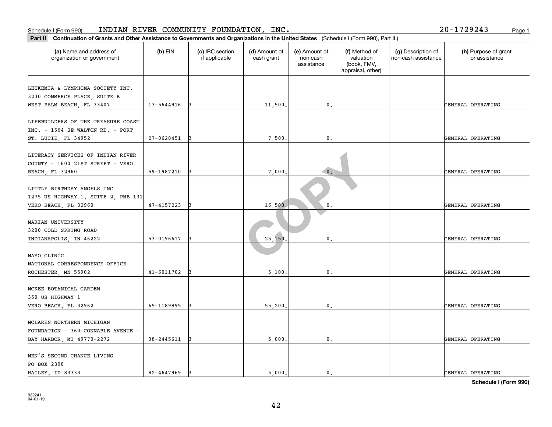| Continuation of Grants and Other Assistance to Governments and Organizations in the United States (Schedule I (Form 990), Part II.)<br>$ $ Part II |            |                                  |                             |                                         |                                                                |                                           |                                       |
|----------------------------------------------------------------------------------------------------------------------------------------------------|------------|----------------------------------|-----------------------------|-----------------------------------------|----------------------------------------------------------------|-------------------------------------------|---------------------------------------|
| (a) Name and address of<br>organization or government                                                                                              | $(b)$ EIN  | (c) IRC section<br>if applicable | (d) Amount of<br>cash grant | (e) Amount of<br>non-cash<br>assistance | (f) Method of<br>valuation<br>(book, FMV,<br>appraisal, other) | (g) Description of<br>non-cash assistance | (h) Purpose of grant<br>or assistance |
| LEUKEMIA & LYMPHOMA SOCIETY INC.<br>3230 COMMERCE PLACE, SUITE B                                                                                   |            |                                  |                             |                                         |                                                                |                                           |                                       |
| WEST PALM BEACH, FL 33407                                                                                                                          | 13-5644916 |                                  | 11,500                      | $\mathbf{0}$ .                          |                                                                |                                           | GENERAL OPERATING                     |
| LIFEBUILDERS OF THE TREASURE COAST<br>$INC. - 1664 SE WALTON RD. - PORT$<br>ST. LUCIE, FL 34952                                                    | 27-0628451 | 13                               | 7,500                       | 0.                                      |                                                                |                                           | GENERAL OPERATING                     |
|                                                                                                                                                    |            |                                  |                             |                                         |                                                                |                                           |                                       |
| LITERACY SERVICES OF INDIAN RIVER<br>COUNTY - 1600 21ST STREET - VERO<br>BEACH, FL 32960                                                           | 59-1987210 |                                  | 7,000                       | $\bullet$ .                             |                                                                |                                           | GENERAL OPERATING                     |
| LITTLE BIRTHDAY ANGELS INC<br>1275 US HIGHWAY 1, SUITE 2, PMB 131                                                                                  |            |                                  |                             |                                         |                                                                |                                           |                                       |
| VERO BEACH, FL 32960                                                                                                                               | 47-4157223 |                                  | 16,500                      | 0                                       |                                                                |                                           | GENERAL OPERATING                     |
| MARIAN UNIVERSITY<br>3200 COLD SPRING ROAD                                                                                                         |            |                                  |                             |                                         |                                                                |                                           |                                       |
| INDIANAPOLIS, IN 46222                                                                                                                             | 53-0196617 |                                  | 25,150                      | 0.                                      |                                                                |                                           | GENERAL OPERATING                     |
| MAYO CLINIC<br>NATIONAL CORRESPONDENCE OFFICE<br>ROCHESTER, MN 55902                                                                               | 41-6011702 |                                  | 5,100                       | $\mathbf 0$ .                           |                                                                |                                           | GENERAL OPERATING                     |
| MCKEE BOTANICAL GARDEN<br>350 US HIGHWAY 1                                                                                                         |            |                                  |                             |                                         |                                                                |                                           |                                       |
| VERO BEACH, FL 32962                                                                                                                               | 65-1189895 |                                  | 55,200                      | $\mathbf{0}$ .                          |                                                                |                                           | GENERAL OPERATING                     |
| MCLAREN NORTHERN MICHIGAN<br>FOUNDATION - 360 CONNABLE AVENUE -<br>BAY HARBOR, MI 49770-2272                                                       | 38-2445611 |                                  | 5,000.                      | 0.                                      |                                                                |                                           | GENERAL OPERATING                     |
| MEN'S SECOND CHANCE LIVING<br>PO BOX 2398<br>HAILEY ID 83333                                                                                       | 82-4647969 |                                  | 5.000.                      | $\mathbf{0}$ .                          |                                                                |                                           | GENERAL OPERATING                     |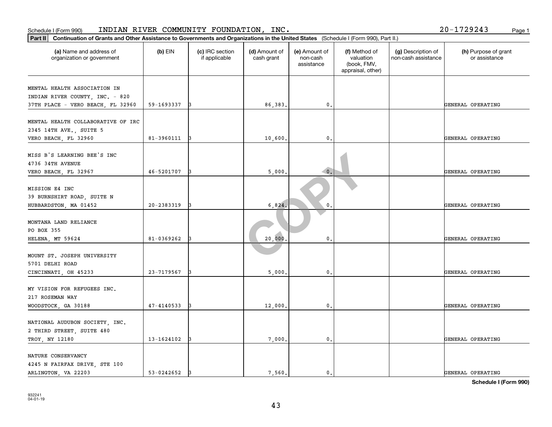| Part II<br>Continuation of Grants and Other Assistance to Governments and Organizations in the United States (Schedule I (Form 990), Part II.) |            |                                  |                             |                                         |                                                                |                                           |                                       |  |  |
|------------------------------------------------------------------------------------------------------------------------------------------------|------------|----------------------------------|-----------------------------|-----------------------------------------|----------------------------------------------------------------|-------------------------------------------|---------------------------------------|--|--|
| (a) Name and address of<br>organization or government                                                                                          | $(b)$ EIN  | (c) IRC section<br>if applicable | (d) Amount of<br>cash grant | (e) Amount of<br>non-cash<br>assistance | (f) Method of<br>valuation<br>(book, FMV,<br>appraisal, other) | (g) Description of<br>non-cash assistance | (h) Purpose of grant<br>or assistance |  |  |
| MENTAL HEALTH ASSOCIATION IN<br>INDIAN RIVER COUNTY, INC. - 820<br>37TH PLACE - VERO BEACH, FL 32960                                           | 59-1693337 |                                  | 86,383.                     | $\mathbf{0}$ .                          |                                                                |                                           | GENERAL OPERATING                     |  |  |
| MENTAL HEALTH COLLABORATIVE OF IRC<br>2345 14TH AVE., SUITE 5<br>VERO BEACH, FL 32960                                                          | 81-3960111 |                                  | 10,600.                     | $\mathfrak{o}$ .                        |                                                                |                                           | GENERAL OPERATING                     |  |  |
| MISS B'S LEARNING BEE'S INC<br>4736 34TH AVENUE<br>VERO BEACH, FL 32967                                                                        | 46-5201707 |                                  | 5,000                       | $\bullet$ .                             |                                                                |                                           | GENERAL OPERATING                     |  |  |
| MISSION E4 INC<br>39 BURNSHIRT ROAD, SUITE N<br>HUBBARDSTON, MA 01452                                                                          | 20-2383319 |                                  | 6,824                       | $\mathbf{0}$                            |                                                                |                                           | GENERAL OPERATING                     |  |  |
| MONTANA LAND RELIANCE<br>PO BOX 355<br>HELENA, MT 59624                                                                                        | 81-0369262 |                                  | 20,000                      | $\mathbf{0}$                            |                                                                |                                           | GENERAL OPERATING                     |  |  |
| MOUNT ST. JOSEPH UNIVERSITY<br>5701 DELHI ROAD<br>CINCINNATI, OH 45233                                                                         | 23-7179567 |                                  | 5,000                       | 0.                                      |                                                                |                                           | GENERAL OPERATING                     |  |  |
| MY VISION FOR REFUGEES INC.<br>217 ROSEMAN WAY<br>WOODSTOCK, GA 30188                                                                          | 47-4140533 |                                  | 12,000                      | 0.                                      |                                                                |                                           | GENERAL OPERATING                     |  |  |
| NATIONAL AUDUBON SOCIETY, INC.<br>2 THIRD STREET, SUITE 480<br>TROY, NY 12180                                                                  | 13-1624102 |                                  | 7,000                       | 0.                                      |                                                                |                                           | GENERAL OPERATING                     |  |  |
| NATURE CONSERVANCY<br>4245 N FAIRFAX DRIVE, STE 100<br>ARLINGTON, VA 22203                                                                     | 53-0242652 | 13                               | 7,560.                      | 0.                                      |                                                                |                                           | GENERAL OPERATING                     |  |  |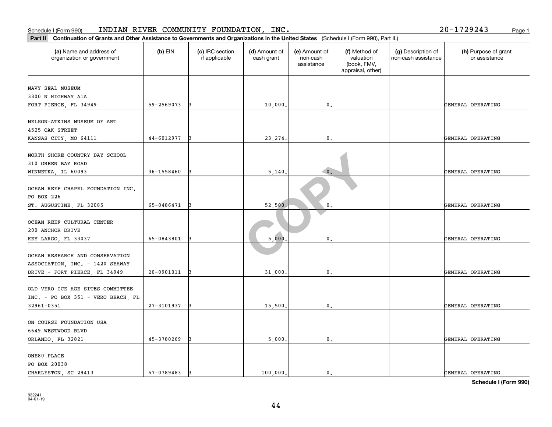| Part II<br>Continuation of Grants and Other Assistance to Governments and Organizations in the United States (Schedule I (Form 990), Part II.) |            |                                  |                             |                                         |                                                                |                                           |                                       |
|------------------------------------------------------------------------------------------------------------------------------------------------|------------|----------------------------------|-----------------------------|-----------------------------------------|----------------------------------------------------------------|-------------------------------------------|---------------------------------------|
| (a) Name and address of<br>organization or government                                                                                          | $(b)$ EIN  | (c) IRC section<br>if applicable | (d) Amount of<br>cash grant | (e) Amount of<br>non-cash<br>assistance | (f) Method of<br>valuation<br>(book, FMV,<br>appraisal, other) | (g) Description of<br>non-cash assistance | (h) Purpose of grant<br>or assistance |
| NAVY SEAL MUSEUM<br>3300 N HIGHWAY A1A<br>FORT PIERCE, FL 34949                                                                                | 59-2569073 |                                  | 10,000                      | $\mathbf{0}$ .                          |                                                                |                                           | GENERAL OPERATING                     |
| NELSON-ATKINS MUSEUM OF ART<br>4525 OAK STREET<br>KANSAS CITY, MO 64111                                                                        | 44-6012977 |                                  | 23, 274.                    | $\mathbf{0}$                            |                                                                |                                           | GENERAL OPERATING                     |
| NORTH SHORE COUNTRY DAY SCHOOL<br>310 GREEN BAY ROAD<br>WINNETKA, IL 60093                                                                     | 36-1558460 |                                  | 5,140                       | $\bullet$                               |                                                                |                                           | GENERAL OPERATING                     |
| OCEAN REEF CHAPEL FOUNDATION INC.<br>PO BOX 226<br>ST. AUGUSTINE, FL 32085                                                                     | 65-0486471 |                                  | 52,500                      | $\mathbf 0$ .                           |                                                                |                                           | GENERAL OPERATING                     |
| OCEAN REEF CULTURAL CENTER<br>200 ANCHOR DRIVE<br>KEY LARGO, FL 33037                                                                          | 65-0843801 |                                  | 5,000                       | $\mathbf{0}$                            |                                                                |                                           | GENERAL OPERATING                     |
| OCEAN RESEARCH AND CONSERVATION<br>ASSOCIATION, INC. - 1420 SEAWAY<br>DRIVE - FORT PIERCE, FL 34949                                            | 20-0901011 |                                  | 31,000                      | 0                                       |                                                                |                                           | GENERAL OPERATING                     |
| OLD VERO ICE AGE SITES COMMITTEE<br>INC. - PO BOX 351 - VERO BEACH, FL<br>32961-0351                                                           | 27-3101937 |                                  | 15,500                      | $\mathbf{0}$ .                          |                                                                |                                           | GENERAL OPERATING                     |
| ON COURSE FOUNDATION USA<br>6649 WESTWOOD BLVD<br>ORLANDO, FL 32821                                                                            | 45-3780269 |                                  | 5,000                       | $\mathbf{0}$ .                          |                                                                |                                           | GENERAL OPERATING                     |
| ONE80 PLACE<br>PO BOX 20038<br>CHARLESTON, SC 29413                                                                                            | 57-0789483 | 13                               | 100,000.                    | $\mathbf{0}$ .                          |                                                                |                                           | GENERAL OPERATING                     |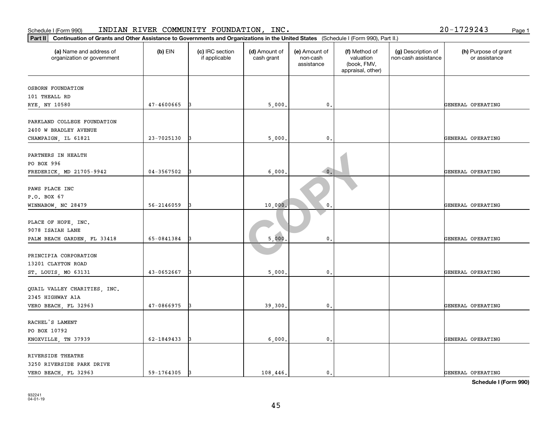| Schedule I (Form 990)                                                                                                                          |            | INDIAN RIVER COMMUNITY FOUNDATION, INC. |                             |                                         |                                                                |                                           | 20-1729243<br>Page 1                  |
|------------------------------------------------------------------------------------------------------------------------------------------------|------------|-----------------------------------------|-----------------------------|-----------------------------------------|----------------------------------------------------------------|-------------------------------------------|---------------------------------------|
| Part II<br>Continuation of Grants and Other Assistance to Governments and Organizations in the United States (Schedule I (Form 990), Part II.) |            |                                         |                             |                                         |                                                                |                                           |                                       |
| (a) Name and address of<br>organization or government                                                                                          | $(b)$ EIN  | (c) IRC section<br>if applicable        | (d) Amount of<br>cash grant | (e) Amount of<br>non-cash<br>assistance | (f) Method of<br>valuation<br>(book, FMV,<br>appraisal, other) | (g) Description of<br>non-cash assistance | (h) Purpose of grant<br>or assistance |
| OSBORN FOUNDATION                                                                                                                              |            |                                         |                             |                                         |                                                                |                                           |                                       |
| 101 THEALL RD                                                                                                                                  |            |                                         |                             |                                         |                                                                |                                           |                                       |
| RYE, NY 10580                                                                                                                                  | 47-4600665 |                                         | 5,000                       | $\mathbf{0}$                            |                                                                |                                           | GENERAL OPERATING                     |
| PARKLAND COLLEGE FOUNDATION<br>2400 W BRADLEY AVENUE                                                                                           |            |                                         |                             |                                         |                                                                |                                           |                                       |
| CHAMPAIGN, IL 61821                                                                                                                            | 23-7025130 |                                         | 5,000                       | $\mathfrak{o}$ .                        |                                                                |                                           | GENERAL OPERATING                     |
| PARTNERS IN HEALTH<br>PO BOX 996                                                                                                               |            |                                         |                             |                                         |                                                                |                                           |                                       |
| FREDERICK, MD 21705-9942                                                                                                                       | 04-3567502 |                                         | 6,000                       | $\bullet$ .                             |                                                                |                                           | GENERAL OPERATING                     |
| PAWS PLACE INC<br>P.O. BOX 67                                                                                                                  |            |                                         |                             |                                         |                                                                |                                           |                                       |
| WINNABOW, NC 28479                                                                                                                             | 56-2146059 |                                         | 10,000                      | 0                                       |                                                                |                                           | GENERAL OPERATING                     |
| PLACE OF HOPE, INC.<br>9078 ISAIAH LANE                                                                                                        |            |                                         |                             |                                         |                                                                |                                           |                                       |
| PALM BEACH GARDEN, FL 33418                                                                                                                    | 65-0841384 |                                         | 5,000                       | 0.                                      |                                                                |                                           | GENERAL OPERATING                     |
| PRINCIPIA CORPORATION<br>13201 CLAYTON ROAD                                                                                                    |            |                                         |                             |                                         |                                                                |                                           |                                       |
| ST. LOUIS, MO 63131                                                                                                                            | 43-0652667 |                                         | 5,000                       | $\mathbf 0$                             |                                                                |                                           | GENERAL OPERATING                     |
| QUAIL VALLEY CHARITIES, INC.<br>2345 HIGHWAY A1A                                                                                               |            |                                         |                             |                                         |                                                                |                                           |                                       |
| VERO BEACH, FL 32963                                                                                                                           | 47-0866975 |                                         | 39,300                      | $\mathsf{0}\,.$                         |                                                                |                                           | GENERAL OPERATING                     |
| RACHEL'S LAMENT<br>PO BOX 10792                                                                                                                |            |                                         |                             |                                         |                                                                |                                           |                                       |
| KNOXVILLE, TN 37939                                                                                                                            | 62-1849433 |                                         | 6,000                       | 0.                                      |                                                                |                                           | GENERAL OPERATING                     |
|                                                                                                                                                |            |                                         |                             |                                         |                                                                |                                           |                                       |
| RIVERSIDE THEATRE<br>3250 RIVERSIDE PARK DRIVE                                                                                                 |            |                                         |                             |                                         |                                                                |                                           |                                       |
| VERO BEACH, FL 32963                                                                                                                           | 59-1764305 | 13                                      | 108,446.                    | $\mathbf{0}$ .                          |                                                                |                                           | GENERAL OPERATING                     |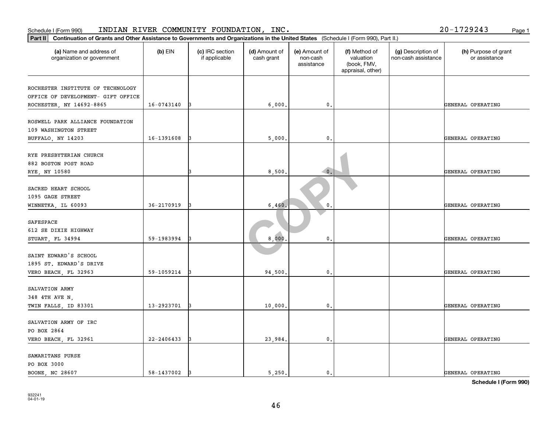| Part II<br>Continuation of Grants and Other Assistance to Governments and Organizations in the United States (Schedule I (Form 990), Part II.) |                |                                  |                             |                                         |                                                                |                                           |                                       |
|------------------------------------------------------------------------------------------------------------------------------------------------|----------------|----------------------------------|-----------------------------|-----------------------------------------|----------------------------------------------------------------|-------------------------------------------|---------------------------------------|
| (a) Name and address of<br>organization or government                                                                                          | $(b)$ EIN      | (c) IRC section<br>if applicable | (d) Amount of<br>cash grant | (e) Amount of<br>non-cash<br>assistance | (f) Method of<br>valuation<br>(book, FMV,<br>appraisal, other) | (g) Description of<br>non-cash assistance | (h) Purpose of grant<br>or assistance |
| ROCHESTER INSTITUTE OF TECHNOLOGY<br>OFFICE OF DEVELOPMENT- GIFT OFFICE<br>ROCHESTER, NY 14692-8865                                            | 16-0743140     |                                  | 6,000                       | $\mathbf{0}$ .                          |                                                                |                                           | GENERAL OPERATING                     |
| ROSWELL PARK ALLIANCE FOUNDATION<br>109 WASHINGTON STREET<br>BUFFALO, NY 14203                                                                 | 16-1391608     |                                  | 5,000                       | 0.                                      |                                                                |                                           | GENERAL OPERATING                     |
| RYE PRESBYTERIAN CHURCH<br>882 BOSTON POST ROAD<br>RYE, NY 10580                                                                               |                |                                  | 8,500                       | $\bullet$ .                             |                                                                |                                           | GENERAL OPERATING                     |
| SACRED HEART SCHOOL<br>1095 GAGE STREET<br>WINNETKA, IL 60093                                                                                  | 36-2170919     |                                  | 6,460.                      | $\mathbf 0$ .                           |                                                                |                                           | GENERAL OPERATING                     |
| SAFESPACE<br>612 SE DIXIE HIGHWAY<br>STUART, FL 34994                                                                                          | 59-1983994     |                                  | 8,000                       | $\mathbf{0}$                            |                                                                |                                           | GENERAL OPERATING                     |
| SAINT EDWARD'S SCHOOL<br>1895 ST. EDWARD'S DRIVE<br>VERO BEACH, FL 32963                                                                       | 59-1059214     |                                  | 94,500                      | $\mathbf{0}$                            |                                                                |                                           | GENERAL OPERATING                     |
| SALVATION ARMY<br>348 4TH AVE N,<br>TWIN FALLS, ID 83301                                                                                       | 13-2923701     |                                  | 10,000                      | $\mathfrak o$ .                         |                                                                |                                           | GENERAL OPERATING                     |
| SALVATION ARMY OF IRC<br>PO BOX 2864<br>VERO BEACH, FL 32961                                                                                   | $22 - 2406433$ |                                  | 23,984.                     | $\mathbf{0}$ .                          |                                                                |                                           | GENERAL OPERATING                     |
| SAMARITANS PURSE<br>PO BOX 3000<br>BOONE, NC 28607                                                                                             | 58-1437002     | 13                               | 5.250.                      | $\mathfrak{o}$ .                        |                                                                |                                           | GENERAL OPERATING                     |

#### Schedule I (Form 990) INDIAN RIVER COMMUNITY FOUNDATION, INC. Page 1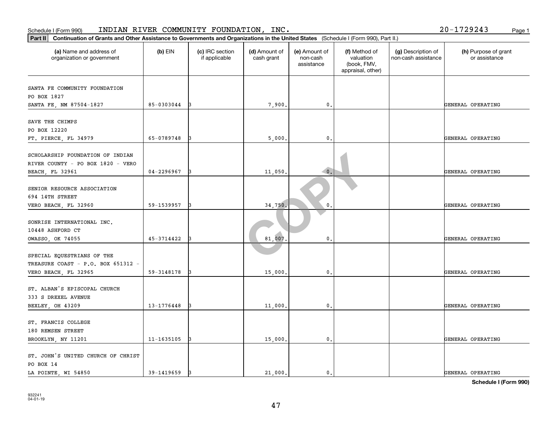| Schedule I (Form 990)                                                                                                                          |            | INDIAN RIVER COMMUNITY FOUNDATION, INC. |                             |                                         |                                                                |                                           | 20-1729243<br>Page 1                  |
|------------------------------------------------------------------------------------------------------------------------------------------------|------------|-----------------------------------------|-----------------------------|-----------------------------------------|----------------------------------------------------------------|-------------------------------------------|---------------------------------------|
| Part II<br>Continuation of Grants and Other Assistance to Governments and Organizations in the United States (Schedule I (Form 990), Part II.) |            |                                         |                             |                                         |                                                                |                                           |                                       |
| (a) Name and address of<br>organization or government                                                                                          | $(b)$ EIN  | (c) IRC section<br>if applicable        | (d) Amount of<br>cash grant | (e) Amount of<br>non-cash<br>assistance | (f) Method of<br>valuation<br>(book, FMV,<br>appraisal, other) | (g) Description of<br>non-cash assistance | (h) Purpose of grant<br>or assistance |
| SANTA FE COMMUNITY FOUNDATION                                                                                                                  |            |                                         |                             |                                         |                                                                |                                           |                                       |
| PO BOX 1827<br>SANTA FE, NM 87504-1827                                                                                                         | 85-0303044 |                                         | 7,900                       | $\mathbf{0}$                            |                                                                |                                           | GENERAL OPERATING                     |
| SAVE THE CHIMPS<br>PO BOX 12220                                                                                                                |            |                                         |                             |                                         |                                                                |                                           |                                       |
| FT. PIERCE, FL 34979                                                                                                                           | 65-0789748 |                                         | 5,000                       | $\mathfrak{o}$ .                        |                                                                |                                           | GENERAL OPERATING                     |
| SCHOLARSHIP FOUNDATION OF INDIAN<br>RIVER COUNTY - PO BOX 1820 - VERO<br>BEACH, FL 32961                                                       | 04-2296967 |                                         | 11,050                      | $\overline{\phantom{a}}$ 0.             |                                                                |                                           | GENERAL OPERATING                     |
| SENIOR RESOURCE ASSOCIATION<br>694 14TH STREET                                                                                                 |            |                                         |                             |                                         |                                                                |                                           |                                       |
| VERO BEACH, FL 32960                                                                                                                           | 59-1539957 |                                         | 34,750                      | 0                                       |                                                                |                                           | GENERAL OPERATING                     |
| SONRISE INTERNATIONAL INC.<br>10448 ASHFORD CT                                                                                                 |            |                                         |                             |                                         |                                                                |                                           |                                       |
| OWASSO, OK 74055                                                                                                                               | 45-3714422 |                                         | 81,007                      | 0.                                      |                                                                |                                           | GENERAL OPERATING                     |
| SPECIAL EQUESTRIANS OF THE<br>TREASURE COAST - P.O. BOX 651312 -                                                                               | 59-3148178 |                                         | 15,000                      | $\mathbf{0}$                            |                                                                |                                           | GENERAL OPERATING                     |
| VERO BEACH, FL 32965                                                                                                                           |            |                                         |                             |                                         |                                                                |                                           |                                       |
| ST. ALBAN'S EPISCOPAL CHURCH<br>333 S DREXEL AVENUE<br>BEXLEY, OH 43209                                                                        | 13-1776448 |                                         | 11,000                      | $\mathfrak o$ .                         |                                                                |                                           | GENERAL OPERATING                     |
| ST. FRANCIS COLLEGE<br>180 REMSEN STREET                                                                                                       |            |                                         |                             |                                         |                                                                |                                           |                                       |
| BROOKLYN, NY 11201                                                                                                                             | 11-1635105 |                                         | 15,000                      | 0.                                      |                                                                |                                           | GENERAL OPERATING                     |
| ST. JOHN'S UNITED CHURCH OF CHRIST<br>PO BOX 14<br>LA POINTE, WI 54850                                                                         | 39-1419659 | 13                                      | 21,000.                     | $\mathbf{0}$ .                          |                                                                |                                           | GENERAL OPERATING                     |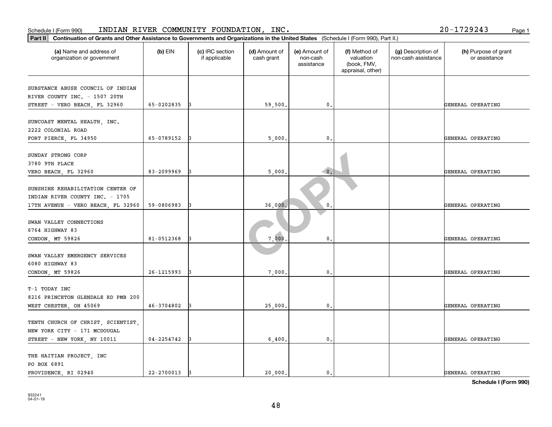| Part II   Continuation of Grants and Other Assistance to Governments and Organizations in the United States (Schedule I (Form 990), Part II.) |            |                                  |                             |                                         |                                                                |                                           |                                       |
|-----------------------------------------------------------------------------------------------------------------------------------------------|------------|----------------------------------|-----------------------------|-----------------------------------------|----------------------------------------------------------------|-------------------------------------------|---------------------------------------|
| (a) Name and address of<br>organization or government                                                                                         | $(b)$ EIN  | (c) IRC section<br>if applicable | (d) Amount of<br>cash grant | (e) Amount of<br>non-cash<br>assistance | (f) Method of<br>valuation<br>(book, FMV,<br>appraisal, other) | (g) Description of<br>non-cash assistance | (h) Purpose of grant<br>or assistance |
| SUBSTANCE ABUSE COUNCIL OF INDIAN<br>RIVER COUNTY INC. - 1507 20TH                                                                            |            |                                  |                             |                                         |                                                                |                                           |                                       |
| STREET - VERO BEACH, FL 32960                                                                                                                 | 65-0202835 |                                  | 59,500                      | $\mathbf{0}$ .                          |                                                                |                                           | GENERAL OPERATING                     |
| SUNCOAST MENTAL HEALTH, INC.<br>2222 COLONIAL ROAD                                                                                            |            |                                  |                             |                                         |                                                                |                                           |                                       |
| FORT PIERCE, FL 34950                                                                                                                         | 65-0789152 |                                  | 5,000                       | 0.                                      |                                                                |                                           | GENERAL OPERATING                     |
| SUNDAY STRONG CORP<br>3780 9TH PLACE                                                                                                          |            |                                  |                             |                                         |                                                                |                                           |                                       |
| VERO BEACH, FL 32960                                                                                                                          | 83-2099969 |                                  | 5,000                       | $\bullet$                               |                                                                |                                           | GENERAL OPERATING                     |
| SUNSHINE REHABILITATION CENTER OF<br>INDIAN RIVER COUNTY INC. - 1705                                                                          |            |                                  |                             |                                         |                                                                |                                           |                                       |
| 17TH AVENUE - VERO BEACH, FL 32960                                                                                                            | 59-0806983 |                                  | 36,000                      | 0                                       |                                                                |                                           | GENERAL OPERATING                     |
| SWAN VALLEY CONNECTIONS<br>6764 HIGHWAY 83<br>CONDON, MT 59826                                                                                | 81-0512368 |                                  | 7,000                       | $\mathbf 0$ .                           |                                                                |                                           | GENERAL OPERATING                     |
|                                                                                                                                               |            |                                  |                             |                                         |                                                                |                                           |                                       |
| SWAN VALLEY EMERGENCY SERVICES<br>6080 HIGHWAY 83                                                                                             |            |                                  |                             |                                         |                                                                |                                           |                                       |
| CONDON, MT 59826                                                                                                                              | 26-1215993 |                                  | 7,000                       | 0.                                      |                                                                |                                           | GENERAL OPERATING                     |
| T-1 TODAY INC<br>8216 PRINCETON GLENDALE RD PMB 200                                                                                           |            |                                  |                             |                                         |                                                                |                                           |                                       |
| WEST CHESTER, OH 45069                                                                                                                        | 46-3704802 |                                  | 25,000                      | 0.                                      |                                                                |                                           | GENERAL OPERATING                     |
| TENTH CHURCH OF CHRIST, SCIENTIST,<br>NEW YORK CITY - 171 MCDOUGAL                                                                            |            |                                  |                             |                                         |                                                                |                                           |                                       |
| STREET - NEW YORK, NY 10011                                                                                                                   | 04-2254742 |                                  | 6,400                       | 0.                                      |                                                                |                                           | GENERAL OPERATING                     |
| THE HAITIAN PROJECT, INC<br>PO BOX 6891<br>PROVIDENCE, RI 02940                                                                               | 22-2700013 | 13                               | 20,000.                     | 0.                                      |                                                                |                                           | GENERAL OPERATING                     |
|                                                                                                                                               |            |                                  |                             |                                         |                                                                |                                           |                                       |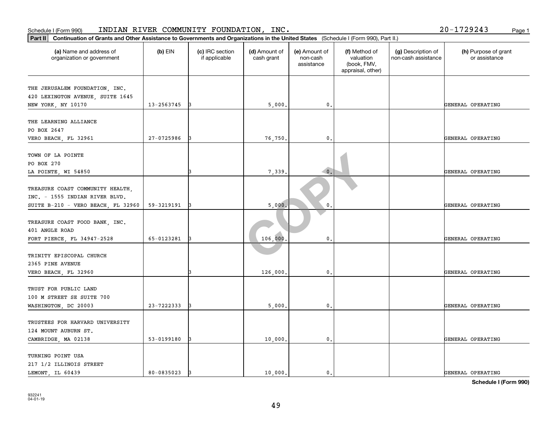| Part II   Continuation of Grants and Other Assistance to Governments and Organizations in the United States (Schedule I (Form 990), Part II.) |            |                                  |                             |                                         |                                                                |                                           |                                       |
|-----------------------------------------------------------------------------------------------------------------------------------------------|------------|----------------------------------|-----------------------------|-----------------------------------------|----------------------------------------------------------------|-------------------------------------------|---------------------------------------|
| (a) Name and address of<br>organization or government                                                                                         | $(b)$ EIN  | (c) IRC section<br>if applicable | (d) Amount of<br>cash grant | (e) Amount of<br>non-cash<br>assistance | (f) Method of<br>valuation<br>(book, FMV,<br>appraisal, other) | (g) Description of<br>non-cash assistance | (h) Purpose of grant<br>or assistance |
|                                                                                                                                               |            |                                  |                             |                                         |                                                                |                                           |                                       |
| THE JERUSALEM FOUNDATION, INC.                                                                                                                |            |                                  |                             |                                         |                                                                |                                           |                                       |
| 420 LEXINGTON AVENUE, SUITE 1645                                                                                                              | 13-2563745 |                                  |                             | 0.                                      |                                                                |                                           |                                       |
| NEW YORK, NY 10170                                                                                                                            |            |                                  | 5,000                       |                                         |                                                                |                                           | GENERAL OPERATING                     |
| THE LEARNING ALLIANCE                                                                                                                         |            |                                  |                             |                                         |                                                                |                                           |                                       |
| PO BOX 2647                                                                                                                                   |            |                                  |                             |                                         |                                                                |                                           |                                       |
| VERO BEACH, FL 32961                                                                                                                          | 27-0725986 |                                  | 76,750                      | $\mathbf 0$ .                           |                                                                |                                           | GENERAL OPERATING                     |
|                                                                                                                                               |            |                                  |                             |                                         |                                                                |                                           |                                       |
| TOWN OF LA POINTE                                                                                                                             |            |                                  |                             |                                         |                                                                |                                           |                                       |
| PO BOX 270                                                                                                                                    |            |                                  |                             |                                         |                                                                |                                           |                                       |
| LA POINTE, WI 54850                                                                                                                           |            |                                  | 7,339                       | $\bullet$ .                             |                                                                |                                           | GENERAL OPERATING                     |
|                                                                                                                                               |            |                                  |                             |                                         |                                                                |                                           |                                       |
| TREASURE COAST COMMUNITY HEALTH.                                                                                                              |            |                                  |                             |                                         |                                                                |                                           |                                       |
| INC. - 1555 INDIAN RIVER BLVD.                                                                                                                |            |                                  |                             |                                         |                                                                |                                           |                                       |
| SUITE B-210 - VERO BEACH, FL 32960                                                                                                            | 59-3219191 |                                  | 5,000                       | 0                                       |                                                                |                                           | GENERAL OPERATING                     |
|                                                                                                                                               |            |                                  |                             |                                         |                                                                |                                           |                                       |
| TREASURE COAST FOOD BANK, INC.                                                                                                                |            |                                  |                             |                                         |                                                                |                                           |                                       |
| 401 ANGLE ROAD                                                                                                                                |            |                                  |                             |                                         |                                                                |                                           |                                       |
| FORT PIERCE, FL 34947-2528                                                                                                                    | 65-0123281 | 13                               | 106,000                     | $\mathbf 0$ .                           |                                                                |                                           | GENERAL OPERATING                     |
|                                                                                                                                               |            |                                  |                             |                                         |                                                                |                                           |                                       |
| TRINITY EPISCOPAL CHURCH                                                                                                                      |            |                                  |                             |                                         |                                                                |                                           |                                       |
| 2365 PINE AVENUE                                                                                                                              |            |                                  |                             |                                         |                                                                |                                           |                                       |
| VERO BEACH, FL 32960                                                                                                                          |            |                                  | 126,000                     | 0.                                      |                                                                |                                           | GENERAL OPERATING                     |
|                                                                                                                                               |            |                                  |                             |                                         |                                                                |                                           |                                       |
| TRUST FOR PUBLIC LAND                                                                                                                         |            |                                  |                             |                                         |                                                                |                                           |                                       |
| 100 M STREET SE SUITE 700                                                                                                                     |            |                                  |                             |                                         |                                                                |                                           |                                       |
| WASHINGTON, DC 20003                                                                                                                          | 23-7222333 |                                  | 5,000                       | $\mathbf{0}$ .                          |                                                                |                                           | GENERAL OPERATING                     |
|                                                                                                                                               |            |                                  |                             |                                         |                                                                |                                           |                                       |
| TRUSTEES FOR HARVARD UNIVERSITY                                                                                                               |            |                                  |                             |                                         |                                                                |                                           |                                       |
| 124 MOUNT AUBURN ST.                                                                                                                          |            |                                  |                             |                                         |                                                                |                                           |                                       |
| CAMBRIDGE, MA 02138                                                                                                                           | 53-0199180 | 13                               | 10,000                      | 0.                                      |                                                                |                                           | GENERAL OPERATING                     |
|                                                                                                                                               |            |                                  |                             |                                         |                                                                |                                           |                                       |
| TURNING POINT USA                                                                                                                             |            |                                  |                             |                                         |                                                                |                                           |                                       |
| 217 1/2 ILLINOIS STREET                                                                                                                       |            |                                  |                             |                                         |                                                                |                                           |                                       |
| LEMONT, IL 60439                                                                                                                              | 80-0835023 | 13                               | 10,000.                     | $\mathbf{0}$ .                          |                                                                |                                           | GENERAL OPERATING                     |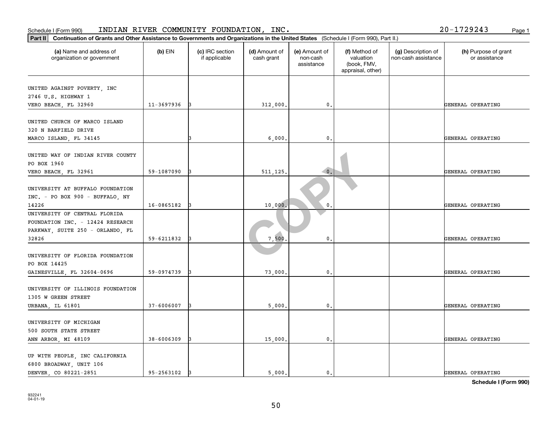| Continuation of Grants and Other Assistance to Governments and Organizations in the United States (Schedule I (Form 990), Part II.)<br>Part II |            |                                  |                             |                                         |                                                                |                                           |                                       |
|------------------------------------------------------------------------------------------------------------------------------------------------|------------|----------------------------------|-----------------------------|-----------------------------------------|----------------------------------------------------------------|-------------------------------------------|---------------------------------------|
| (a) Name and address of<br>organization or government                                                                                          | $(b)$ EIN  | (c) IRC section<br>if applicable | (d) Amount of<br>cash grant | (e) Amount of<br>non-cash<br>assistance | (f) Method of<br>valuation<br>(book, FMV,<br>appraisal, other) | (g) Description of<br>non-cash assistance | (h) Purpose of grant<br>or assistance |
| UNITED AGAINST POVERTY, INC<br>2746 U.S. HIGHWAY 1<br>VERO BEACH, FL 32960                                                                     | 11-3697936 |                                  | 312,000.                    | 0.                                      |                                                                |                                           | GENERAL OPERATING                     |
| UNITED CHURCH OF MARCO ISLAND<br>320 N BARFIELD DRIVE<br>MARCO ISLAND, FL 34145                                                                |            |                                  | 6,000                       | $\mathbf{0}$ .                          |                                                                |                                           | GENERAL OPERATING                     |
| UNITED WAY OF INDIAN RIVER COUNTY<br>PO BOX 1960<br>VERO BEACH, FL 32961                                                                       | 59-1087090 |                                  | 511,125,                    | $\bullet$                               |                                                                |                                           | GENERAL OPERATING                     |
| UNIVERSITY AT BUFFALO FOUNDATION<br>INC. - PO BOX 900 - BUFFALO, NY<br>14226                                                                   | 16-0865182 |                                  | 10,000                      | $\mathbf{0}$                            |                                                                |                                           | GENERAL OPERATING                     |
| UNIVERSITY OF CENTRAL FLORIDA<br>FOUNDATION INC. - 12424 RESEARCH<br>PARKWAY, SUITE 250 - ORLANDO, FL<br>32826                                 | 59-6211832 |                                  | 7,500                       | $\mathbf{0}$ .                          |                                                                |                                           | GENERAL OPERATING                     |
| UNIVERSITY OF FLORIDA FOUNDATION<br>PO BOX 14425<br>GAINESVILLE, FL 32604-0696                                                                 | 59-0974739 |                                  | 73,000                      | 0                                       |                                                                |                                           | GENERAL OPERATING                     |
| UNIVERSITY OF ILLINOIS FOUNDATION<br>1305 W GREEN STREET<br>URBANA, IL 61801                                                                   | 37-6006007 |                                  | 5,000                       | 0.                                      |                                                                |                                           | GENERAL OPERATING                     |
| UNIVERSITY OF MICHIGAN<br>500 SOUTH STATE STREET<br>ANN ARBOR, MI 48109                                                                        | 38-6006309 |                                  | 15,000                      | $\mathbf{0}$ .                          |                                                                |                                           | GENERAL OPERATING                     |
| UP WITH PEOPLE, INC CALIFORNIA<br>6800 BROADWAY, UNIT 106<br>DENVER CO 80221-2851                                                              | 95-2563102 |                                  | 5.000.                      | $\mathbf{0}$ .                          |                                                                |                                           | GENERAL OPERATING                     |

Schedule I (Form 990) INDIAN RIVER COMMUNITY FOUNDATION, INC. Page 1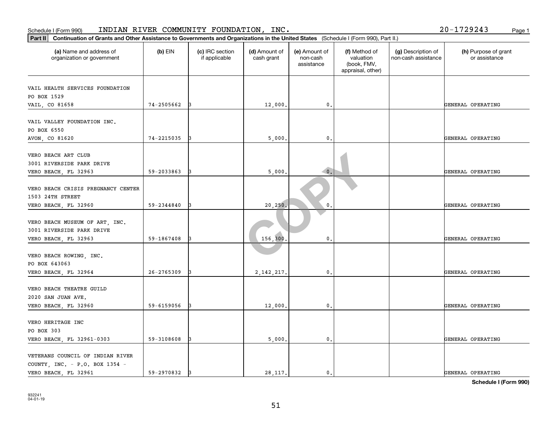| Continuation of Grants and Other Assistance to Governments and Organizations in the United States (Schedule I (Form 990), Part II.)<br>Part II |            |                                  |                             |                                         |                                                                |                                           |                                       |
|------------------------------------------------------------------------------------------------------------------------------------------------|------------|----------------------------------|-----------------------------|-----------------------------------------|----------------------------------------------------------------|-------------------------------------------|---------------------------------------|
| (a) Name and address of<br>organization or government                                                                                          | (b) EIN    | (c) IRC section<br>if applicable | (d) Amount of<br>cash grant | (e) Amount of<br>non-cash<br>assistance | (f) Method of<br>valuation<br>(book, FMV,<br>appraisal, other) | (g) Description of<br>non-cash assistance | (h) Purpose of grant<br>or assistance |
| VAIL HEALTH SERVICES FOUNDATION<br>PO BOX 1529                                                                                                 |            |                                  |                             |                                         |                                                                |                                           |                                       |
| VAIL, CO 81658                                                                                                                                 | 74-2505662 |                                  | 12,000                      | 0.                                      |                                                                |                                           | GENERAL OPERATING                     |
| VAIL VALLEY FOUNDATION INC.<br>PO BOX 6550                                                                                                     |            |                                  |                             |                                         |                                                                |                                           |                                       |
| AVON, CO 81620                                                                                                                                 | 74-2215035 |                                  | 5,000                       | 0.                                      |                                                                |                                           | GENERAL OPERATING                     |
| VERO BEACH ART CLUB<br>3001 RIVERSIDE PARK DRIVE<br>VERO BEACH, FL 32963                                                                       | 59-2033863 |                                  | 5,000.                      | $\bullet$ .                             |                                                                |                                           | GENERAL OPERATING                     |
| VERO BEACH CRISIS PREGNANCY CENTER<br>1503 24TH STREET                                                                                         |            |                                  |                             |                                         |                                                                |                                           |                                       |
| VERO BEACH, FL 32960                                                                                                                           | 59-2344840 |                                  | 20, 250,                    | 0                                       |                                                                |                                           | GENERAL OPERATING                     |
| VERO BEACH MUSEUM OF ART, INC.<br>3001 RIVERSIDE PARK DRIVE                                                                                    |            |                                  |                             |                                         |                                                                |                                           |                                       |
| VERO BEACH, FL 32963                                                                                                                           | 59-1867408 |                                  | 156,300                     | 0.                                      |                                                                |                                           | GENERAL OPERATING                     |
| VERO BEACH ROWING, INC.<br>PO BOX 643063                                                                                                       |            |                                  |                             |                                         |                                                                |                                           |                                       |
| VERO BEACH, FL 32964                                                                                                                           | 26-2765309 |                                  | 2, 142, 217                 | $\mathbf 0$ .                           |                                                                |                                           | GENERAL OPERATING                     |
| VERO BEACH THEATRE GUILD<br>2020 SAN JUAN AVE.                                                                                                 |            |                                  |                             |                                         |                                                                |                                           |                                       |
| VERO BEACH, FL 32960                                                                                                                           | 59-6159056 |                                  | 12,000                      | 0.                                      |                                                                |                                           | GENERAL OPERATING                     |
| VERO HERITAGE INC<br>PO BOX 303                                                                                                                |            |                                  |                             |                                         |                                                                |                                           |                                       |
| VERO BEACH, FL 32961-0303                                                                                                                      | 59-3108608 |                                  | 5,000.                      | 0.                                      |                                                                |                                           | GENERAL OPERATING                     |
| VETERANS COUNCIL OF INDIAN RIVER<br>COUNTY, INC. - P.O. BOX 1354 -<br>VERO BEACH FL 32961                                                      | 59-2970832 | 13                               | 28.117.                     | $\mathbf{0}$ .                          |                                                                |                                           | GENERAL OPERATING                     |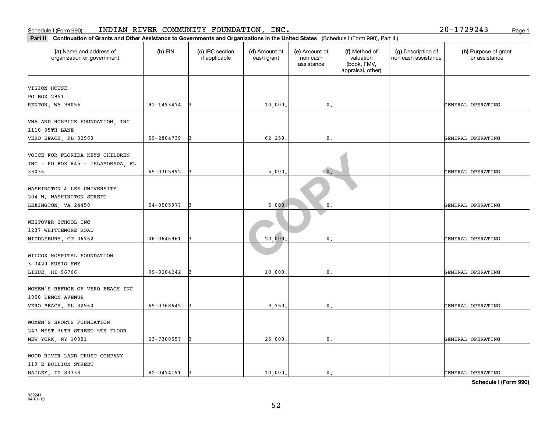| Schedule I (Form 990)                                                                                                                          |            | INDIAN RIVER COMMUNITY FOUNDATION, INC. |                             |                                         |                                                                |                                           | 20-1729243<br>Page 1                  |
|------------------------------------------------------------------------------------------------------------------------------------------------|------------|-----------------------------------------|-----------------------------|-----------------------------------------|----------------------------------------------------------------|-------------------------------------------|---------------------------------------|
| Part II<br>Continuation of Grants and Other Assistance to Governments and Organizations in the United States (Schedule I (Form 990), Part II.) |            |                                         |                             |                                         |                                                                |                                           |                                       |
| (a) Name and address of<br>organization or government                                                                                          | $(b)$ EIN  | (c) IRC section<br>if applicable        | (d) Amount of<br>cash grant | (e) Amount of<br>non-cash<br>assistance | (f) Method of<br>valuation<br>(book, FMV,<br>appraisal, other) | (g) Description of<br>non-cash assistance | (h) Purpose of grant<br>or assistance |
| VISION HOUSE                                                                                                                                   |            |                                         |                             |                                         |                                                                |                                           |                                       |
| PO BOX 2951                                                                                                                                    |            |                                         |                             |                                         |                                                                |                                           |                                       |
| RENTON, WA 98056                                                                                                                               | 91-1493474 |                                         | 10,000                      | 0.                                      |                                                                |                                           | GENERAL OPERATING                     |
| VNA AND HOSPICE FOUNDATION, INC<br>1110 35TH LANE                                                                                              |            |                                         |                             |                                         |                                                                |                                           |                                       |
| VERO BEACH, FL 32960                                                                                                                           | 59-2804739 |                                         | 62,250                      | $\mathbf{0}$ .                          |                                                                |                                           | GENERAL OPERATING                     |
| VOICE FOR FLORIDA KEYS CHILDREN<br>INC - PO BOX 845 - ISLAMORADA, FL<br>33036                                                                  | 65-0305892 |                                         | 5,000                       | $\bullet$ .                             |                                                                |                                           | GENERAL OPERATING                     |
|                                                                                                                                                |            |                                         |                             |                                         |                                                                |                                           |                                       |
| WASHINGTON & LEE UNIVERSITY<br>204 W. WASHINGTON STREET                                                                                        |            |                                         |                             |                                         |                                                                |                                           |                                       |
| LEXINGTON, VA 24450                                                                                                                            | 54-0505977 |                                         | 5,000                       | 0                                       |                                                                |                                           | GENERAL OPERATING                     |
| WESTOVER SCHOOL INC<br>1237 WHITTEMORE ROAD                                                                                                    |            |                                         |                             |                                         |                                                                |                                           |                                       |
| MIDDLEBURY, CT 06762                                                                                                                           | 06-0646961 |                                         | 20,000                      | 0.                                      |                                                                |                                           | GENERAL OPERATING                     |
| WILCOX HOSPITAL FOUNDATION<br>3-3420 KUHIO HWY                                                                                                 |            |                                         |                             |                                         |                                                                |                                           |                                       |
| LIHUE, HI 96766                                                                                                                                | 99-0204242 |                                         | 10,000                      | 0.                                      |                                                                |                                           | GENERAL OPERATING                     |
| WOMEN'S REFUGE OF VERO BEACH INC<br>1850 LEMON AVENUE                                                                                          |            |                                         |                             |                                         |                                                                |                                           |                                       |
| VERO BEACH, FL 32960                                                                                                                           | 65-0768645 |                                         | 9,750.                      | $\mathsf{0}\,.$                         |                                                                |                                           | GENERAL OPERATING                     |
| WOMEN'S SPORTS FOUNDATION<br>247 WEST 30TH STREET 5TH FLOOR                                                                                    |            |                                         |                             |                                         |                                                                |                                           |                                       |
| NEW YORK, NY 10001                                                                                                                             | 23-7380557 |                                         | 25,000                      | $\mathbf{0}$ .                          |                                                                |                                           | GENERAL OPERATING                     |
| WOOD RIVER LAND TRUST COMPANY<br>119 E BULLION STREET<br>HAILEY, ID 83333                                                                      | 82-0474191 |                                         | 10,000                      | $\mathbf{0}$ .                          |                                                                |                                           | GENERAL OPERATING                     |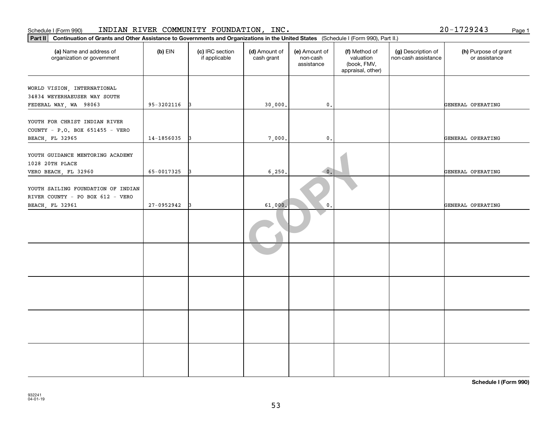| Part II   Continuation of Grants and Other Assistance to Governments and Organizations in the United States (Schedule I (Form 990), Part II.) |                |                                  |                             |                                         |                                                                |                                           |                                       |
|-----------------------------------------------------------------------------------------------------------------------------------------------|----------------|----------------------------------|-----------------------------|-----------------------------------------|----------------------------------------------------------------|-------------------------------------------|---------------------------------------|
| (a) Name and address of<br>organization or government                                                                                         | $(b)$ EIN      | (c) IRC section<br>if applicable | (d) Amount of<br>cash grant | (e) Amount of<br>non-cash<br>assistance | (f) Method of<br>valuation<br>(book, FMV,<br>appraisal, other) | (g) Description of<br>non-cash assistance | (h) Purpose of grant<br>or assistance |
| WORLD VISION, INTERNATIONAL                                                                                                                   |                |                                  |                             |                                         |                                                                |                                           |                                       |
| 34834 WEYERHAEUSER WAY SOUTH                                                                                                                  |                |                                  |                             |                                         |                                                                |                                           |                                       |
| FEDERAL WAY, WA 98063                                                                                                                         | $95 - 3202116$ |                                  | 30,000                      | 0.                                      |                                                                |                                           | GENERAL OPERATING                     |
|                                                                                                                                               |                |                                  |                             |                                         |                                                                |                                           |                                       |
| YOUTH FOR CHRIST INDIAN RIVER                                                                                                                 |                |                                  |                             |                                         |                                                                |                                           |                                       |
| COUNTY - P.O. BOX 651455 - VERO                                                                                                               |                |                                  |                             |                                         |                                                                |                                           |                                       |
| BEACH, FL 32965                                                                                                                               | 14-1856035     | 13                               | 7,000.                      | $\mathbf{0}$ .                          |                                                                |                                           | GENERAL OPERATING                     |
|                                                                                                                                               |                |                                  |                             |                                         |                                                                |                                           |                                       |
| YOUTH GUIDANCE MENTORING ACADEMY                                                                                                              |                |                                  |                             |                                         |                                                                |                                           |                                       |
| 1028 20TH PLACE                                                                                                                               |                |                                  |                             |                                         |                                                                |                                           |                                       |
| VERO BEACH, FL 32960                                                                                                                          | 65-0017325     |                                  | 6, 250.                     | $\overline{\mathbf{0}}$ .               |                                                                |                                           | GENERAL OPERATING                     |
|                                                                                                                                               |                |                                  |                             |                                         |                                                                |                                           |                                       |
| YOUTH SAILING FOUNDATION OF INDIAN                                                                                                            |                |                                  |                             |                                         |                                                                |                                           |                                       |
| RIVER COUNTY - PO BOX 612 - VERO                                                                                                              |                |                                  |                             |                                         |                                                                |                                           |                                       |
| <b>BEACH, FL 32961</b>                                                                                                                        | 27-0952942     |                                  | 61,000.                     | $\mathbf{0}$ .                          |                                                                |                                           | GENERAL OPERATING                     |
|                                                                                                                                               |                |                                  |                             |                                         |                                                                |                                           |                                       |
|                                                                                                                                               |                |                                  |                             |                                         |                                                                |                                           |                                       |
|                                                                                                                                               |                |                                  |                             |                                         |                                                                |                                           |                                       |
|                                                                                                                                               |                |                                  |                             |                                         |                                                                |                                           |                                       |
|                                                                                                                                               |                |                                  |                             |                                         |                                                                |                                           |                                       |
|                                                                                                                                               |                |                                  |                             |                                         |                                                                |                                           |                                       |
|                                                                                                                                               |                |                                  |                             |                                         |                                                                |                                           |                                       |
|                                                                                                                                               |                |                                  |                             |                                         |                                                                |                                           |                                       |
|                                                                                                                                               |                |                                  |                             |                                         |                                                                |                                           |                                       |

**Schedule I (Form 990)**

20-1729243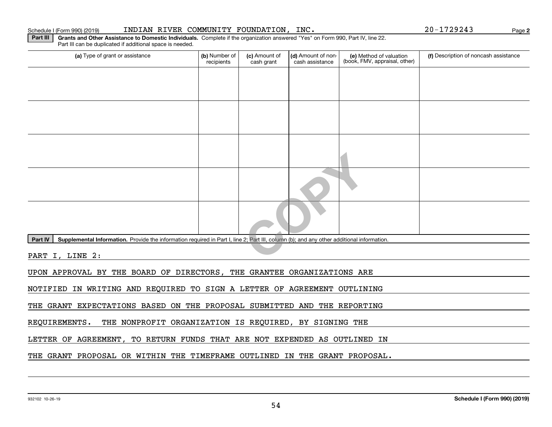#### Schedule I (Form 990) (2019) INDIAN RIVER COMMUNITY FOUNDATION , INC • 20-1729243 Page

**2**

**Part III | Grants and Other Assistance to Domestic Individuals. Complete if the organization answered "Yes" on Form 990, Part IV, line 22.** Part III can be duplicated if additional space is needed.

| (a) Type of grant or assistance                                                                                                                      | (b) Number of<br>recipients | (c) Amount of<br>cash grant | (d) Amount of non-<br>cash assistance | (e) Method of valuation<br>(book, FMV, appraisal, other) | (f) Description of noncash assistance |
|------------------------------------------------------------------------------------------------------------------------------------------------------|-----------------------------|-----------------------------|---------------------------------------|----------------------------------------------------------|---------------------------------------|
|                                                                                                                                                      |                             |                             |                                       |                                                          |                                       |
|                                                                                                                                                      |                             |                             |                                       |                                                          |                                       |
|                                                                                                                                                      |                             |                             |                                       |                                                          |                                       |
|                                                                                                                                                      |                             |                             |                                       |                                                          |                                       |
|                                                                                                                                                      |                             |                             |                                       |                                                          |                                       |
|                                                                                                                                                      |                             |                             |                                       |                                                          |                                       |
|                                                                                                                                                      |                             |                             |                                       |                                                          |                                       |
|                                                                                                                                                      |                             |                             |                                       |                                                          |                                       |
| Supplemental Information. Provide the information required in Part I, line 2; Part III, column (b); and any other additional information.<br>Part IV |                             |                             |                                       |                                                          |                                       |
| PART I, LINE 2:                                                                                                                                      |                             |                             |                                       |                                                          |                                       |
| UPON APPROVAL BY THE BOARD OF DIRECTORS, THE GRANTEE ORGANIZATIONS ARE                                                                               |                             |                             |                                       |                                                          |                                       |
| IN WRITING AND REQUIRED TO SIGN A LETTER OF AGREEMENT OUTLINING<br>NOTIFIED                                                                          |                             |                             |                                       |                                                          |                                       |
| GRANT EXPECTATIONS BASED ON THE PROPOSAL SUBMITTED AND THE REPORTING<br>THE                                                                          |                             |                             |                                       |                                                          |                                       |

REQUIREMENTS. THE NONPROFIT ORGANIZATION IS REQUIRED, BY SIGNING THE

LETTER OF AGREEMENT, TO RETURN FUNDS THAT ARE NOT EXPENDED AS OUTLINED IN

THE GRANT PROPOSAL OR WITHIN THE TIMEFRAME OUTLINED IN THE GRANT PROPOSAL.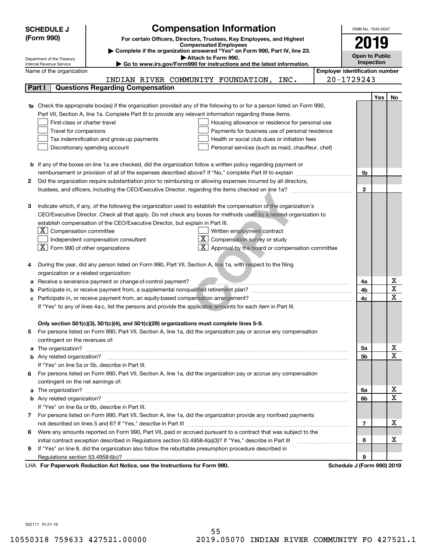|   | <b>SCHEDULE J</b>                                      | <b>Compensation Information</b>                                                                                           |                                       | OMB No. 1545-0047     |     |                              |
|---|--------------------------------------------------------|---------------------------------------------------------------------------------------------------------------------------|---------------------------------------|-----------------------|-----|------------------------------|
|   | (Form 990)                                             | For certain Officers, Directors, Trustees, Key Employees, and Highest                                                     |                                       |                       |     |                              |
|   |                                                        | <b>Compensated Employees</b>                                                                                              |                                       | 2019                  |     |                              |
|   |                                                        | Complete if the organization answered "Yes" on Form 990, Part IV, line 23.                                                |                                       | <b>Open to Public</b> |     |                              |
|   | Department of the Treasury<br>Internal Revenue Service | Attach to Form 990.<br>Go to www.irs.gov/Form990 for instructions and the latest information.                             |                                       | Inspection            |     |                              |
|   | Name of the organization                               |                                                                                                                           | <b>Employer identification number</b> |                       |     |                              |
|   |                                                        | INDIAN RIVER COMMUNITY FOUNDATION, INC.                                                                                   |                                       | 20-1729243            |     |                              |
|   | Part I                                                 | <b>Questions Regarding Compensation</b>                                                                                   |                                       |                       |     |                              |
|   |                                                        |                                                                                                                           |                                       |                       | Yes | No.                          |
|   |                                                        | 1a Check the appropriate box(es) if the organization provided any of the following to or for a person listed on Form 990, |                                       |                       |     |                              |
|   |                                                        | Part VII, Section A, line 1a. Complete Part III to provide any relevant information regarding these items.                |                                       |                       |     |                              |
|   | First-class or charter travel                          | Housing allowance or residence for personal use                                                                           |                                       |                       |     |                              |
|   | Travel for companions                                  | Payments for business use of personal residence                                                                           |                                       |                       |     |                              |
|   |                                                        | Tax indemnification and gross-up payments<br>Health or social club dues or initiation fees                                |                                       |                       |     |                              |
|   |                                                        | Discretionary spending account<br>Personal services (such as maid, chauffeur, chef)                                       |                                       |                       |     |                              |
|   |                                                        |                                                                                                                           |                                       |                       |     |                              |
|   |                                                        | <b>b</b> If any of the boxes on line 1a are checked, did the organization follow a written policy regarding payment or    |                                       |                       |     |                              |
|   |                                                        | reimbursement or provision of all of the expenses described above? If "No," complete Part III to explain                  |                                       | 1b                    |     |                              |
| 2 |                                                        | Did the organization require substantiation prior to reimbursing or allowing expenses incurred by all directors,          |                                       |                       |     |                              |
|   |                                                        |                                                                                                                           |                                       | $\mathbf{2}$          |     |                              |
|   |                                                        |                                                                                                                           |                                       |                       |     |                              |
| з |                                                        | Indicate which, if any, of the following the organization used to establish the compensation of the organization's        |                                       |                       |     |                              |
|   |                                                        | CEO/Executive Director. Check all that apply. Do not check any boxes for methods used by a related organization to        |                                       |                       |     |                              |
|   |                                                        | establish compensation of the CEO/Executive Director, but explain in Part III.                                            |                                       |                       |     |                              |
|   | Compensation committee<br>ΣI.                          | Written employment contract                                                                                               |                                       |                       |     |                              |
|   |                                                        | $\overline{\textbf{X}}$ Compensation survey or study<br>Independent compensation consultant                               |                                       |                       |     |                              |
|   | $ \mathbf{X} $ Form 990 of other organizations         | Approval by the board or compensation committee                                                                           |                                       |                       |     |                              |
|   |                                                        |                                                                                                                           |                                       |                       |     |                              |
|   |                                                        | During the year, did any person listed on Form 990, Part VII, Section A, line 1a, with respect to the filing              |                                       |                       |     |                              |
|   | organization or a related organization:                |                                                                                                                           |                                       |                       |     |                              |
|   |                                                        | Receive a severance payment or change-of-control payment?                                                                 |                                       | 4a                    |     | х                            |
|   |                                                        |                                                                                                                           |                                       | 4b                    |     | $\overline{\textbf{x}}$      |
|   |                                                        |                                                                                                                           |                                       | 4c                    |     | $\overline{\mathbf{x}}$      |
|   |                                                        | If "Yes" to any of lines 4a-c, list the persons and provide the applicable amounts for each item in Part III.             |                                       |                       |     |                              |
|   |                                                        |                                                                                                                           |                                       |                       |     |                              |
|   |                                                        | Only section 501(c)(3), 501(c)(4), and 501(c)(29) organizations must complete lines 5-9.                                  |                                       |                       |     |                              |
| 5 |                                                        | For persons listed on Form 990, Part VII, Section A, line 1a, did the organization pay or accrue any compensation         |                                       |                       |     |                              |
|   | contingent on the revenues of:                         |                                                                                                                           |                                       |                       |     |                              |
|   |                                                        |                                                                                                                           |                                       | 5а                    |     | x<br>$\overline{\mathbf{x}}$ |
|   |                                                        |                                                                                                                           |                                       | <b>5b</b>             |     |                              |
|   |                                                        | If "Yes" on line 5a or 5b, describe in Part III.                                                                          |                                       |                       |     |                              |
|   |                                                        | 6 For persons listed on Form 990, Part VII, Section A, line 1a, did the organization pay or accrue any compensation       |                                       |                       |     |                              |
|   | contingent on the net earnings of:                     |                                                                                                                           |                                       | 6а                    |     | х                            |
|   |                                                        |                                                                                                                           |                                       | 6b                    |     | $\mathbf X$                  |
|   |                                                        | If "Yes" on line 6a or 6b, describe in Part III.                                                                          |                                       |                       |     |                              |
|   |                                                        | 7 For persons listed on Form 990, Part VII, Section A, line 1a, did the organization provide any nonfixed payments        |                                       |                       |     |                              |
|   |                                                        |                                                                                                                           |                                       | 7                     |     | х                            |
| 8 |                                                        | Were any amounts reported on Form 990, Part VII, paid or accrued pursuant to a contract that was subject to the           |                                       |                       |     |                              |
|   |                                                        |                                                                                                                           |                                       | 8                     |     | х                            |
| 9 |                                                        | If "Yes" on line 8, did the organization also follow the rebuttable presumption procedure described in                    |                                       |                       |     |                              |
|   |                                                        |                                                                                                                           |                                       | 9                     |     |                              |
|   |                                                        | $\sim$ the looks of the fact $\sim$ 000                                                                                   |                                       |                       |     |                              |

LHA For Paperwork Reduction Act Notice, see the Instructions for Form 990. Schedule J (Form 990) 2019

932111 10-21-19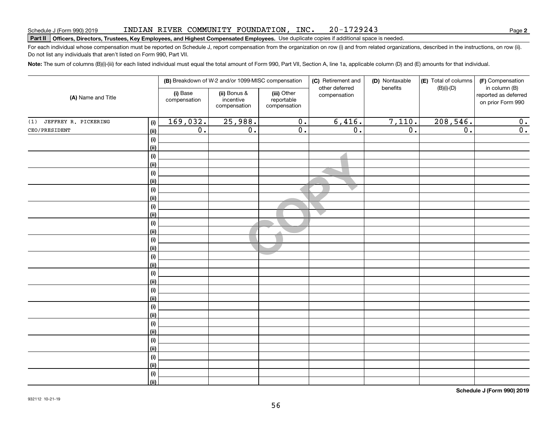#### INDIAN RIVER COMMUNITY FOUNDATION, INC. 20-1729243

# **Part II Officers, Directors, Trustees, Key Employees, and Highest Compensated Employees.**  Schedule J (Form 990) 2019 Page Use duplicate copies if additional space is needed.

For each individual whose compensation must be reported on Schedule J, report compensation from the organization on row (i) and from related organizations, described in the instructions, on row (ii). Do not list any individuals that aren't listed on Form 990, Part VII.

**Note:**  The sum of columns (B)(i)-(iii) for each listed individual must equal the total amount of Form 990, Part VII, Section A, line 1a, applicable column (D) and (E) amounts for that individual.

|                             |             | (B) Breakdown of W-2 and/or 1099-MISC compensation |                                           | (C) Retirement and                        | (D) Nontaxable                 | (E) Total of columns | (F) Compensation |                                                            |
|-----------------------------|-------------|----------------------------------------------------|-------------------------------------------|-------------------------------------------|--------------------------------|----------------------|------------------|------------------------------------------------------------|
| (A) Name and Title          |             | (i) Base<br>compensation                           | (ii) Bonus &<br>incentive<br>compensation | (iii) Other<br>reportable<br>compensation | other deferred<br>compensation | benefits             | $(B)(i)$ - $(D)$ | in column (B)<br>reported as deferred<br>on prior Form 990 |
| JEFFREY R. PICKERING<br>(1) | (i)         | 169,032.                                           | 25,988.                                   | $\overline{0}$ .                          | 6,416.                         | 7,110.               | 208,546.         | $\overline{0}$ .                                           |
| CEO/PRESIDENT               | (ii)        | $\overline{0}$ .                                   | $\overline{0}$ .                          | $\overline{0}$ .                          | $\overline{0}$ .               | $\overline{0}$ .     | $\overline{0}$ . | $\overline{\mathbf{0}}$ .                                  |
|                             | $(\sf{i})$  |                                                    |                                           |                                           |                                |                      |                  |                                                            |
|                             | (ii)        |                                                    |                                           |                                           |                                |                      |                  |                                                            |
|                             | $(\sf{i})$  |                                                    |                                           |                                           |                                |                      |                  |                                                            |
|                             | (ii)        |                                                    |                                           |                                           |                                |                      |                  |                                                            |
|                             | $(\sf{i})$  |                                                    |                                           |                                           |                                |                      |                  |                                                            |
|                             | (ii)        |                                                    |                                           |                                           |                                |                      |                  |                                                            |
|                             | (i)         |                                                    |                                           |                                           |                                |                      |                  |                                                            |
|                             | (ii)        |                                                    |                                           |                                           |                                |                      |                  |                                                            |
|                             | (i)         |                                                    |                                           |                                           |                                |                      |                  |                                                            |
|                             | (ii)        |                                                    |                                           |                                           |                                |                      |                  |                                                            |
|                             | (i)         |                                                    |                                           |                                           |                                |                      |                  |                                                            |
|                             | (ii)<br>(i) |                                                    |                                           |                                           |                                |                      |                  |                                                            |
|                             | (ii)        |                                                    |                                           |                                           |                                |                      |                  |                                                            |
|                             | $(\sf{i})$  |                                                    |                                           |                                           |                                |                      |                  |                                                            |
|                             | (ii)        |                                                    |                                           |                                           |                                |                      |                  |                                                            |
|                             | $(\sf{i})$  |                                                    |                                           |                                           |                                |                      |                  |                                                            |
|                             | (ii)        |                                                    |                                           |                                           |                                |                      |                  |                                                            |
|                             | (i)         |                                                    |                                           |                                           |                                |                      |                  |                                                            |
|                             | (ii)        |                                                    |                                           |                                           |                                |                      |                  |                                                            |
|                             | (i)         |                                                    |                                           |                                           |                                |                      |                  |                                                            |
|                             | (ii)        |                                                    |                                           |                                           |                                |                      |                  |                                                            |
|                             | (i)         |                                                    |                                           |                                           |                                |                      |                  |                                                            |
|                             | (ii)        |                                                    |                                           |                                           |                                |                      |                  |                                                            |
|                             | (i)         |                                                    |                                           |                                           |                                |                      |                  |                                                            |
|                             | (ii)        |                                                    |                                           |                                           |                                |                      |                  |                                                            |
|                             | (i)         |                                                    |                                           |                                           |                                |                      |                  |                                                            |
|                             | (ii)        |                                                    |                                           |                                           |                                |                      |                  |                                                            |
|                             | $(\sf{i})$  |                                                    |                                           |                                           |                                |                      |                  |                                                            |
|                             | (ii)        |                                                    |                                           |                                           |                                |                      |                  |                                                            |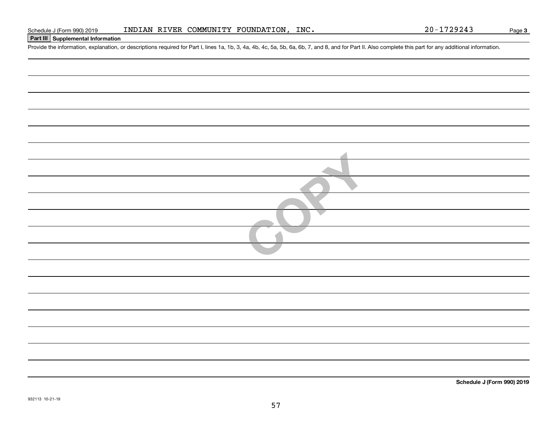### **Part III Supplemental Information**

Schedule J (Form 990) 2019 INDIAN RIVER COMMUNITY FOUNDATION, INC.<br>Part III Supplemental Information<br>Provide the information, explanation, or descriptions required for Part I, lines 1a, 1b, 3, 4a, 4b, 4c, 5a, 5b, 6a, 6b,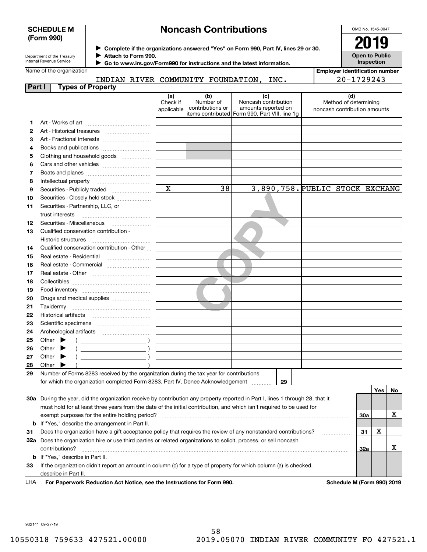#### **SCHEDULE M (Form 990)**

# **Noncash Contributions**

OMB No. 1545-0047

| Department of the Treasury |
|----------------------------|
| Internal Revenue Service   |

**Complete if the organizations answered "Yes" on Form 990, Part IV, lines 29 or 30.** <sup>J</sup>**2019 Attach to Form 990.** J

**Open to Public Inspection**

**Employer identification number**

20-1729243

| Name of the organization |
|--------------------------|
|                          |

 **Go to www.irs.gov/Form990 for instructions and the latest information.** J

|             | INDIAN            |  | RIVER COMMUNITY FOUNDATION, | INC. |  |
|-------------|-------------------|--|-----------------------------|------|--|
| <b>Part</b> | Tynes of Property |  |                             |      |  |

|    | . <b>.</b>                                                                                                                          |                               |                                      |                                                                                                      |                                                              |         |    |
|----|-------------------------------------------------------------------------------------------------------------------------------------|-------------------------------|--------------------------------------|------------------------------------------------------------------------------------------------------|--------------------------------------------------------------|---------|----|
|    |                                                                                                                                     | (a)<br>Check if<br>applicable | (b)<br>Number of<br>contributions or | (c)<br>Noncash contribution<br>amounts reported on<br>items contributed Form 990, Part VIII, line 1g | (d)<br>Method of determining<br>noncash contribution amounts |         |    |
| 1. |                                                                                                                                     |                               |                                      |                                                                                                      |                                                              |         |    |
| 2  |                                                                                                                                     |                               |                                      |                                                                                                      |                                                              |         |    |
| 3  | Art - Fractional interests                                                                                                          |                               |                                      |                                                                                                      |                                                              |         |    |
| 4  |                                                                                                                                     |                               |                                      |                                                                                                      |                                                              |         |    |
| 5  | Clothing and household goods                                                                                                        |                               |                                      |                                                                                                      |                                                              |         |    |
| 6  |                                                                                                                                     |                               |                                      |                                                                                                      |                                                              |         |    |
| 7  |                                                                                                                                     |                               |                                      |                                                                                                      |                                                              |         |    |
| 8  |                                                                                                                                     |                               |                                      |                                                                                                      |                                                              |         |    |
| 9  |                                                                                                                                     | $\overline{\mathbf{x}}$       | 38                                   |                                                                                                      | 3,890,758. PUBLIC STOCK EXCHANG                              |         |    |
| 10 | Securities - Closely held stock                                                                                                     |                               |                                      |                                                                                                      |                                                              |         |    |
| 11 | Securities - Partnership, LLC, or<br>trust interests                                                                                |                               |                                      |                                                                                                      |                                                              |         |    |
| 12 | Securities - Miscellaneous                                                                                                          |                               |                                      |                                                                                                      |                                                              |         |    |
| 13 | Qualified conservation contribution -                                                                                               |                               |                                      |                                                                                                      |                                                              |         |    |
|    | Historic structures                                                                                                                 |                               |                                      |                                                                                                      |                                                              |         |    |
| 14 | Qualified conservation contribution - Other                                                                                         |                               |                                      |                                                                                                      |                                                              |         |    |
| 15 | Real estate - Residential                                                                                                           |                               |                                      |                                                                                                      |                                                              |         |    |
| 16 | Real estate - Commercial                                                                                                            |                               |                                      |                                                                                                      |                                                              |         |    |
| 17 |                                                                                                                                     |                               |                                      |                                                                                                      |                                                              |         |    |
| 18 |                                                                                                                                     |                               |                                      |                                                                                                      |                                                              |         |    |
| 19 |                                                                                                                                     |                               |                                      |                                                                                                      |                                                              |         |    |
| 20 | Drugs and medical supplies                                                                                                          |                               |                                      |                                                                                                      |                                                              |         |    |
| 21 |                                                                                                                                     |                               |                                      |                                                                                                      |                                                              |         |    |
| 22 |                                                                                                                                     |                               |                                      |                                                                                                      |                                                              |         |    |
| 23 |                                                                                                                                     |                               |                                      |                                                                                                      |                                                              |         |    |
| 24 |                                                                                                                                     |                               |                                      |                                                                                                      |                                                              |         |    |
| 25 | Other $\blacktriangleright$                                                                                                         |                               |                                      |                                                                                                      |                                                              |         |    |
| 26 | Other $\blacktriangleright$                                                                                                         |                               |                                      |                                                                                                      |                                                              |         |    |
| 27 | Other                                                                                                                               |                               |                                      |                                                                                                      |                                                              |         |    |
| 28 | Other                                                                                                                               |                               |                                      |                                                                                                      |                                                              |         |    |
| 29 | Number of Forms 8283 received by the organization during the tax year for contributions                                             |                               |                                      |                                                                                                      |                                                              |         |    |
|    | for which the organization completed Form 8283, Part IV, Donee Acknowledgement                                                      |                               |                                      | 29                                                                                                   |                                                              |         |    |
|    |                                                                                                                                     |                               |                                      |                                                                                                      |                                                              | Yes     | No |
|    | 30a During the year, did the organization receive by contribution any property reported in Part I, lines 1 through 28, that it      |                               |                                      |                                                                                                      |                                                              |         |    |
|    | must hold for at least three years from the date of the initial contribution, and which isn't required to be used for               |                               |                                      |                                                                                                      |                                                              |         |    |
|    | exempt purposes for the entire holding period?                                                                                      |                               |                                      |                                                                                                      |                                                              | 30a     | х  |
| b  | If "Yes," describe the arrangement in Part II.                                                                                      |                               |                                      |                                                                                                      |                                                              |         |    |
| 31 | Does the organization have a gift acceptance policy that requires the review of any nonstandard contributions?                      |                               |                                      |                                                                                                      |                                                              | х<br>31 |    |
|    | 32a Does the organization hire or use third parties or related organizations to solicit, process, or sell noncash<br>contributions? |                               |                                      |                                                                                                      |                                                              | 32a     | х  |
|    | <b>b</b> If "Yes," describe in Part II.                                                                                             |                               |                                      |                                                                                                      |                                                              |         |    |
| מה | a arganization didn't report an amount in solumn (o) for a tupe of preparty for which solumn (o) is obsolved                        |                               |                                      |                                                                                                      |                                                              |         |    |

**33**If the organization didn't report an amount in column (c) for a type of property for which column (a) is checked, describe in Part II.

**For Paperwork Reduction Act Notice, see the Instructions for Form 990. Schedule M (Form 990) 2019** LHA

932141 09-27-19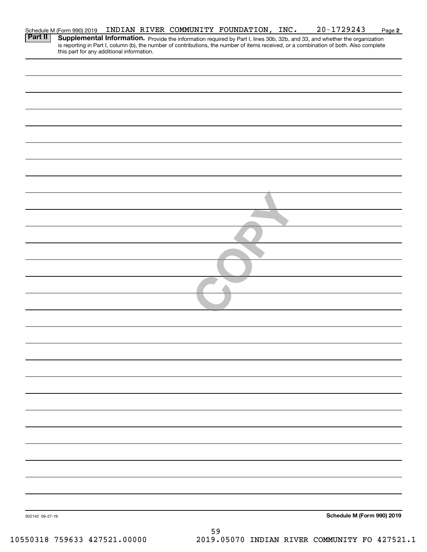|                 | Schedule M (Form 990) 2019                |  |    | INDIAN RIVER COMMUNITY FOUNDATION, INC. | $20 - 1729243$                                                                                                                                                                                                                      | Page 2 |
|-----------------|-------------------------------------------|--|----|-----------------------------------------|-------------------------------------------------------------------------------------------------------------------------------------------------------------------------------------------------------------------------------------|--------|
| Part II         | this part for any additional information. |  |    |                                         | <b>Supplemental Information.</b> Provide the information required by Part I, lines 30b, 32b, and 33, and whether the organization is reporting in Part I, column (b), the number of contributions, the number of items received, or |        |
|                 |                                           |  |    |                                         |                                                                                                                                                                                                                                     |        |
|                 |                                           |  |    |                                         |                                                                                                                                                                                                                                     |        |
|                 |                                           |  |    |                                         |                                                                                                                                                                                                                                     |        |
|                 |                                           |  |    |                                         |                                                                                                                                                                                                                                     |        |
|                 |                                           |  |    |                                         |                                                                                                                                                                                                                                     |        |
|                 |                                           |  |    |                                         |                                                                                                                                                                                                                                     |        |
|                 |                                           |  |    |                                         |                                                                                                                                                                                                                                     |        |
|                 |                                           |  |    |                                         |                                                                                                                                                                                                                                     |        |
|                 |                                           |  |    |                                         |                                                                                                                                                                                                                                     |        |
|                 |                                           |  |    |                                         |                                                                                                                                                                                                                                     |        |
|                 |                                           |  |    |                                         |                                                                                                                                                                                                                                     |        |
|                 |                                           |  |    |                                         |                                                                                                                                                                                                                                     |        |
|                 |                                           |  |    |                                         |                                                                                                                                                                                                                                     |        |
|                 |                                           |  |    |                                         |                                                                                                                                                                                                                                     |        |
|                 |                                           |  |    |                                         |                                                                                                                                                                                                                                     |        |
|                 |                                           |  |    |                                         |                                                                                                                                                                                                                                     |        |
|                 |                                           |  |    |                                         |                                                                                                                                                                                                                                     |        |
|                 |                                           |  |    |                                         |                                                                                                                                                                                                                                     |        |
|                 |                                           |  |    |                                         |                                                                                                                                                                                                                                     |        |
|                 |                                           |  |    |                                         |                                                                                                                                                                                                                                     |        |
|                 |                                           |  |    |                                         |                                                                                                                                                                                                                                     |        |
|                 |                                           |  |    |                                         |                                                                                                                                                                                                                                     |        |
|                 |                                           |  |    |                                         |                                                                                                                                                                                                                                     |        |
|                 |                                           |  |    |                                         |                                                                                                                                                                                                                                     |        |
|                 |                                           |  |    |                                         |                                                                                                                                                                                                                                     |        |
|                 |                                           |  |    |                                         |                                                                                                                                                                                                                                     |        |
|                 |                                           |  |    |                                         |                                                                                                                                                                                                                                     |        |
|                 |                                           |  |    |                                         |                                                                                                                                                                                                                                     |        |
|                 |                                           |  |    |                                         |                                                                                                                                                                                                                                     |        |
|                 |                                           |  |    |                                         |                                                                                                                                                                                                                                     |        |
|                 |                                           |  |    |                                         |                                                                                                                                                                                                                                     |        |
|                 |                                           |  |    |                                         |                                                                                                                                                                                                                                     |        |
| 932142 09-27-19 |                                           |  |    |                                         | Schedule M (Form 990) 2019                                                                                                                                                                                                          |        |
|                 |                                           |  |    |                                         |                                                                                                                                                                                                                                     |        |
|                 |                                           |  | 59 |                                         |                                                                                                                                                                                                                                     |        |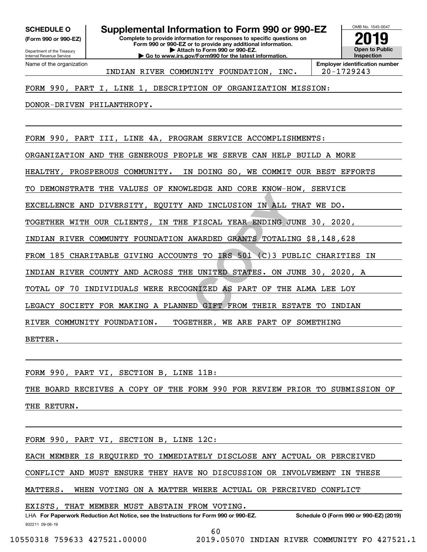**(Form 990 or 990-EZ)**

Department of the Treasury Internal Revenue Service Name of the organization

**SCHEDULE O Supplemental Information to Form 990 or 990-EZ**

**Complete to provide information for responses to specific questions on Form 990 or 990-EZ or to provide any additional information. | Attach to Form 990 or 990-EZ. | Go to www.irs.gov/Form990 for the latest information.**



INDIAN RIVER COMMUNITY FOUNDATION, INC. 20-1729243

### FORM 990, PART I, LINE 1, DESCRIPTION OF ORGANIZATION MISSION:

DONOR-DRIVEN PHILANTHROPY.

**EXAMPLE INCLUSION IN ALL T<br>FISCAL YEAR ENDING JU<br>AWARDED GRANTS TOTALIN<br>IS TO IRS 501 (C)3 PUB<br>E UNITED STATES. ON JU<br>GNIZED AS PART OF THE<br>ED GIFT FROM THEIR EST** FORM 990, PART III, LINE 4A, PROGRAM SERVICE ACCOMPLISHMENTS: ORGANIZATION AND THE GENEROUS PEOPLE WE SERVE CAN HELP BUILD A MORE HEALTHY, PROSPEROUS COMMUNITY. IN DOING SO, WE COMMIT OUR BEST EFFORTS TO DEMONSTRATE THE VALUES OF KNOWLEDGE AND CORE KNOW-HOW, SERVICE EXCELLENCE AND DIVERSITY, EQUITY AND INCLUSION IN ALL THAT WE DO. TOGETHER WITH OUR CLIENTS, IN THE FISCAL YEAR ENDING JUNE 30, 2020, INDIAN RIVER COMMUNTY FOUNDATION AWARDED GRANTS TOTALING \$8,148,628 FROM 185 CHARITABLE GIVING ACCOUNTS TO IRS 501 (C)3 PUBLIC CHARITIES IN INDIAN RIVER COUNTY AND ACROSS THE UNITED STATES. ON JUNE 30, 2020, A TOTAL OF 70 INDIVIDUALS WERE RECOGNIZED AS PART OF THE ALMA LEE LOY LEGACY SOCIETY FOR MAKING A PLANNED GIFT FROM THEIR ESTATE TO INDIAN RIVER COMMUNITY FOUNDATION. TOGETHER, WE ARE PART OF SOMETHING BETTER.

FORM 990, PART VI, SECTION B, LINE 11B:

THE BOARD RECEIVES A COPY OF THE FORM 990 FOR REVIEW PRIOR TO SUBMISSION OF THE RETURN.

FORM 990, PART VI, SECTION B, LINE 12C:

EACH MEMBER IS REQUIRED TO IMMEDIATELY DISCLOSE ANY ACTUAL OR PERCEIVED

CONFLICT AND MUST ENSURE THEY HAVE NO DISCUSSION OR INVOLVEMENT IN THESE

MATTERS. WHEN VOTING ON A MATTER WHERE ACTUAL OR PERCEIVED CONFLICT

EXISTS, THAT MEMBER MUST ABSTAIN FROM VOTING.

932211 09-06-19 LHA For Paperwork Reduction Act Notice, see the Instructions for Form 990 or 990-EZ. Schedule O (Form 990 or 990-EZ) (2019)

60